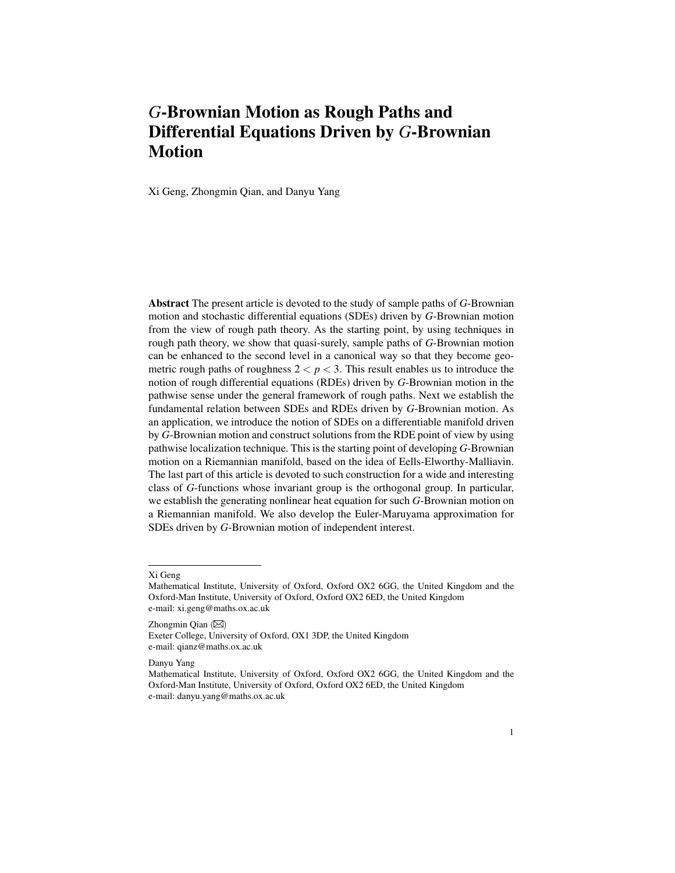# *G*-Brownian Motion as Rough Paths and Differential Equations Driven by *G*-Brownian Motion

Xi Geng, Zhongmin Qian, and Danyu Yang

Abstract The present article is devoted to the study of sample paths of *G*-Brownian motion and stochastic differential equations (SDEs) driven by *G*-Brownian motion from the view of rough path theory. As the starting point, by using techniques in rough path theory, we show that quasi-surely, sample paths of *G*-Brownian motion can be enhanced to the second level in a canonical way so that they become geometric rough paths of roughness  $2 < p < 3$ . This result enables us to introduce the notion of rough differential equations (RDEs) driven by *G*-Brownian motion in the pathwise sense under the general framework of rough paths. Next we establish the fundamental relation between SDEs and RDEs driven by *G*-Brownian motion. As an application, we introduce the notion of SDEs on a differentiable manifold driven by *G*-Brownian motion and construct solutions from the RDE point of view by using pathwise localization technique. This is the starting point of developing *G*-Brownian motion on a Riemannian manifold, based on the idea of Eells-Elworthy-Malliavin. The last part of this article is devoted to such construction for a wide and interesting class of *G*-functions whose invariant group is the orthogonal group. In particular, we establish the generating nonlinear heat equation for such *G*-Brownian motion on a Riemannian manifold. We also develop the Euler-Maruyama approximation for SDEs driven by *G*-Brownian motion of independent interest.

Zhongmin Qian  $(\boxtimes)$ 

Exeter College, University of Oxford, OX1 3DP, the United Kingdom e-mail: qianz@maths.ox.ac.uk

Danyu Yang

Xi Geng

Mathematical Institute, University of Oxford, Oxford OX2 6GG, the United Kingdom and the Oxford-Man Institute, University of Oxford, Oxford OX2 6ED, the United Kingdom e-mail: xi.geng@maths.ox.ac.uk

Mathematical Institute, University of Oxford, Oxford OX2 6GG, the United Kingdom and the Oxford-Man Institute, University of Oxford, Oxford OX2 6ED, the United Kingdom e-mail: danyu.yang@maths.ox.ac.uk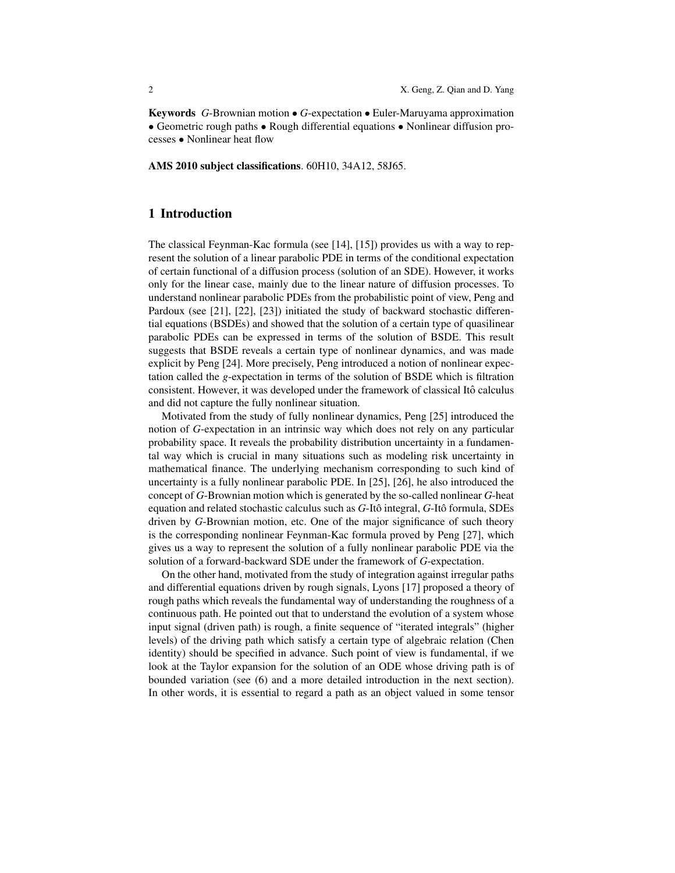Keywords *G*-Brownian motion • *G*-expectation • Euler-Maruyama approximation • Geometric rough paths • Rough differential equations • Nonlinear diffusion processes • Nonlinear heat flow

AMS 2010 subject classifications. 60H10, 34A12, 58J65.

## 1 Introduction

The classical Feynman-Kac formula (see [14], [15]) provides us with a way to represent the solution of a linear parabolic PDE in terms of the conditional expectation of certain functional of a diffusion process (solution of an SDE). However, it works only for the linear case, mainly due to the linear nature of diffusion processes. To understand nonlinear parabolic PDEs from the probabilistic point of view, Peng and Pardoux (see [21], [22], [23]) initiated the study of backward stochastic differential equations (BSDEs) and showed that the solution of a certain type of quasilinear parabolic PDEs can be expressed in terms of the solution of BSDE. This result suggests that BSDE reveals a certain type of nonlinear dynamics, and was made explicit by Peng [24]. More precisely, Peng introduced a notion of nonlinear expectation called the *g*-expectation in terms of the solution of BSDE which is filtration consistent. However, it was developed under the framework of classical Itô calculus and did not capture the fully nonlinear situation.

Motivated from the study of fully nonlinear dynamics, Peng [25] introduced the notion of *G*-expectation in an intrinsic way which does not rely on any particular probability space. It reveals the probability distribution uncertainty in a fundamental way which is crucial in many situations such as modeling risk uncertainty in mathematical finance. The underlying mechanism corresponding to such kind of uncertainty is a fully nonlinear parabolic PDE. In [25], [26], he also introduced the concept of *G*-Brownian motion which is generated by the so-called nonlinear *G*-heat equation and related stochastic calculus such as *G*-Itô integral, *G*-Itô formula, SDEs driven by *G*-Brownian motion, etc. One of the major significance of such theory is the corresponding nonlinear Feynman-Kac formula proved by Peng [27], which gives us a way to represent the solution of a fully nonlinear parabolic PDE via the solution of a forward-backward SDE under the framework of *G*-expectation.

On the other hand, motivated from the study of integration against irregular paths and differential equations driven by rough signals, Lyons [17] proposed a theory of rough paths which reveals the fundamental way of understanding the roughness of a continuous path. He pointed out that to understand the evolution of a system whose input signal (driven path) is rough, a finite sequence of "iterated integrals" (higher levels) of the driving path which satisfy a certain type of algebraic relation (Chen identity) should be specified in advance. Such point of view is fundamental, if we look at the Taylor expansion for the solution of an ODE whose driving path is of bounded variation (see (6) and a more detailed introduction in the next section). In other words, it is essential to regard a path as an object valued in some tensor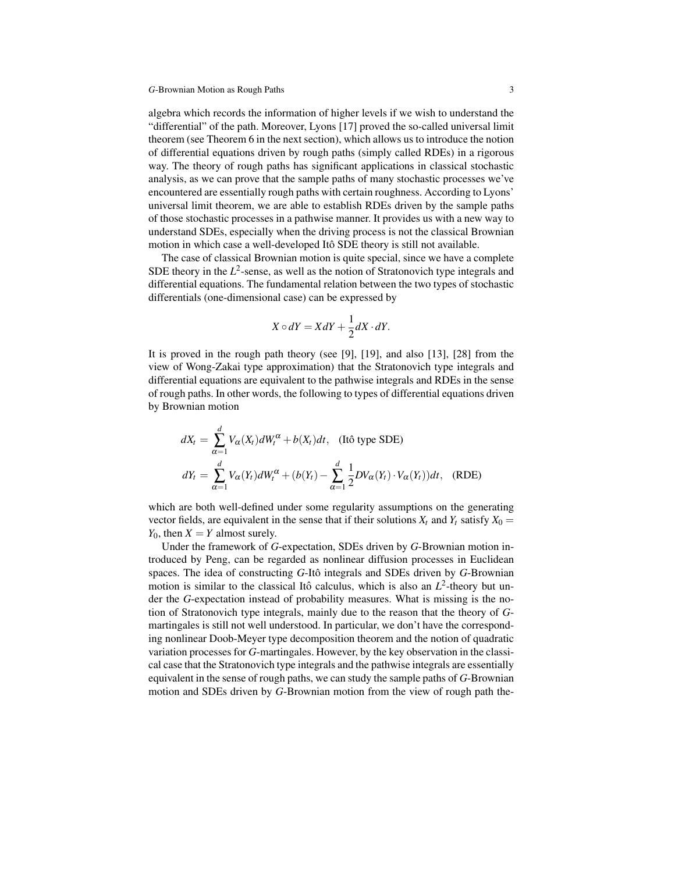algebra which records the information of higher levels if we wish to understand the "differential" of the path. Moreover, Lyons [17] proved the so-called universal limit theorem (see Theorem 6 in the next section), which allows us to introduce the notion of differential equations driven by rough paths (simply called RDEs) in a rigorous way. The theory of rough paths has significant applications in classical stochastic analysis, as we can prove that the sample paths of many stochastic processes we've encountered are essentially rough paths with certain roughness. According to Lyons' universal limit theorem, we are able to establish RDEs driven by the sample paths of those stochastic processes in a pathwise manner. It provides us with a new way to understand SDEs, especially when the driving process is not the classical Brownian motion in which case a well-developed Itô SDE theory is still not available.

The case of classical Brownian motion is quite special, since we have a complete SDE theory in the  $L^2$ -sense, as well as the notion of Stratonovich type integrals and differential equations. The fundamental relation between the two types of stochastic differentials (one-dimensional case) can be expressed by

$$
X \circ dY = XdY + \frac{1}{2}dX \cdot dY.
$$

It is proved in the rough path theory (see [9], [19], and also [13], [28] from the view of Wong-Zakai type approximation) that the Stratonovich type integrals and differential equations are equivalent to the pathwise integrals and RDEs in the sense of rough paths. In other words, the following to types of differential equations driven by Brownian motion

$$
dX_t = \sum_{\alpha=1}^d V_{\alpha}(X_t) dW_t^{\alpha} + b(X_t) dt, \quad \text{(Itô type SDE)}
$$
  

$$
dY_t = \sum_{\alpha=1}^d V_{\alpha}(Y_t) dW_t^{\alpha} + (b(Y_t) - \sum_{\alpha=1}^d \frac{1}{2} DV_{\alpha}(Y_t) \cdot V_{\alpha}(Y_t)) dt, \quad \text{(RDE)}
$$

which are both well-defined under some regularity assumptions on the generating vector fields, are equivalent in the sense that if their solutions  $X_t$  and  $Y_t$  satisfy  $X_0 =$ *Y*<sub>0</sub>, then *X* = *Y* almost surely.

Under the framework of *G*-expectation, SDEs driven by *G*-Brownian motion introduced by Peng, can be regarded as nonlinear diffusion processes in Euclidean spaces. The idea of constructing *G*-Itô integrals and SDEs driven by *G*-Brownian motion is similar to the classical Itô calculus, which is also an  $L^2$ -theory but under the *G*-expectation instead of probability measures. What is missing is the notion of Stratonovich type integrals, mainly due to the reason that the theory of *G*martingales is still not well understood. In particular, we don't have the corresponding nonlinear Doob-Meyer type decomposition theorem and the notion of quadratic variation processes for *G*-martingales. However, by the key observation in the classical case that the Stratonovich type integrals and the pathwise integrals are essentially equivalent in the sense of rough paths, we can study the sample paths of *G*-Brownian motion and SDEs driven by *G*-Brownian motion from the view of rough path the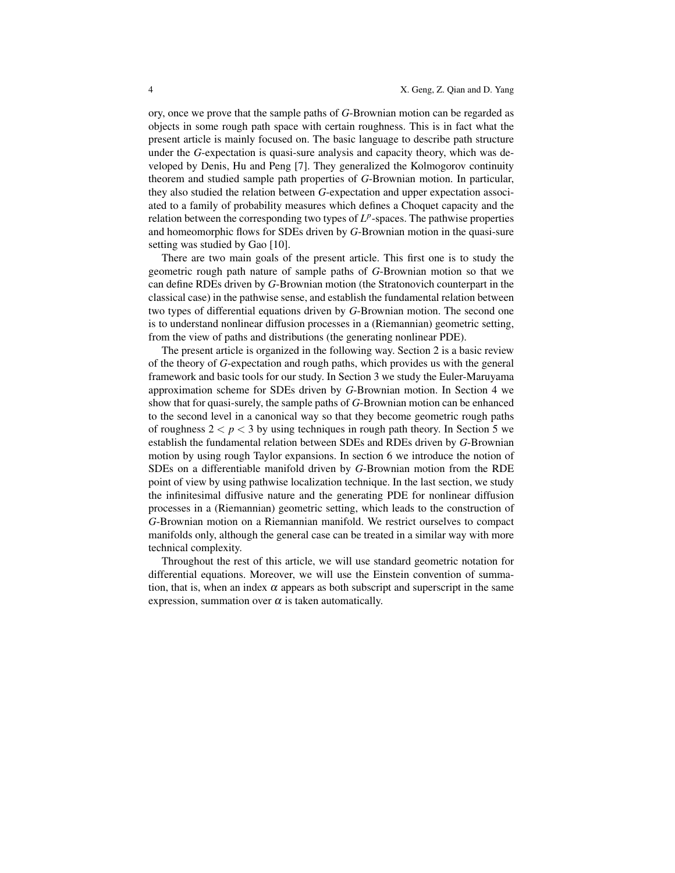ory, once we prove that the sample paths of *G*-Brownian motion can be regarded as objects in some rough path space with certain roughness. This is in fact what the present article is mainly focused on. The basic language to describe path structure under the *G*-expectation is quasi-sure analysis and capacity theory, which was developed by Denis, Hu and Peng [7]. They generalized the Kolmogorov continuity theorem and studied sample path properties of *G*-Brownian motion. In particular, they also studied the relation between *G*-expectation and upper expectation associated to a family of probability measures which defines a Choquet capacity and the relation between the corresponding two types of  $L^p$ -spaces. The pathwise properties and homeomorphic flows for SDEs driven by *G*-Brownian motion in the quasi-sure setting was studied by Gao [10].

There are two main goals of the present article. This first one is to study the geometric rough path nature of sample paths of *G*-Brownian motion so that we can define RDEs driven by *G*-Brownian motion (the Stratonovich counterpart in the classical case) in the pathwise sense, and establish the fundamental relation between two types of differential equations driven by *G*-Brownian motion. The second one is to understand nonlinear diffusion processes in a (Riemannian) geometric setting, from the view of paths and distributions (the generating nonlinear PDE).

The present article is organized in the following way. Section 2 is a basic review of the theory of *G*-expectation and rough paths, which provides us with the general framework and basic tools for our study. In Section 3 we study the Euler-Maruyama approximation scheme for SDEs driven by *G*-Brownian motion. In Section 4 we show that for quasi-surely, the sample paths of *G*-Brownian motion can be enhanced to the second level in a canonical way so that they become geometric rough paths of roughness  $2 < p < 3$  by using techniques in rough path theory. In Section 5 we establish the fundamental relation between SDEs and RDEs driven by *G*-Brownian motion by using rough Taylor expansions. In section 6 we introduce the notion of SDEs on a differentiable manifold driven by *G*-Brownian motion from the RDE point of view by using pathwise localization technique. In the last section, we study the infinitesimal diffusive nature and the generating PDE for nonlinear diffusion processes in a (Riemannian) geometric setting, which leads to the construction of *G*-Brownian motion on a Riemannian manifold. We restrict ourselves to compact manifolds only, although the general case can be treated in a similar way with more technical complexity.

Throughout the rest of this article, we will use standard geometric notation for differential equations. Moreover, we will use the Einstein convention of summation, that is, when an index  $\alpha$  appears as both subscript and superscript in the same expression, summation over  $\alpha$  is taken automatically.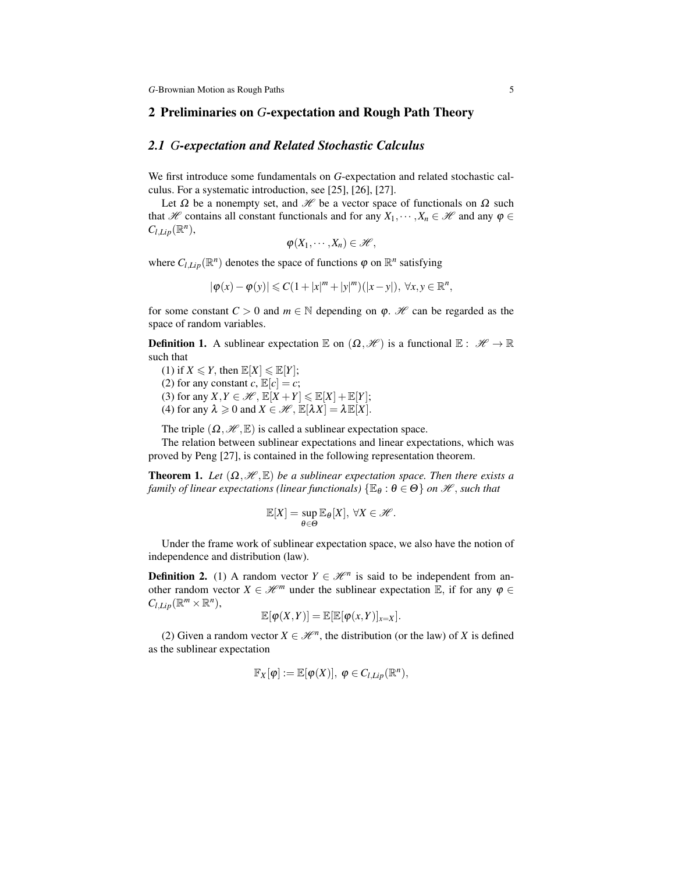#### 2 Preliminaries on *G*-expectation and Rough Path Theory

#### *2.1 G-expectation and Related Stochastic Calculus*

We first introduce some fundamentals on *G*-expectation and related stochastic calculus. For a systematic introduction, see [25], [26], [27].

Let  $\Omega$  be a nonempty set, and  $\mathcal H$  be a vector space of functionals on  $\Omega$  such that *H* contains all constant functionals and for any  $X_1, \dots, X_n \in \mathcal{H}$  and any  $\varphi \in$  $C_{l,Lip}(\mathbb{R}^n)$ ,

$$
\varphi(X_1,\cdots,X_n)\in\mathscr{H},
$$

where  $C_{l,Lip}(\mathbb{R}^n)$  denotes the space of functions  $\varphi$  on  $\mathbb{R}^n$  satisfying

$$
|\varphi(x)-\varphi(y)|\leqslant C(1+|x|^m+|y|^m)(|x-y|),\ \forall x,y\in\mathbb{R}^n,
$$

for some constant  $C > 0$  and  $m \in \mathbb{N}$  depending on  $\varphi$ . H can be regarded as the space of random variables.

**Definition 1.** A sublinear expectation  $\mathbb{E}$  on  $(\Omega, \mathcal{H})$  is a functional  $\mathbb{E} : \mathcal{H} \to \mathbb{R}$ such that

(1) if  $X \leq Y$ , then  $\mathbb{E}[X] \leq \mathbb{E}[Y]$ ;

(2) for any constant *c*,  $\mathbb{E}[c] = c$ ;

(3) for any  $X, Y \in \mathcal{H}, \mathbb{E}[X+Y] \leq \mathbb{E}[X] + \mathbb{E}[Y];$ 

(4) for any  $\lambda \geq 0$  and  $X \in \mathcal{H}$ ,  $\mathbb{E}[\lambda X] = \lambda \mathbb{E}[X]$ .

The triple  $(\Omega, \mathcal{H}, \mathbb{E})$  is called a sublinear expectation space.

The relation between sublinear expectations and linear expectations, which was proved by Peng [27], is contained in the following representation theorem.

**Theorem 1.** Let  $(\Omega, \mathcal{H}, \mathbb{E})$  be a sublinear expectation space. Then there exists a *family of linear expectations (linear functionals)*  $\{ \mathbb{E}_{\theta} : \theta \in \Theta \}$  *on*  $\mathcal{H}$ *, such that* 

$$
\mathbb{E}[X] = \sup_{\theta \in \Theta} \mathbb{E}_{\theta}[X], \ \forall X \in \mathcal{H}.
$$

Under the frame work of sublinear expectation space, we also have the notion of independence and distribution (law).

**Definition 2.** (1) A random vector  $Y \in \mathcal{H}^n$  is said to be independent from another random vector  $X \in \mathcal{H}^m$  under the sublinear expectation  $\mathbb{E}$ , if for any  $\varphi \in$  $C_{l,Lip}(\mathbb{R}^m\times\mathbb{R}^n)$ ,

$$
\mathbb{E}[\varphi(X,Y)] = \mathbb{E}[\mathbb{E}[\varphi(x,Y)]_{x=X}].
$$

(2) Given a random vector  $X \in \mathcal{H}^n$ , the distribution (or the law) of *X* is defined as the sublinear expectation

$$
\mathbb{F}_X[\varphi]:=\mathbb{E}[\varphi(X)],\ \varphi\in C_{l,Lip}(\mathbb{R}^n),
$$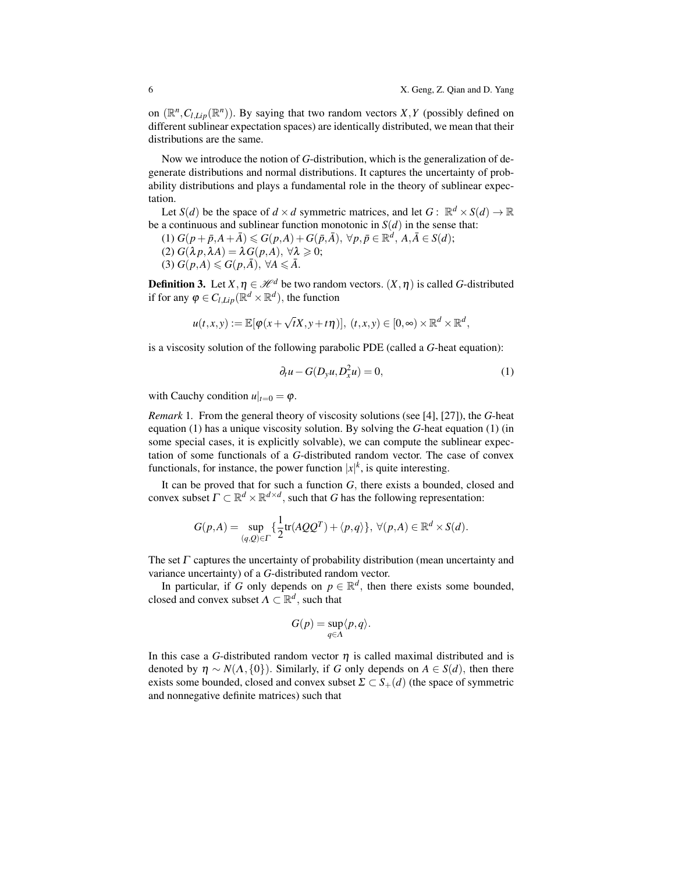on  $(\mathbb{R}^n, C_{l,Lip}(\mathbb{R}^n))$ . By saying that two random vectors *X*, *Y* (possibly defined on different sublinear expectation spaces) are identically distributed, we mean that their distributions are the same.

Now we introduce the notion of *G*-distribution, which is the generalization of degenerate distributions and normal distributions. It captures the uncertainty of probability distributions and plays a fundamental role in the theory of sublinear expectation.

Let *S*(*d*) be the space of  $d \times d$  symmetric matrices, and let  $G: \mathbb{R}^d \times S(d) \to \mathbb{R}$ be a continuous and sublinear function monotonic in  $S(d)$  in the sense that:

 $(G(p + \bar{p}, A + \bar{A}) \leq G(p, A) + G(\bar{p}, \bar{A}), \ \forall p, \bar{p} \in \mathbb{R}^d, \ A, \bar{A} \in S(d);$  $(2) G(\lambda p, \lambda A) = \lambda G(p, A), \forall \lambda \geqslant 0;$ 

$$
(3) G(p, A) \leq G(p, \bar{A}), \ \forall A \leq \bar{A}.
$$

**Definition 3.** Let  $X, \eta \in \mathcal{H}^d$  be two random vectors.  $(X, \eta)$  is called *G*-distributed if for any  $\varphi \in C_{l,Lip}(\mathbb{R}^d \times \mathbb{R}^d)$ , the function

$$
u(t,x,y) := \mathbb{E}[\varphi(x+\sqrt{t}X,y+t\eta)], (t,x,y) \in [0,\infty) \times \mathbb{R}^d \times \mathbb{R}^d,
$$

is a viscosity solution of the following parabolic PDE (called a *G*-heat equation):

$$
\partial_t u - G(D_y u, D_x^2 u) = 0,\t\t(1)
$$

with Cauchy condition  $u|_{t=0} = \varphi$ .

*Remark* 1*.* From the general theory of viscosity solutions (see [4], [27]), the *G*-heat equation (1) has a unique viscosity solution. By solving the *G*-heat equation (1) (in some special cases, it is explicitly solvable), we can compute the sublinear expectation of some functionals of a *G*-distributed random vector. The case of convex functionals, for instance, the power function  $|x|^k$ , is quite interesting.

It can be proved that for such a function *G*, there exists a bounded, closed and convex subset  $\Gamma \subset \mathbb{R}^d \times \mathbb{R}^{d \times d}$ , such that *G* has the following representation:

$$
G(p,A) = \sup_{(q,Q)\in\Gamma} \{ \frac{1}{2} \text{tr}(AQQ^T) + \langle p, q \rangle \}, \ \forall (p,A) \in \mathbb{R}^d \times S(d).
$$

The set  $\Gamma$  captures the uncertainty of probability distribution (mean uncertainty and variance uncertainty) of a *G*-distributed random vector.

In particular, if *G* only depends on  $p \in \mathbb{R}^d$ , then there exists some bounded, closed and convex subset  $\Lambda \subset \mathbb{R}^d$ , such that

$$
G(p) = \sup_{q \in \Lambda} \langle p, q \rangle.
$$

In this case a *G*-distributed random vector  $\eta$  is called maximal distributed and is denoted by  $\eta \sim N(\Lambda, \{0\})$ . Similarly, if *G* only depends on  $A \in S(d)$ , then there exists some bounded, closed and convex subset  $\Sigma \subset S_+(d)$  (the space of symmetric and nonnegative definite matrices) such that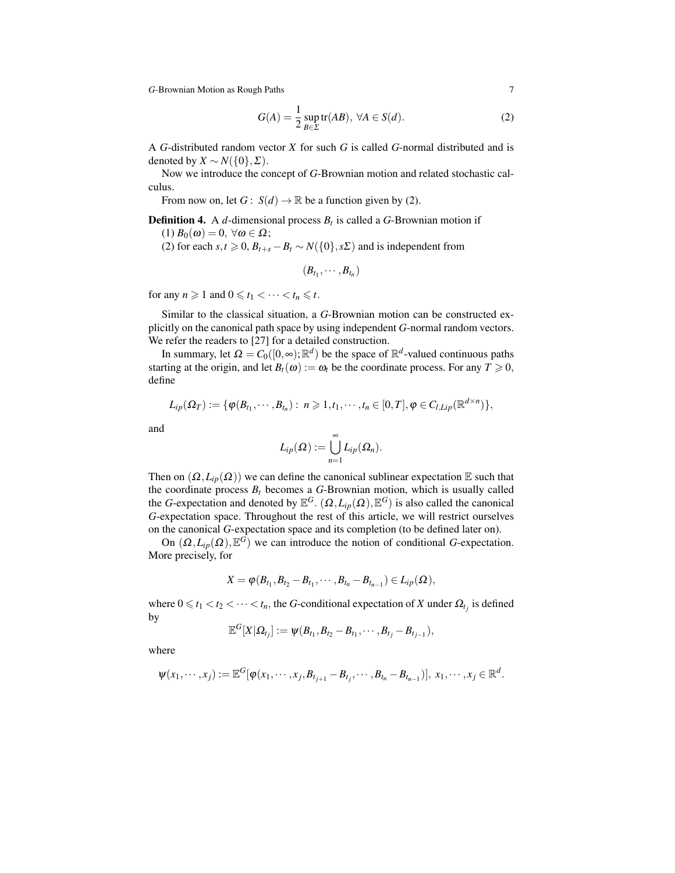$$
G(A) = \frac{1}{2} \sup_{B \in \Sigma} \text{tr}(AB), \ \forall A \in S(d). \tag{2}
$$

A *G*-distributed random vector *X* for such *G* is called *G*-normal distributed and is denoted by  $X \sim N({0}, \Sigma)$ .

Now we introduce the concept of *G*-Brownian motion and related stochastic calculus.

From now on, let  $G: S(d) \to \mathbb{R}$  be a function given by (2).

**Definition 4.** A *d*-dimensional process  $B_t$  is called a *G*-Brownian motion if (1)  $B_0(\omega) = 0, \forall \omega \in \Omega$ ;

(2) for each *s*,*t* ≥ 0,  $B$ <sub>*t*+*s*</sub> −  $B$ *t* ∼  $N$ ({0},*s*∑) and is independent from

$$
(B_{t_1},\cdots,B_{t_n})
$$

for any  $n \geq 1$  and  $0 \leq t_1 < \cdots < t_n \leq t$ .

Similar to the classical situation, a *G*-Brownian motion can be constructed explicitly on the canonical path space by using independent *G*-normal random vectors. We refer the readers to [27] for a detailed construction.

In summary, let  $\Omega = C_0([0,\infty);\mathbb{R}^d)$  be the space of  $\mathbb{R}^d$ -valued continuous paths starting at the origin, and let  $B_t(\omega) := \omega_t$  be the coordinate process. For any  $T \ge 0$ , define

$$
L_{ip}(\Omega_T):=\{\varphi(B_{t_1},\cdots,B_{t_n}):\ n\geqslant 1,t_1,\cdots,t_n\in[0,T],\varphi\in C_{l,Lip}(\mathbb{R}^{d\times n})\},
$$

and

$$
L_{ip}(\Omega) := \bigcup_{n=1}^{\infty} L_{ip}(\Omega_n).
$$

Then on  $(\Omega, L_{ip}(\Omega))$  we can define the canonical sublinear expectation E such that the coordinate process  $B_t$  becomes a  $G$ -Brownian motion, which is usually called the *G*-expectation and denoted by  $\mathbb{E}^G$ .  $(\Omega, L_{ip}(\Omega), \mathbb{E}^G)$  is also called the canonical *G*-expectation space. Throughout the rest of this article, we will restrict ourselves on the canonical *G*-expectation space and its completion (to be defined later on).

On  $(\Omega, L_{ip}(\Omega), \mathbb{E}^{\tilde{G}})$  we can introduce the notion of conditional *G*-expectation. More precisely, for

$$
X=\varphi(B_{t_1},B_{t_2}-B_{t_1},\cdots,B_{t_n}-B_{t_{n-1}})\in L_{ip}(\Omega),
$$

where  $0 \leq t_1 < t_2 < \cdots < t_n$ , the *G*-conditional expectation of *X* under  $\Omega_{t_j}$  is defined by

$$
\mathbb{E}^{G}[X|\Omega_{t_j}] := \psi(B_{t_1}, B_{t_2} - B_{t_1}, \cdots, B_{t_j} - B_{t_{j-1}}),
$$

where

$$
\psi(x_1, \dots, x_j) := \mathbb{E}^{G}[\varphi(x_1, \dots, x_j, B_{t_{j+1}} - B_{t_j}, \dots, B_{t_n} - B_{t_{n-1}})], x_1, \dots, x_j \in \mathbb{R}^d.
$$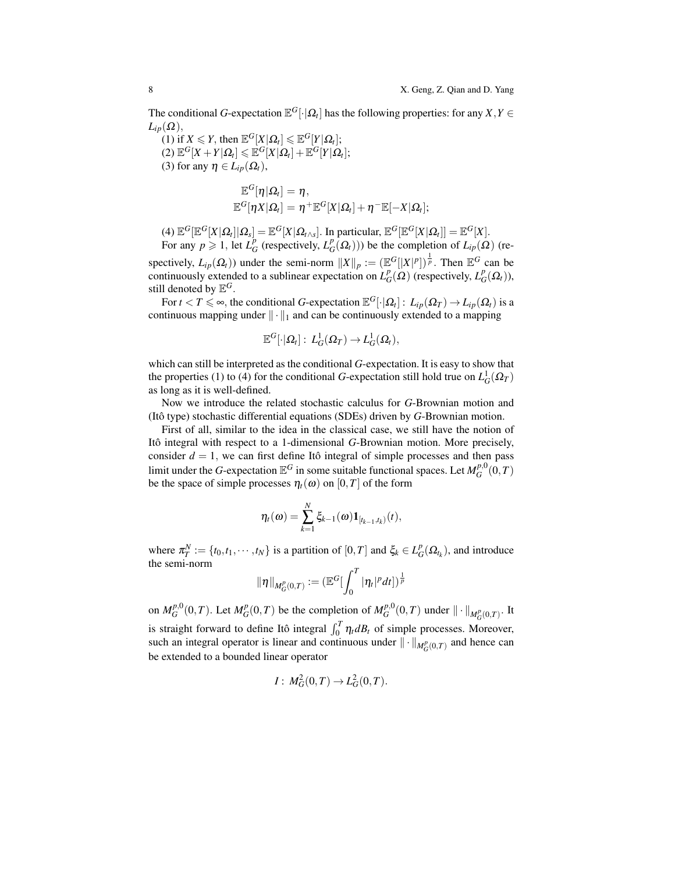The conditional *G*-expectation  $\mathbb{E}^{G}[\cdot|\Omega_t]$  has the following properties: for any  $X, Y \in$  $L_{ip}(\Omega)$ ,

(1) if  $X \leq Y$ , then  $\mathbb{E}^G[X|\mathcal{Q}_t] \leq \mathbb{E}^G[Y|\mathcal{Q}_t]$ ;  $\mathbb{E}^{G}[X+Y|\mathbf{\Omega}_t]\leqslant \mathbb{E}^{G}[X|\mathbf{\Omega}_t]+\mathbb{E}^{G}[Y|\mathbf{\Omega}_t];$ (3) for any  $\eta \in L_{ip}(\Omega_t)$ ,

$$
\mathbb{E}^G[\eta|\mathbf{\Omega}_t]=\eta\,,\\ \mathbb{E}^G[\eta X|\mathbf{\Omega}_t]=\eta^+\mathbb{E}^G[X|\mathbf{\Omega}_t]+\eta^-\mathbb{E}[-X|\mathbf{\Omega}_t];
$$

 $\mathbb{E}^G[\mathbb{E}^G[X|\mathcal{Q}_t]|\mathcal{Q}_s] = \mathbb{E}^G[X|\mathcal{Q}_{t\wedge s}].$  In particular,  $\mathbb{E}^G[\mathbb{E}^G[X|\mathcal{Q}_t]] = \mathbb{E}^G[X].$ For any  $p \geq 1$ , let  $L_0^p$  $L_G^p$  (respectively,  $L_G^p$  $L_G(P(\Omega_t))$ ) be the completion of  $L_{ip}(\Omega)$  (re-

spectively,  $L_{ip}(\Omega_t)$ ) under the semi-norm  $||X||_p := (\mathbb{E}^G [|X|^p])^{\frac{1}{p}}$ . Then  $\mathbb{E}^G$  can be continuously extended to a sublinear expectation on  $L_0^p$  $L_G^p(\Omega)$  (respectively,  $L_G^p$  $^p_G(\Omega_t)$ ), still denoted by E *G*.

For  $t < T \le \infty$ , the conditional *G*-expectation  $\mathbb{E}^G[\cdot|\Omega_t]: L_{ip}(\Omega_T) \to L_{ip}(\Omega_t)$  is a continuous mapping under  $\|\cdot\|_1$  and can be continuously extended to a mapping

$$
\mathbb{E}^G[\cdot|\Omega_t]:\,L_G^1(\Omega_T)\to L_G^1(\Omega_t),
$$

which can still be interpreted as the conditional *G*-expectation. It is easy to show that the properties (1) to (4) for the conditional *G*-expectation still hold true on  $L_G^1(\Omega_T)$ as long as it is well-defined.

Now we introduce the related stochastic calculus for *G*-Brownian motion and (Ito type) stochastic differential equations (SDEs) driven by ˆ *G*-Brownian motion.

First of all, similar to the idea in the classical case, we still have the notion of Itô integral with respect to a 1-dimensional *G*-Brownian motion. More precisely, consider  $d = 1$ , we can first define Itô integral of simple processes and then pass limit under the *G*-expectation  $\mathbb{E}^G$  in some suitable functional spaces. Let  $M_G^{p,0}(0,T)$ be the space of simple processes  $\eta_t(\omega)$  on [0,*T*] of the form

$$
\eta_t(\omega) = \sum_{k=1}^N \xi_{k-1}(\omega) \mathbf{1}_{[t_{k-1},t_k)}(t),
$$

where  $\pi_T^N := \{t_0, t_1, \dots, t_N\}$  is a partition of  $[0, T]$  and  $\xi_k \in L_G^p$  $_{G}^{p}(\Omega_{t_k})$ , and introduce the semi-norm

$$
\|\eta\|_{M^p_G(0,T)} := (\mathbb{E}^G[\int_0^T |\eta_t|^p dt])^{\frac{1}{p}}
$$

on  $M_G^{p,0}(0,T)$ . Let  $M_G^p$  $G(G, T)$  be the completion of  $M_G^{p,0}(0,T)$  under  $\|\cdot\|_{M_G^p(0,T)}$ . It is straight forward to define Itô integral  $\int_0^T \eta_t dB_t$  of simple processes. Moreover, such an integral operator is linear and continuous under  $\|\cdot\|_{M_G^p(0,T)}$  and hence can be extended to a bounded linear operator

$$
I: M_G^2(0,T) \to L_G^2(0,T).
$$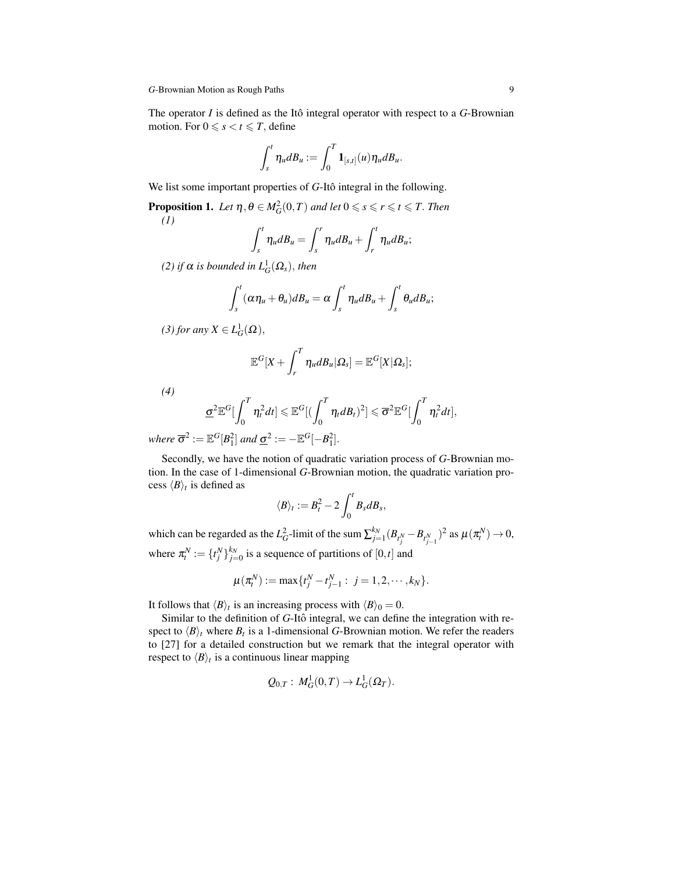The operator  $I$  is defined as the Itô integral operator with respect to a  $G$ -Brownian motion. For  $0 \le s < t \le T$ , define

$$
\int_s^t \eta_u dB_u := \int_0^T \mathbf{1}_{[s,t]}(u) \eta_u dB_u.
$$

We list some important properties of *G*-Itô integral in the following.

**Proposition 1.** Let  $\eta, \theta \in M_G^2(0,T)$  and let  $0 \leq s \leq r \leq t \leq T$ . Then *(1)*

$$
\int_s^t \eta_u dB_u = \int_s^r \eta_u dB_u + \int_r^t \eta_u dB_u;
$$

*(2) if*  $\alpha$  *is bounded in*  $L_G^1(\Omega_s)$ *, then* 

$$
\int_s^t (\alpha \eta_u + \theta_u) dB_u = \alpha \int_s^t \eta_u dB_u + \int_s^t \theta_u dB_u;
$$

(3) for any  $X \in L_G^1(\Omega)$ ,

$$
\mathbb{E}^{G}[X+\int_r^T \eta_u dB_u|\Omega_s]=\mathbb{E}^{G}[X|\Omega_s];
$$

*(4)*

$$
\underline{\sigma}^2 \mathbb{E}^G \left[\int_0^T \eta_t^2 dt\right] \leqslant \mathbb{E}^G \left[\left(\int_0^T \eta_t dB_t\right)^2\right] \leqslant \overline{\sigma}^2 \mathbb{E}^G \left[\int_0^T \eta_t^2 dt\right],
$$

*where*  $\overline{\sigma}^2 := \mathbb{E}^G[B_1^2]$  and  $\underline{\sigma}^2 := -\mathbb{E}^G[-B_1^2]$ .

Secondly, we have the notion of quadratic variation process of *G*-Brownian motion. In the case of 1-dimensional *G*-Brownian motion, the quadratic variation process  $\langle B \rangle_t$  is defined as

$$
\langle B \rangle_t := B_t^2 - 2 \int_0^t B_s dB_s,
$$

which can be regarded as the  $L_G^2$ -limit of the sum  $\sum_{j=1}^{k_N} (B_{t_j^N} - B_{t_{j-1}^N})^2$  as  $\mu(\pi_t^N) \to 0$ , where  $\pi_t^N := \{t_j^N\}_{j=0}^{k_N}$  is a sequence of partitions of  $[0, t]$  and

$$
\mu(\pi_t^N) := \max\{t_j^N - t_{j-1}^N : j = 1, 2, \cdots, k_N\}.
$$

It follows that  $\langle B \rangle_t$  is an increasing process with  $\langle B \rangle_0 = 0$ .

Similar to the definition of *G*-Itô integral, we can define the integration with respect to  $\langle B \rangle_t$  where  $B_t$  is a 1-dimensional *G*-Brownian motion. We refer the readers to [27] for a detailed construction but we remark that the integral operator with respect to  $\langle B \rangle_t$  is a continuous linear mapping

$$
Q_{0,T}: M_G^1(0,T) \to L_G^1(\Omega_T).
$$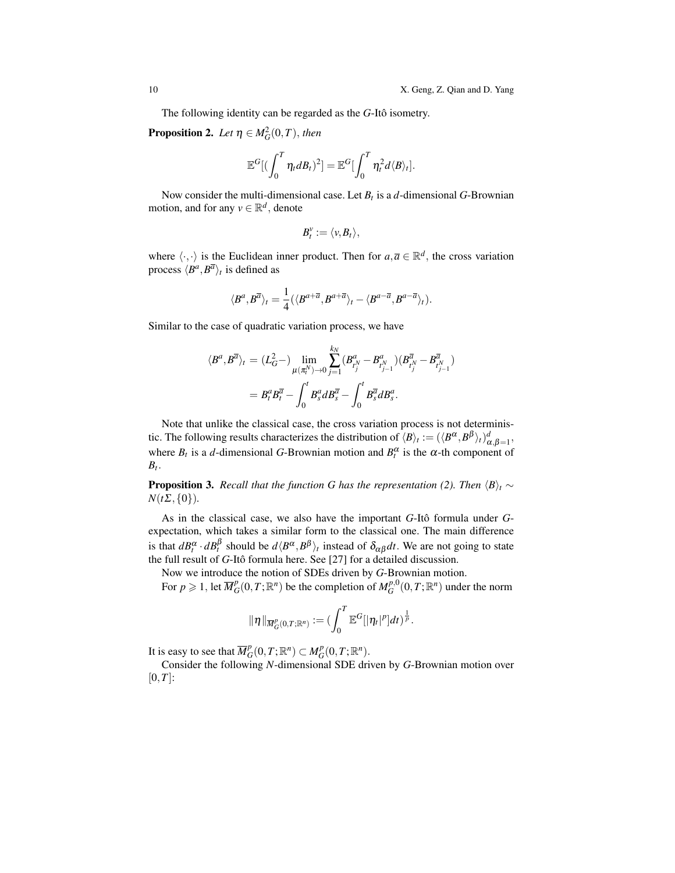The following identity can be regarded as the *G*-Itô isometry.

**Proposition 2.** Let  $\eta \in M_G^2(0,T)$ , then

$$
\mathbb{E}^{G}[(\int_{0}^{T}\eta_{t}dB_{t})^{2}]=\mathbb{E}^{G}[\int_{0}^{T}\eta_{t}^{2}d\langle B\rangle_{t}].
$$

Now consider the multi-dimensional case. Let *B<sup>t</sup>* is a *d*-dimensional *G*-Brownian motion, and for any  $v \in \mathbb{R}^d$ , denote

$$
B_t^v := \langle v, B_t \rangle,
$$

where  $\langle \cdot, \cdot \rangle$  is the Euclidean inner product. Then for  $a, \overline{a} \in \mathbb{R}^d$ , the cross variation process  $\langle B^a, B^{\overline{a}} \rangle_t$  is defined as

$$
\langle B^a, B^{\overline{a}}\rangle_t = \frac{1}{4} (\langle B^{a+\overline{a}}, B^{a+\overline{a}}\rangle_t - \langle B^{a-\overline{a}}, B^{a-\overline{a}}\rangle_t).
$$

Similar to the case of quadratic variation process, we have

$$
\begin{split} \langle B^{a}, B^{\overline{a}} \rangle_{t} &= (L_{G}^{2} -) \lim_{\mu(\pi_{t}^{N}) \rightarrow 0} \sum_{j=1}^{k_{N}} (B_{t_{j}^{N}}^{a} - B_{t_{j-1}^{N}}^{a}) (B_{t_{j}^{N}}^{\overline{a}} - B_{t_{j-1}^{N}}^{\overline{a}}) \\ &= B_{t}^{a} B_{t}^{\overline{a}} - \int_{0}^{t} B_{s}^{a} d B_{s}^{\overline{a}} - \int_{0}^{t} B_{s}^{\overline{a}} d B_{s}^{a}. \end{split}
$$

Note that unlike the classical case, the cross variation process is not deterministic. The following results characterizes the distribution of  $\langle B \rangle_t := (\langle B^{\alpha}, B^{\beta} \rangle_t)_{\alpha, \beta=1}^d$ , where  $B_t$  is a *d*-dimensional *G*-Brownian motion and  $B_t^{\alpha}$  is the  $\alpha$ -th component of  $B_t$ .

**Proposition 3.** *Recall that the function G has the representation (2). Then*  $\langle B \rangle_t \sim$ *N*(*t*Σ, {0})*.* 

As in the classical case, we also have the important *G*-Itô formula under *G*expectation, which takes a similar form to the classical one. The main difference is that  $dB_t^{\alpha} \cdot dB_t^{\beta}$  should be  $d\langle B^{\alpha}, B^{\beta} \rangle_t$  instead of  $\delta_{\alpha\beta} dt$ . We are not going to state the full result of *G*-Itô formula here. See [27] for a detailed discussion.

Now we introduce the notion of SDEs driven by *G*-Brownian motion.

For  $p \ge 1$ , let  $\overline{M}_G^p(0,T;\mathbb{R}^n)$  be the completion of  $M_G^{p,0}(0,T;\mathbb{R}^n)$  under the norm

$$
\|\eta\|_{\overline{M}^p_G(0,T;\mathbb{R}^n)}:= (\int_0^T \mathbb{E}^G[|\eta_t|^p]dt)^{\frac{1}{p}}.
$$

It is easy to see that  $\overline{M}^p_G(0,T;\mathbb{R}^n) \subset M^p_G$  $_G^p(0,T;\mathbb{R}^n)$ .

Consider the following *N*-dimensional SDE driven by *G*-Brownian motion over [0,*T*]: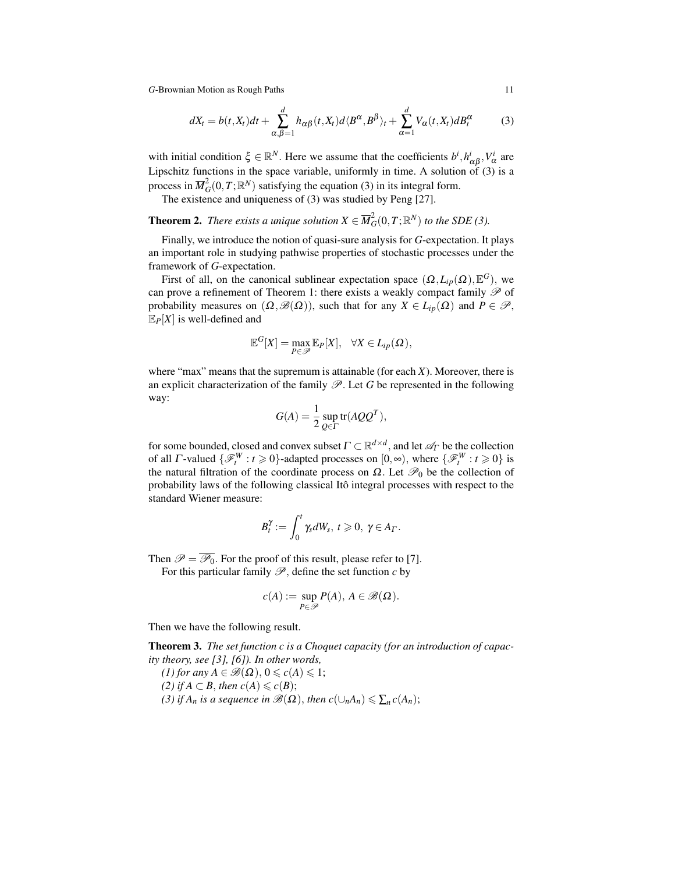$$
dX_t = b(t, X_t)dt + \sum_{\alpha, \beta=1}^d h_{\alpha\beta}(t, X_t)d\langle B^{\alpha}, B^{\beta} \rangle_t + \sum_{\alpha=1}^d V_{\alpha}(t, X_t)dB_t^{\alpha}
$$
 (3)

with initial condition  $\xi \in \mathbb{R}^N$ . Here we assume that the coefficients  $b^i, h^i_{\alpha\beta}, V^i_{\alpha}$  are Lipschitz functions in the space variable, uniformly in time. A solution of (3) is a process in  $\overline{M}_G^2(0,T;\mathbb{R}^N)$  satisfying the equation (3) in its integral form.

The existence and uniqueness of (3) was studied by Peng [27].

**Theorem 2.** *There exists a unique solution*  $X \in \overline{M}_G^2(0,T;\mathbb{R}^N)$  *to the SDE* (3).

Finally, we introduce the notion of quasi-sure analysis for *G*-expectation. It plays an important role in studying pathwise properties of stochastic processes under the framework of *G*-expectation.

First of all, on the canonical sublinear expectation space  $(\Omega, L_{ip}(\Omega), \mathbb{E}^G)$ , we can prove a refinement of Theorem 1: there exists a weakly compact family  $\mathscr P$  of probability measures on  $(\Omega, \mathcal{B}(\Omega))$ , such that for any  $X \in L_{ip}(\Omega)$  and  $P \in \mathcal{P}$ ,  $\mathbb{E}_P[X]$  is well-defined and

$$
\mathbb{E}^{G}[X] = \max_{P \in \mathscr{P}} \mathbb{E}_{P}[X], \quad \forall X \in L_{ip}(\Omega),
$$

where "max" means that the supremum is attainable (for each *X*). Moreover, there is an explicit characterization of the family  $\mathscr P$ . Let *G* be represented in the following way:

$$
G(A) = \frac{1}{2} \sup_{Q \in \Gamma} \text{tr}(AQQ^T),
$$

for some bounded, closed and convex subset  $\Gamma \subset \mathbb{R}^{d \times d}$ , and let  $\mathscr{A}_{\Gamma}$  be the collection of all  $\Gamma$ -valued  $\{\mathscr{F}_t^W : t \geq 0\}$ -adapted processes on  $[0, \infty)$ , where  $\{\mathscr{F}_t^W : t \geq 0\}$  is the natural filtration of the coordinate process on  $\Omega$ . Let  $\mathcal{P}_0$  be the collection of probability laws of the following classical Itô integral processes with respect to the standard Wiener measure:

$$
B_t^{\gamma} := \int_0^t \gamma_s dW_s, \ t \geqslant 0, \ \gamma \in A_{\Gamma}.
$$

Then  $\mathscr{P} = \overline{\mathscr{P}_0}$ . For the proof of this result, please refer to [7].

For this particular family  $\mathscr{P}$ , define the set function *c* by

$$
c(A) := \sup_{P \in \mathcal{P}} P(A), A \in \mathcal{B}(\Omega).
$$

Then we have the following result.

Theorem 3. *The set function c is a Choquet capacity (for an introduction of capacity theory, see [3], [6]). In other words,*

*(1) for any A* ∈  $\mathcal{B}(\Omega)$ , 0 ≤ *c*(*A*) ≤ 1; *(2) if A* ⊂ *B*, *then*  $c(A)$  ≤  $c(B)$ ; *(3) if*  $A_n$  *is a sequence in*  $\mathcal{B}(\Omega)$ *, then*  $c(\cup_n A_n) \le \sum_n c(A_n)$ ;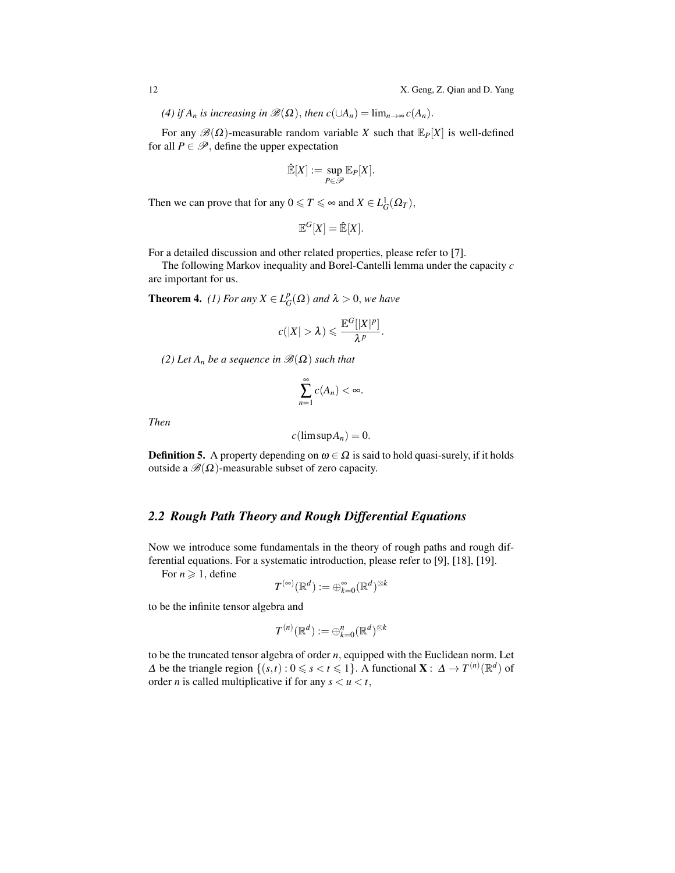*(4) if*  $A_n$  *is increasing in*  $\mathscr{B}(\Omega)$ *, then*  $c(\cup A_n) = \lim_{n \to \infty} c(A_n)$ *.* 

For any  $\mathcal{B}(\Omega)$ -measurable random variable *X* such that  $\mathbb{E}_P[X]$  is well-defined for all  $P \in \mathscr{P}$ , define the upper expectation

$$
\hat{\mathbb{E}}[X] := \sup_{P \in \mathscr{P}} \mathbb{E}_P[X].
$$

Then we can prove that for any  $0 \leq T \leq \infty$  and  $X \in L_G^1(\Omega_T)$ ,

$$
\mathbb{E}^G[X] = \mathbb{\hat{E}}[X].
$$

For a detailed discussion and other related properties, please refer to [7].

The following Markov inequality and Borel-Cantelli lemma under the capacity *c* are important for us.

**Theorem 4.** *(1)* For any  $X \in L^p$  $_{G}^{p}(\Omega)$  and  $\lambda > 0$ , we have

$$
c(|X| > \lambda) \leqslant \frac{\mathbb{E}^G[|X|^p]}{\lambda^p}.
$$

*(2) Let A<sub>n</sub> be a sequence in*  $\mathcal{B}(\Omega)$  *such that* 

$$
\sum_{n=1}^{\infty} c(A_n) < \infty.
$$

*Then*

$$
c(\limsup A_n)=0.
$$

**Definition 5.** A property depending on  $\omega \in \Omega$  is said to hold quasi-surely, if it holds outside a  $\mathcal{B}(\Omega)$ -measurable subset of zero capacity.

### *2.2 Rough Path Theory and Rough Differential Equations*

Now we introduce some fundamentals in the theory of rough paths and rough differential equations. For a systematic introduction, please refer to [9], [18], [19].

For  $n \geqslant 1$ , define

$$
T^{(\infty)}(\mathbb{R}^d):=\oplus_{k=0}^\infty(\mathbb{R}^d)^{\otimes k}
$$

to be the infinite tensor algebra and

$$
T^{(n)}(\mathbb{R}^d):=\oplus_{k=0}^n(\mathbb{R}^d)^{\otimes k}
$$

to be the truncated tensor algebra of order *n*, equipped with the Euclidean norm. Let  $Δ$  be the triangle region  $\{(s,t): 0 \le s < t \le 1\}$ . A functional **X** :  $Δ \to T^{(n)}(\mathbb{R}^d)$  of order *n* is called multiplicative if for any  $s < u < t$ ,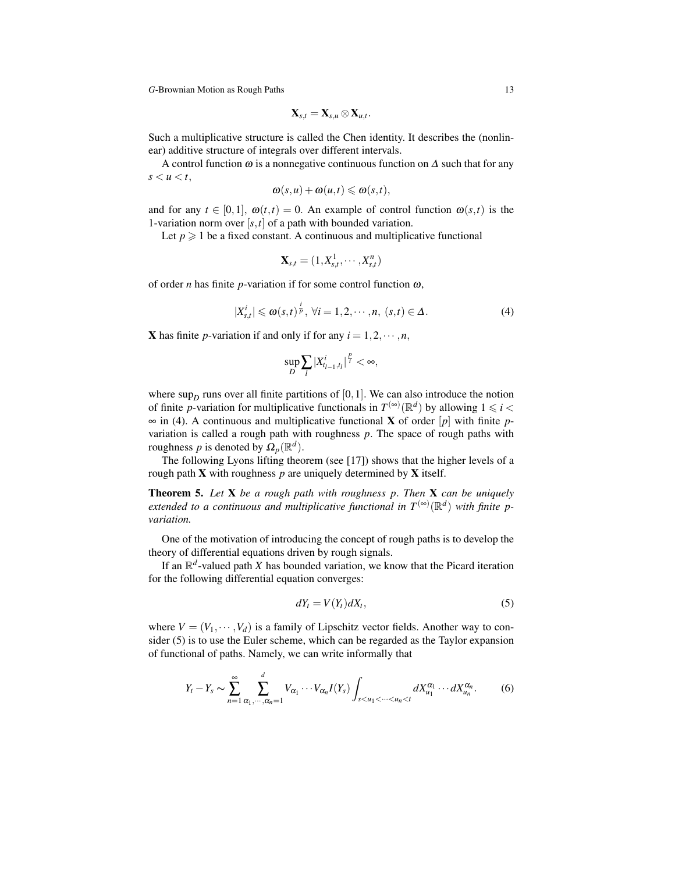$$
\mathbf{X}_{s,t}=\mathbf{X}_{s,u}\otimes \mathbf{X}_{u,t}.
$$

Such a multiplicative structure is called the Chen identity. It describes the (nonlinear) additive structure of integrals over different intervals.

A control function  $\omega$  is a nonnegative continuous function on  $\Delta$  such that for any  $s < u < t$ ,

$$
\omega(s,u)+\omega(u,t)\leqslant \omega(s,t),
$$

and for any  $t \in [0,1], \omega(t,t) = 0$ . An example of control function  $\omega(s,t)$  is the 1-variation norm over  $[s, t]$  of a path with bounded variation.

Let  $p \geq 1$  be a fixed constant. A continuous and multiplicative functional

$$
\mathbf{X}_{s,t} = (1, X_{s,t}^1, \cdots, X_{s,t}^n)
$$

of order *n* has finite *p*-variation if for some control function  $\omega$ ,

$$
|X_{s,t}^i| \leq \omega(s,t)^{\frac{i}{p}}, \ \forall i = 1,2,\cdots,n, \ (s,t) \in \Delta.
$$

**X** has finite *p*-variation if and only if for any  $i = 1, 2, \dots, n$ ,

$$
\sup_{D}\sum_{l}|X_{t_{l-1},t_{l}}^{i}|^{\frac{p}{i}}<\infty,
$$

where  $\sup_D$  runs over all finite partitions of [0,1]. We can also introduce the notion of finite *p*-variation for multiplicative functionals in  $T^{(\infty)}(\mathbb{R}^d)$  by allowing  $1 \leq i <$ ∞ in (4). A continuous and multiplicative functional X of order [*p*] with finite *p*variation is called a rough path with roughness *p*. The space of rough paths with roughness *p* is denoted by  $\Omega_p(\mathbb{R}^d)$ .

The following Lyons lifting theorem (see [17]) shows that the higher levels of a rough path **X** with roughness  $p$  are uniquely determined by **X** itself.

Theorem 5. *Let* X *be a rough path with roughness p*. *Then* X *can be uniquely extended to a continuous and multiplicative functional in*  $T^{(\infty)}(\mathbb{R}^d)$  with finite p*variation.*

One of the motivation of introducing the concept of rough paths is to develop the theory of differential equations driven by rough signals.

If an  $\mathbb{R}^d$ -valued path *X* has bounded variation, we know that the Picard iteration for the following differential equation converges:

$$
dY_t = V(Y_t) dX_t, \t\t(5)
$$

where  $V = (V_1, \dots, V_d)$  is a family of Lipschitz vector fields. Another way to consider (5) is to use the Euler scheme, which can be regarded as the Taylor expansion of functional of paths. Namely, we can write informally that

$$
Y_t - Y_s \sim \sum_{n=1}^{\infty} \sum_{\alpha_1, \cdots, \alpha_n=1}^{d} V_{\alpha_1} \cdots V_{\alpha_n} I(Y_s) \int_{s < u_1 < \cdots < u_n < t} dX_{u_1}^{\alpha_1} \cdots dX_{u_n}^{\alpha_n}.\tag{6}
$$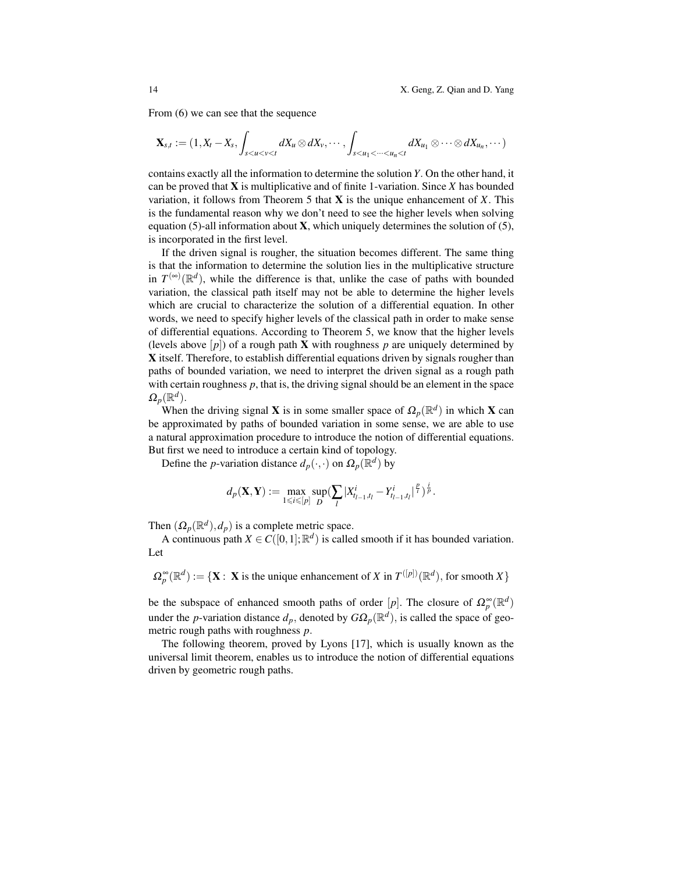From (6) we can see that the sequence

$$
\mathbf{X}_{s,t} := (1, X_t - X_s, \int_{s < u < v < t} dX_u \otimes dX_v, \cdots, \int_{s < u_1 < \cdots < u_n < t} dX_{u_1} \otimes \cdots \otimes dX_{u_n}, \cdots)
$$

contains exactly all the information to determine the solution *Y*. On the other hand, it can be proved that  $X$  is multiplicative and of finite 1-variation. Since  $X$  has bounded variation, it follows from Theorem 5 that X is the unique enhancement of *X*. This is the fundamental reason why we don't need to see the higher levels when solving equation (5)-all information about  $X$ , which uniquely determines the solution of (5), is incorporated in the first level.

If the driven signal is rougher, the situation becomes different. The same thing is that the information to determine the solution lies in the multiplicative structure in  $T^{(\infty)}(\mathbb{R}^d)$ , while the difference is that, unlike the case of paths with bounded variation, the classical path itself may not be able to determine the higher levels which are crucial to characterize the solution of a differential equation. In other words, we need to specify higher levels of the classical path in order to make sense of differential equations. According to Theorem 5, we know that the higher levels (levels above  $[p]$ ) of a rough path **X** with roughness p are uniquely determined by X itself. Therefore, to establish differential equations driven by signals rougher than paths of bounded variation, we need to interpret the driven signal as a rough path with certain roughness *p*, that is, the driving signal should be an element in the space  $\Omega_p(\mathbb{R}^d)$ .

When the driving signal **X** is in some smaller space of  $\Omega_p(\mathbb{R}^d)$  in which **X** can be approximated by paths of bounded variation in some sense, we are able to use a natural approximation procedure to introduce the notion of differential equations. But first we need to introduce a certain kind of topology.

Define the *p*-variation distance  $d_p(\cdot, \cdot)$  on  $\Omega_p(\mathbb{R}^d)$  by

$$
d_p(\mathbf{X}, \mathbf{Y}) := \max_{1 \le i \le [p]} \sup_{D} (\sum_l |X_{t_{l-1}, t_l}^i - Y_{t_{l-1}, t_l}^i|^{\frac{p}{i}})^{\frac{i}{p}}.
$$

Then  $(\Omega_p(\mathbb{R}^d), d_p)$  is a complete metric space.

A continuous path  $X \in C([0,1]; \mathbb{R}^d)$  is called smooth if it has bounded variation. Let

$$
\Omega_p^{\infty}(\mathbb{R}^d):=\{\mathbf{X}:\ \mathbf{X}\text{ is the unique enhancement of }X\text{ in }T^{([p])}(\mathbb{R}^d),\text{ for smooth }X\}
$$

be the subspace of enhanced smooth paths of order  $[p]$ . The closure of  $\Omega_p^{\infty}(\mathbb{R}^d)$ under the *p*-variation distance  $d_p$ , denoted by  $G\Omega_p(\mathbb{R}^d)$ , is called the space of geometric rough paths with roughness *p*.

The following theorem, proved by Lyons [17], which is usually known as the universal limit theorem, enables us to introduce the notion of differential equations driven by geometric rough paths.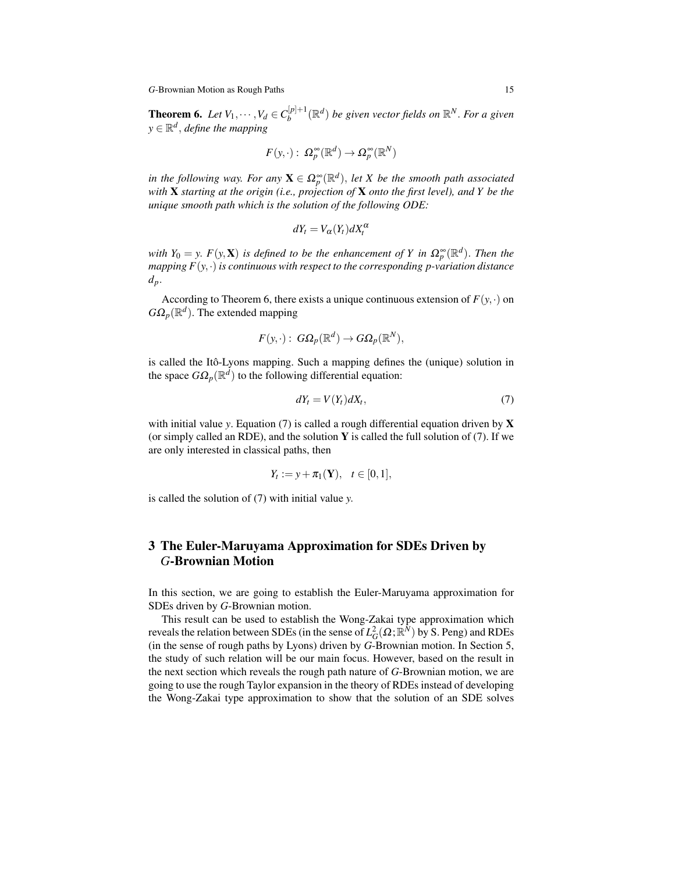**Theorem 6.** Let  $V_1, \dots, V_d \in C_b^{[p]+1}$  $\mathbb{R}^{[p]+1}_b(\mathbb{R}^d)$  be given vector fields on  $\mathbb{R}^N$ . For a given *y* ∈ R *d* , *define the mapping*

$$
F(y, \cdot): \ \Omega_p^{\infty}(\mathbb{R}^d) \to \Omega_p^{\infty}(\mathbb{R}^N)
$$

*in the following way. For any*  $\mathbf{X} \in \Omega_p^{\infty}(\mathbb{R}^d)$ , *let* X *be the smooth path associated with* X *starting at the origin (i.e., projection of* X *onto the first level), and Y be the unique smooth path which is the solution of the following ODE:*

$$
dY_t = V_{\alpha}(Y_t) dX_t^{\alpha}
$$

*with*  $Y_0 = y$ .  $F(y, \mathbf{X})$  *is defined to be the enhancement of Y in*  $\Omega_p^{\infty}(\mathbb{R}^d)$ . *Then the mapping*  $F(y, \cdot)$  *is continuous with respect to the corresponding p-variation distance dp*.

According to Theorem 6, there exists a unique continuous extension of  $F(y, \cdot)$  on  $G\Omega_p(\mathbb{R}^d)$ . The extended mapping

$$
F(y, \cdot): G\Omega_p(\mathbb{R}^d) \to G\Omega_p(\mathbb{R}^N),
$$

is called the Itô-Lyons mapping. Such a mapping defines the (unique) solution in the space  $G\Omega_p(\mathbb{R}^d)$  to the following differential equation:

$$
dY_t = V(Y_t)dX_t, \t\t(7)
$$

with initial value *y*. Equation (7) is called a rough differential equation driven by **X** (or simply called an RDE), and the solution Y is called the full solution of  $(7)$ . If we are only interested in classical paths, then

$$
Y_t := y + \pi_1(\mathbf{Y}), \quad t \in [0,1],
$$

is called the solution of (7) with initial value *y*.

## 3 The Euler-Maruyama Approximation for SDEs Driven by *G*-Brownian Motion

In this section, we are going to establish the Euler-Maruyama approximation for SDEs driven by *G*-Brownian motion.

This result can be used to establish the Wong-Zakai type approximation which reveals the relation between SDEs (in the sense of  $L_G^2(\Omega; \mathbb{R}^N)$  by S. Peng) and RDEs (in the sense of rough paths by Lyons) driven by *G*-Brownian motion. In Section 5, the study of such relation will be our main focus. However, based on the result in the next section which reveals the rough path nature of *G*-Brownian motion, we are going to use the rough Taylor expansion in the theory of RDEs instead of developing the Wong-Zakai type approximation to show that the solution of an SDE solves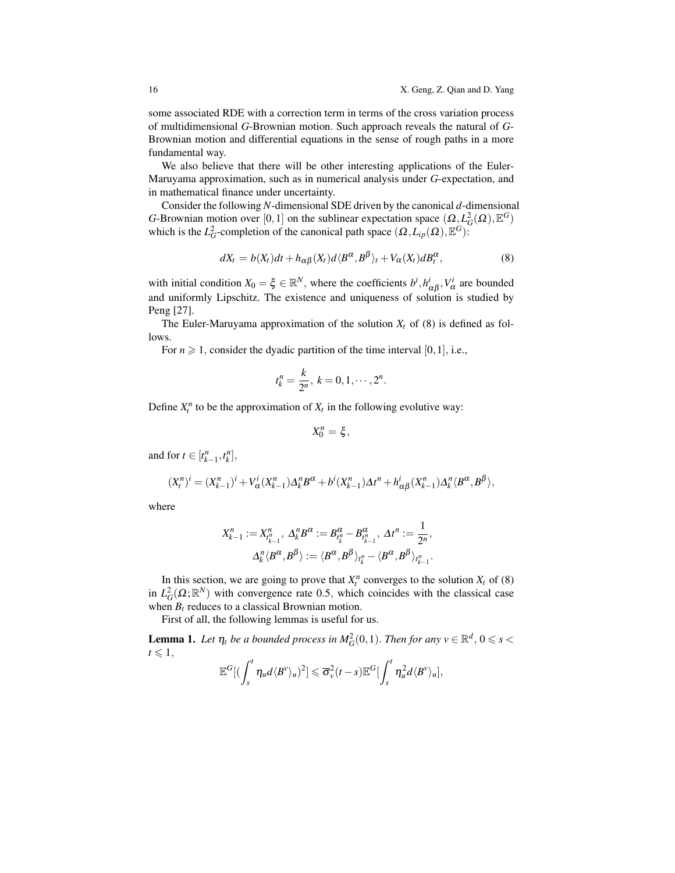some associated RDE with a correction term in terms of the cross variation process of multidimensional *G*-Brownian motion. Such approach reveals the natural of *G*-Brownian motion and differential equations in the sense of rough paths in a more fundamental way.

We also believe that there will be other interesting applications of the Euler-Maruyama approximation, such as in numerical analysis under *G*-expectation, and in mathematical finance under uncertainty.

Consider the following *N*-dimensional SDE driven by the canonical *d*-dimensional *G*-Brownian motion over [0, 1] on the sublinear expectation space  $(\Omega, L_G^2(\Omega), \mathbb{E}^G)$ which is the *L*<sub>*G*</sub>-completion of the canonical path space  $(\Omega, L_p(\Omega), \mathbb{E}^G)$ :

$$
dX_t = b(X_t)dt + h_{\alpha\beta}(X_t)d\langle B^{\alpha}, B^{\beta}\rangle_t + V_{\alpha}(X_t)dB_t^{\alpha},
$$
\n(8)

with initial condition  $X_0 = \xi \in \mathbb{R}^N$ , where the coefficients  $b^i, h^i_{\alpha\beta}, V^i_{\alpha}$  are bounded and uniformly Lipschitz. The existence and uniqueness of solution is studied by Peng [27].

The Euler-Maruyama approximation of the solution  $X_t$  of (8) is defined as follows.

For  $n \geq 1$ , consider the dyadic partition of the time interval [0, 1], i.e.,

$$
t_k^n = \frac{k}{2^n}, \ k = 0, 1, \cdots, 2^n.
$$

Define  $X_t^n$  to be the approximation of  $X_t$  in the following evolutive way:

$$
X_0^n=\xi,
$$

and for  $t \in [t_{k-1}^n, t_k^n]$ ,

$$
(X_t^n)^i = (X_{k-1}^n)^i + V_\alpha^i (X_{k-1}^n) \Delta_k^n B^\alpha + b^i (X_{k-1}^n) \Delta t^n + h^i_{\alpha\beta} (X_{k-1}^n) \Delta_k^n \langle B^\alpha, B^\beta \rangle,
$$

where

$$
X_{k-1}^n:=X_{t_{k-1}^n}^n,\ \Delta_k^n B^\alpha:=B_{t_k^n}^\alpha-B_{t_{k-1}^n}^\alpha,\ \Delta t^n:=\frac{1}{2^n},\\ \Delta_k^n\langle B^\alpha,B^\beta\rangle:=\langle B^\alpha,B^\beta\rangle_{t_{k}^n}-\langle B^\alpha,B^\beta\rangle_{t_{k-1}^n}.
$$

In this section, we are going to prove that  $X_t^n$  converges to the solution  $X_t$  of (8) in  $L_G^2(\Omega;\mathbb{R}^N)$  with convergence rate 0.5, which coincides with the classical case when  $B_t$  reduces to a classical Brownian motion.

First of all, the following lemmas is useful for us.

**Lemma 1.** Let  $\eta_t$  be a bounded process in  $M_G^2(0,1)$ . Then for any  $v \in \mathbb{R}^d$ ,  $0 \le s <$  $t \leqslant 1$ ,

$$
\mathbb{E}^G[(\int_s^t \eta_u d\langle B^\nu \rangle_u)^2] \leq \overline{\sigma}_\nu^2(t-s) \mathbb{E}^G[\int_s^t \eta_u^2 d\langle B^\nu \rangle_u],
$$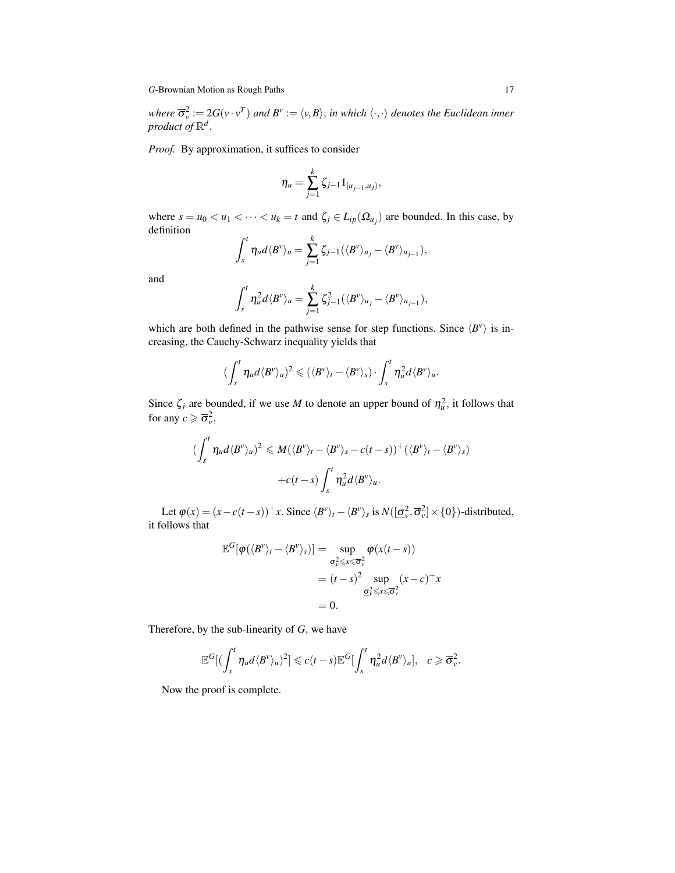where  $\overline{\sigma}_v^2 := 2 G(v \cdot v^T)$  and  $B^v := \langle v, B \rangle$ , *in which*  $\langle \cdot, \cdot \rangle$  denotes the Euclidean inner *product of* R *d* .

*Proof.* By approximation, it suffices to consider

$$
\eta_u = \sum_{j=1}^k \zeta_{j-1} 1_{[u_{j-1}, u_j)},
$$

where  $s = u_0 < u_1 < \cdots < u_k = t$  and  $\zeta_j \in L_{ip}(\Omega_{u_j})$  are bounded. In this case, by definition

$$
\int_{s}^{t} \eta_{u} d \langle B^{\nu} \rangle_{u} = \sum_{j=1}^{k} \zeta_{j-1} (\langle B^{\nu} \rangle_{u_{j}} - \langle B^{\nu} \rangle_{u_{j-1}}),
$$

and

$$
\int_s^t \eta_u^2 d\langle B^\nu \rangle_u = \sum_{j=1}^k \zeta_{j-1}^2 (\langle B^\nu \rangle_{u_j} - \langle B^\nu \rangle_{u_{j-1}}),
$$

which are both defined in the pathwise sense for step functions. Since  $\langle B^v \rangle$  is increasing, the Cauchy-Schwarz inequality yields that

$$
\left(\int_s^t \eta_u d\langle B^\nu \rangle_u\right)^2 \leqslant \left(\langle B^\nu \rangle_t - \langle B^\nu \rangle_s\right) \cdot \int_s^t \eta_u^2 d\langle B^\nu \rangle_u.
$$

Since  $\zeta_j$  are bounded, if we use *M* to denote an upper bound of  $\eta_u^2$ , it follows that for any  $c \geqslant \overline{\sigma}_{\nu}^2$ ,

$$
\begin{aligned} \left(\int_{s}^{t} \eta_{u} d \langle B^{\nu} \rangle_{u}\right)^{2} &\leq M(\langle B^{\nu} \rangle_{t} - \langle B^{\nu} \rangle_{s} - c(t-s))^{+}(\langle B^{\nu} \rangle_{t} - \langle B^{\nu} \rangle_{s}) \\ &+ c(t-s) \int_{s}^{t} \eta_{u}^{2} d \langle B^{\nu} \rangle_{u}. \end{aligned}
$$

Let  $\varphi(x) = (x - c(t - s))^+ x$ . Since  $\langle B^\nu \rangle_t - \langle B^\nu \rangle_s$  is  $N([\underline{\sigma}_\nu^2, \overline{\sigma}_\nu^2] \times \{0\})$ -distributed, it follows that

$$
\mathbb{E}^{G}[\varphi(\langle B^{\nu}\rangle_{t} - \langle B^{\nu}\rangle_{s})] = \sup_{\substack{\sigma_{\nu}^{2} \leq x \leq \overline{\sigma}_{\nu}^{2} \\ \leq t \leq \sigma_{\nu}^{2}}} \varphi(x(t-s))
$$

$$
= (t-s)^{2} \sup_{\substack{\sigma_{\nu}^{2} \leq x \leq \overline{\sigma}_{\nu}^{2} \\ \leq t}} (x-c)^{+}x
$$

$$
= 0.
$$

Therefore, by the sub-linearity of *G*, we have

$$
\mathbb{E}^G[(\int_s^t \eta_u d\langle B^\nu \rangle_u)^2] \leqslant c(t-s) \mathbb{E}^G[\int_s^t \eta_u^2 d\langle B^\nu \rangle_u], \quad c \geqslant \overline{\sigma}_\nu^2.
$$

Now the proof is complete.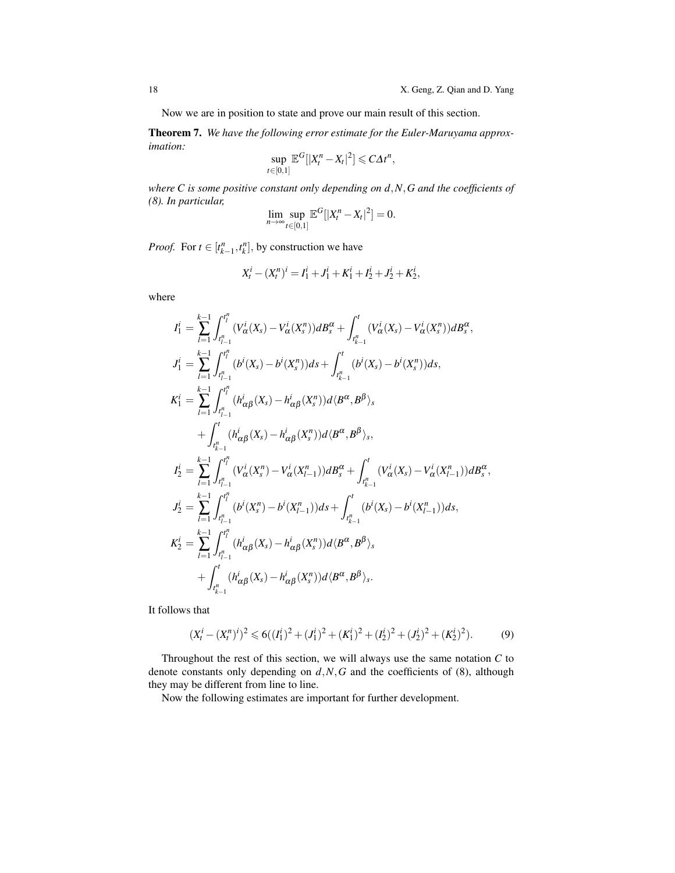Now we are in position to state and prove our main result of this section.

Theorem 7. *We have the following error estimate for the Euler-Maruyama approximation:*

$$
\sup_{t\in[0,1]}\mathbb{E}^G[|X_t^n - X_t|^2] \leqslant C\Delta t^n,
$$

*where C is some positive constant only depending on d*,*N*,*G and the coefficients of (8). In particular,*

$$
\lim_{n\to\infty}\sup_{t\in[0,1]}\mathbb{E}^G[|X_t^n-X_t|^2]=0.
$$

*Proof.* For  $t \in [t_{k-1}^n, t_k^n]$ , by construction we have

$$
X_t^i - (X_t^n)^i = I_1^i + J_1^i + K_1^i + I_2^i + J_2^i + K_2^i,
$$

where

$$
I_{1}^{i} = \sum_{l=1}^{k-1} \int_{t_{l-1}^{n}}^{t_{l}^{n}} (V_{\alpha}^{i}(X_{s}) - V_{\alpha}^{i}(X_{s}^{n}))dB_{s}^{\alpha} + \int_{t_{k-1}^{n}}^{t} (V_{\alpha}^{i}(X_{s}) - V_{\alpha}^{i}(X_{s}^{n}))dB_{s}^{\alpha},
$$
  
\n
$$
J_{1}^{i} = \sum_{l=1}^{k-1} \int_{t_{l-1}^{n}}^{t_{l}^{n}} (b^{i}(X_{s}) - b^{i}(X_{s}^{n}))ds + \int_{t_{k-1}^{n}}^{t} (b^{i}(X_{s}) - b^{i}(X_{s}^{n}))ds,
$$
  
\n
$$
K_{1}^{i} = \sum_{l=1}^{k-1} \int_{t_{l-1}^{n}}^{t_{l}^{n}} (h_{\alpha\beta}^{i}(X_{s}) - h_{\alpha\beta}^{i}(X_{s}^{n}))d\langle B^{\alpha}, B^{\beta} \rangle_{s}
$$
  
\n
$$
+ \int_{t_{k-1}^{n}}^{t} (h_{\alpha\beta}^{i}(X_{s}) - h_{\alpha\beta}^{i}(X_{s}^{n}))d\langle B^{\alpha}, B^{\beta} \rangle_{s},
$$
  
\n
$$
I_{2}^{i} = \sum_{l=1}^{k-1} \int_{t_{l-1}^{n}}^{t_{l}^{n}} (V_{\alpha}^{i}(X_{s}^{n}) - V_{\alpha}^{i}(X_{l-1}^{n}))dB_{s}^{\alpha} + \int_{t_{k-1}^{n}}^{t} (V_{\alpha}^{i}(X_{s}) - V_{\alpha}^{i}(X_{l-1}^{n}))dB_{s}^{\alpha},
$$
  
\n
$$
J_{2}^{i} = \sum_{l=1}^{k-1} \int_{t_{l-1}^{n}}^{t_{l}^{n}} (b^{i}(X_{s}^{n}) - b^{i}(X_{l-1}^{n}))ds + \int_{t_{k-1}^{n}}^{t} (b^{i}(X_{s}) - b^{i}(X_{l-1}^{n}))ds,
$$
  
\n
$$
K_{2}^{i} = \sum_{l=1}^{k-1} \int_{t_{l-1}^{n}}^{t_{l}^{n}} (h_{\alpha\beta}^{i}(X_{s}) -
$$

It follows that

$$
(X_t^i - (X_t^n)^i)^2 \le 6((I_1^i)^2 + (J_1^i)^2 + (K_1^i)^2 + (I_2^i)^2 + (J_2^i)^2 + (K_2^i)^2).
$$
 (9)

Throughout the rest of this section, we will always use the same notation *C* to denote constants only depending on *d*,*N*,*G* and the coefficients of (8), although they may be different from line to line.

Now the following estimates are important for further development.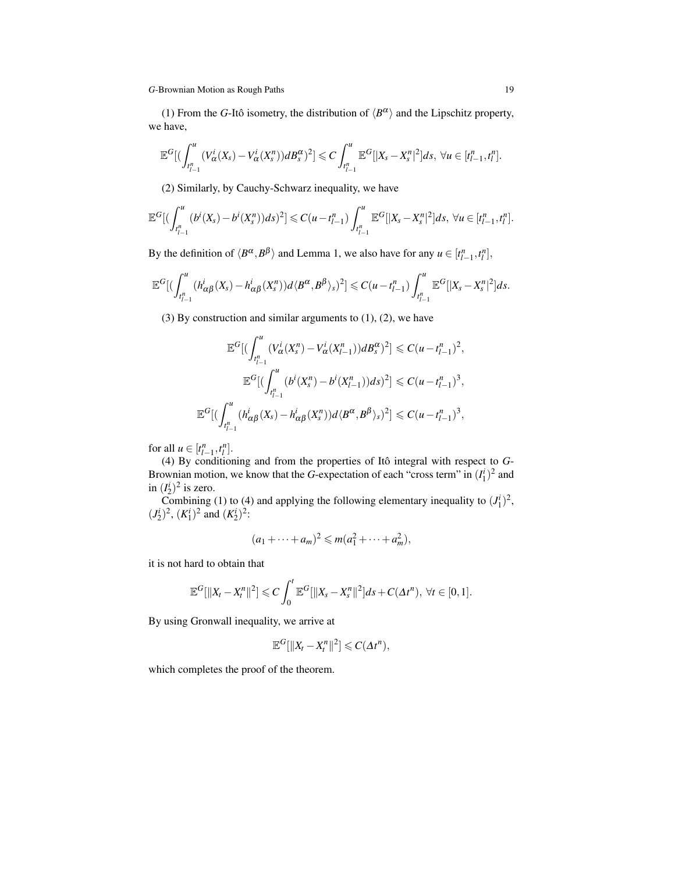(1) From the *G*-Itô isometry, the distribution of  $\langle B^{\alpha} \rangle$  and the Lipschitz property, we have,

$$
\mathbb{E}^{G}[(\int_{t_{l-1}^n}^{u} (V_{\alpha}^i(X_s) - V_{\alpha}^i(X_s^n))dB_s^{\alpha})^2] \leq C \int_{t_{l-1}^n}^{u} \mathbb{E}^{G}[|X_s - X_s^n|^2]ds, \ \forall u \in [t_{l-1}^n, t_l^n].
$$

(2) Similarly, by Cauchy-Schwarz inequality, we have

$$
\mathbb{E}^{G}[(\int_{t_{l-1}^n}^{u} (b^{i}(X_s)-b^{i}(X_s^n))ds)^2] \leq C(u-t_{l-1}^n) \int_{t_{l-1}^n}^{u} \mathbb{E}^{G}[|X_s-X_s^n|^2]ds, \,\forall u \in [t_{l-1}^n,t_l^n].
$$

By the definition of  $\langle B^{\alpha}, B^{\beta} \rangle$  and Lemma 1, we also have for any  $u \in [t_{l-1}^n, t_l^n]$ ,

$$
\mathbb{E}^G\big[\big(\int_{t_{l-1}^n}^u (h_{\alpha\beta}^i(X_s)-h_{\alpha\beta}^i(X_s^n))d\langle B^{\alpha},B^{\beta}\rangle_s)^2\big]\leqslant C(u-t_{l-1}^n)\int_{t_{l-1}^n}^u \mathbb{E}^G\big[|X_s-X_s^n|^2\big]ds.
$$

(3) By construction and similar arguments to  $(1)$ ,  $(2)$ , we have

$$
\mathbb{E}^{G}[(\int_{t_{l-1}^{n}}^{u} (V_{\alpha}^{i}(X_{s}^{n}) - V_{\alpha}^{i}(X_{l-1}^{n}))dB_{s}^{\alpha})^{2}] \leq C(u - t_{l-1}^{n})^{2},
$$
  

$$
\mathbb{E}^{G}[(\int_{t_{l-1}^{n}}^{u} (b^{i}(X_{s}^{n}) - b^{i}(X_{l-1}^{n}))ds)^{2}] \leq C(u - t_{l-1}^{n})^{3},
$$
  

$$
\mathbb{E}^{G}[(\int_{t_{l-1}^{n}}^{u} (h_{\alpha\beta}^{i}(X_{s}) - h_{\alpha\beta}^{i}(X_{s}^{n}))d\langle B^{\alpha}, B^{\beta}\rangle_{s})^{2}] \leq C(u - t_{l-1}^{n})^{3},
$$

for all  $u \in [t_{l-1}^n, t_l^n]$ .

(4) By conditioning and from the properties of Itô integral with respect to G-Brownian motion, we know that the *G*-expectation of each "cross term" in  $(I_1^i)^2$  and in  $(I_2^i)^2$  is zero.

Combining (1) to (4) and applying the following elementary inequality to  $(J_1^i)^2$ ,  $(J_2^i)^2$ ,  $(K_1^i)^2$  and  $(K_2^i)^2$ :

$$
(a_1+\cdots+a_m)^2\leqslant m(a_1^2+\cdots+a_m^2),
$$

it is not hard to obtain that

$$
\mathbb{E}^{G}[||X_{t}-X_{t}^{n}||^{2}] \leq C \int_{0}^{t} \mathbb{E}^{G}[||X_{s}-X_{s}^{n}||^{2}]ds + C(\Delta t^{n}), \ \forall t \in [0,1].
$$

By using Gronwall inequality, we arrive at

$$
\mathbb{E}^G[\|X_t - X_t^n\|^2] \leqslant C(\Delta t^n),
$$

which completes the proof of the theorem.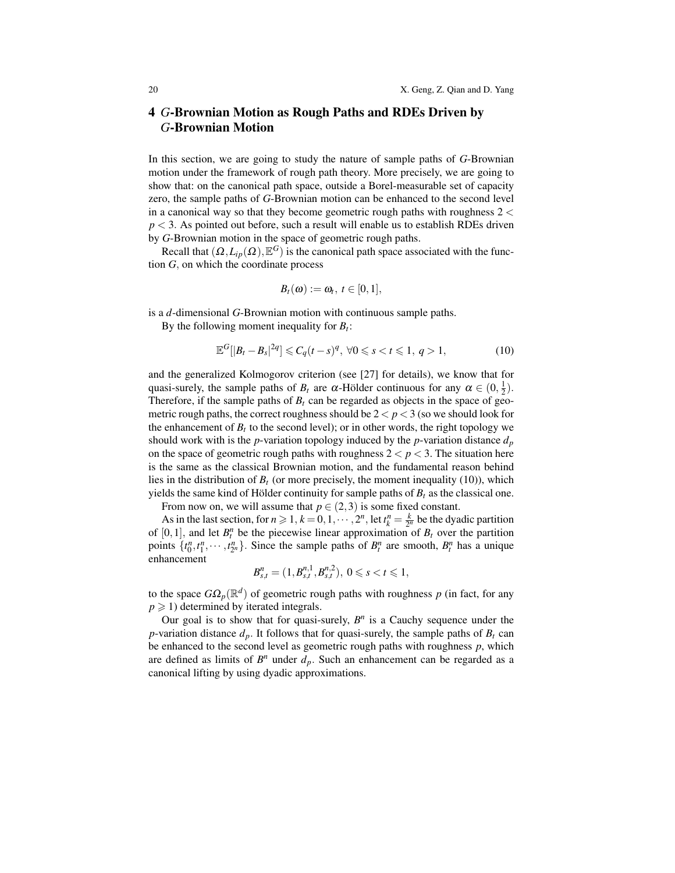# 4 *G*-Brownian Motion as Rough Paths and RDEs Driven by *G*-Brownian Motion

In this section, we are going to study the nature of sample paths of *G*-Brownian motion under the framework of rough path theory. More precisely, we are going to show that: on the canonical path space, outside a Borel-measurable set of capacity zero, the sample paths of *G*-Brownian motion can be enhanced to the second level in a canonical way so that they become geometric rough paths with roughness  $2 <$ *p* < 3. As pointed out before, such a result will enable us to establish RDEs driven by *G*-Brownian motion in the space of geometric rough paths.

Recall that  $(\Omega, L_{ip}(\Omega), \mathbb{E}^G)$  is the canonical path space associated with the function *G*, on which the coordinate process

$$
B_t(\boldsymbol{\omega}):=\boldsymbol{\omega}_t, t\in [0,1],
$$

is a *d*-dimensional *G*-Brownian motion with continuous sample paths.

By the following moment inequality for  $B_t$ :

$$
\mathbb{E}^G[|B_t - B_s|^{2q}] \leq C_q(t - s)^q, \,\forall 0 \leq s < t \leq 1, \, q > 1,\tag{10}
$$

and the generalized Kolmogorov criterion (see [27] for details), we know that for quasi-surely, the sample paths of  $B_t$  are  $\alpha$ -Hölder continuous for any  $\alpha \in (0, \frac{1}{2})$ . Therefore, if the sample paths of  $B_t$  can be regarded as objects in the space of geometric rough paths, the correct roughness should be  $2 < p < 3$  (so we should look for the enhancement of  $B_t$  to the second level); or in other words, the right topology we should work with is the *p*-variation topology induced by the *p*-variation distance *d<sup>p</sup>* on the space of geometric rough paths with roughness  $2 < p < 3$ . The situation here is the same as the classical Brownian motion, and the fundamental reason behind lies in the distribution of  $B_t$  (or more precisely, the moment inequality (10)), which yields the same kind of Hölder continuity for sample paths of  $B_t$  as the classical one.

From now on, we will assume that  $p \in (2,3)$  is some fixed constant.

As in the last section, for  $n \ge 1$ ,  $k = 0, 1, \dots, 2^n$ , let  $t_k^n = \frac{k}{2^n}$  be the dyadic partition of  $[0,1]$ , and let  $B_t^n$  be the piecewise linear approximation of  $B_t$  over the partition points  $\{t_0^n, t_1^n, \dots, t_{2^n}^n\}$ . Since the sample paths of  $B_t^n$  are smooth,  $B_t^n$  has a unique enhancement

$$
B^n_{s,t}=(1,B^{n,1}_{s,t},B^{n,2}_{s,t}),\ 0\leqslant s
$$

to the space  $G\Omega_p(\mathbb{R}^d)$  of geometric rough paths with roughness p (in fact, for any  $p \geq 1$ ) determined by iterated integrals.

Our goal is to show that for quasi-surely,  $B<sup>n</sup>$  is a Cauchy sequence under the *p*-variation distance  $d_p$ . It follows that for quasi-surely, the sample paths of  $B_t$  can be enhanced to the second level as geometric rough paths with roughness *p*, which are defined as limits of  $B<sup>n</sup>$  under  $d<sub>p</sub>$ . Such an enhancement can be regarded as a canonical lifting by using dyadic approximations.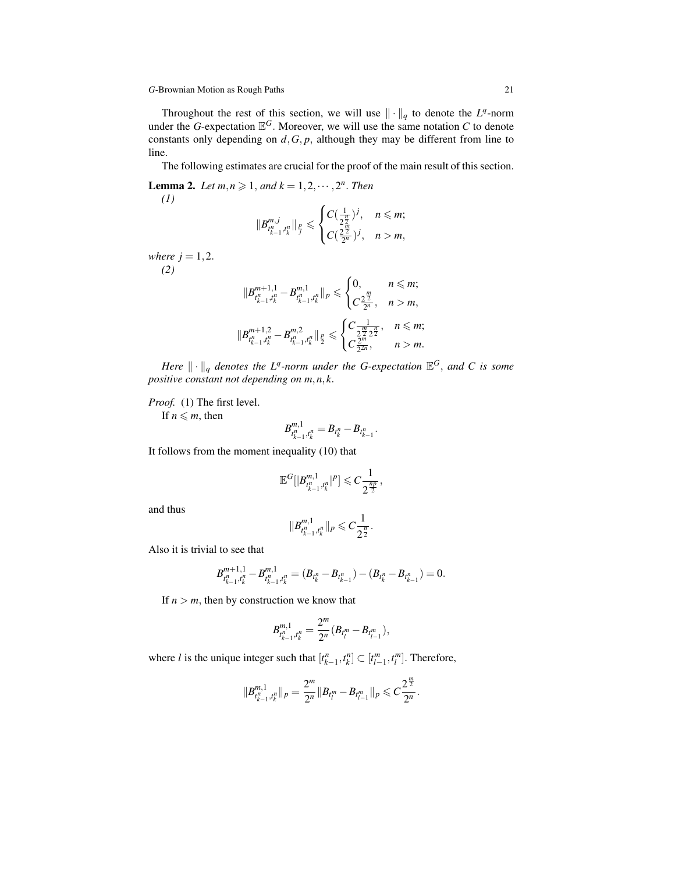Throughout the rest of this section, we will use  $\|\cdot\|_q$  to denote the  $L^q$ -norm under the *G*-expectation  $\mathbb{E}^G$ . Moreover, we will use the same notation *C* to denote constants only depending on  $d$ ,  $G$ ,  $p$ , although they may be different from line to line.

The following estimates are crucial for the proof of the main result of this section.

**Lemma 2.** *Let*  $m, n \ge 1$ , *and*  $k = 1, 2, \dots, 2^n$ . *Then (1)*  $\lambda$ 

$$
||B_{t_{k-1}^n,t_k^n}^{m,j}||_p \leqslant \begin{cases} C(\frac{1}{2^n})^j, & n \leqslant m; \\ C(\frac{2^n}{2^n})^j, & n > m, \end{cases}
$$

*where*  $j = 1, 2$ . *(2)*

$$
||B_{t_{k-1}^n,t_k^n}^{m+1,1}-B_{t_{k-1}^n,t_k^n}^{m,1}||_p\leq \begin{cases} 0, & n\leq m;\\ C\frac{2^{\frac{m}{2}}}{2^n}, & n>m, \end{cases}
$$
  

$$
||B_{t_{k-1}^n,t_k^n}^{m+1,2}-B_{t_{k-1}^n,t_k^n}^{m,2}||_p\leq \begin{cases} C\frac{1}{2^{\frac{m}{2}}2^{\frac{n}{2}}}, & n\leq m;\\ C\frac{2^{\frac{m}{2}}}{2^{2n}}, & n>m. \end{cases}
$$

Here  $\|\cdot\|_q$  denotes the L<sup>q</sup>-norm under the G-expectation  $\mathbb{E}^G$ , and C is some *positive constant not depending on m*,*n*, *k*.

*Proof.* (1) The first level.

If  $n \leq m$ , then

$$
B_{t_{k-1}^n,t_k^n}^{m,1}=B_{t_k^n}-B_{t_{k-1}^n}.
$$

It follows from the moment inequality (10) that

$$
\mathbb{E}^{G}[|B^{m,1}_{t_{k-1}^n,t_k^n}|^p] \leq C \frac{1}{2^{\frac{np}{2}}},
$$

and thus

$$
||B_{t_{k-1}^n,t_k^n}^{m,1}||_p \leqslant C \frac{1}{2^{\frac{n}{2}}}.
$$

Also it is trivial to see that

$$
B^{m+1,1}_{t_{k-1}^n,t_k^n}-B^{m,1}_{t_{k-1}^n,t_k^n}=(B_{t_k^n}-B_{t_{k-1}^n})-(B_{t_k^n}-B_{t_{k-1}^n})=0.
$$

If  $n > m$ , then by construction we know that

$$
B^{m,1}_{t_{k-1}^n,t_k^n}=\frac{2^m}{2^n}(B_{t_l^m}-B_{t_{l-1}^m}),
$$

where *l* is the unique integer such that  $[t_{k-1}^n, t_k^n] \subset [t_{l-1}^m, t_l^m]$ . Therefore,

$$
\|B^{m,1}_{t^{n}_{k-1},t^{n}_{k}}\|_{p}=\frac{2^{m}}{2^{n}}\|B_{t^{m}_{l}}-B_{t^{m}_{l-1}}\|_{p}\leqslant C\frac{2^{\frac{m}{2}}}{2^{n}}.
$$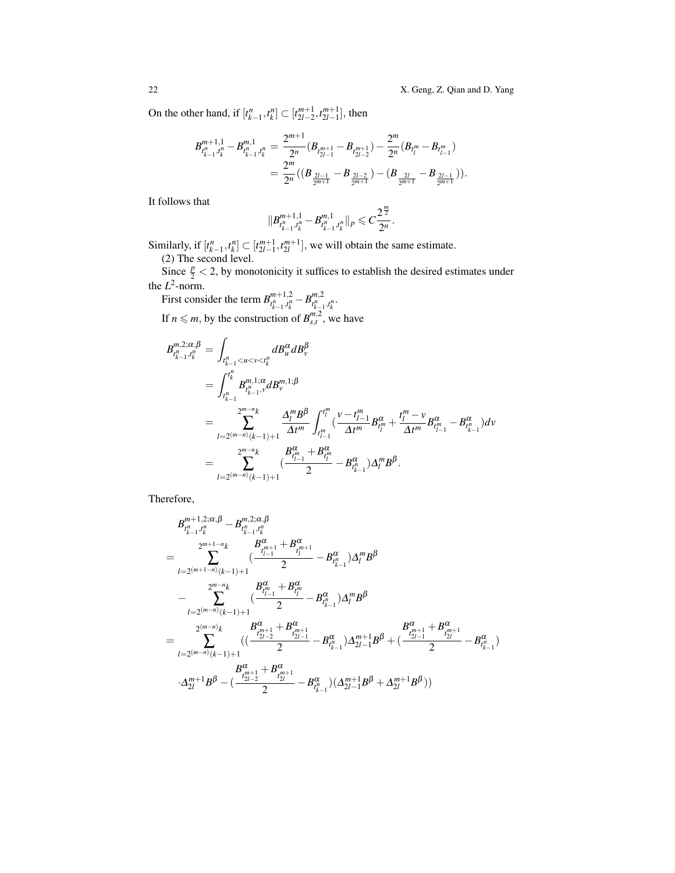On the other hand, if  $[t_{k-1}^n, t_k^n] \subset [t_{2l-2}^{m+1}, t_{2l-1}^{m+1}]$ , then

$$
\begin{aligned} B_{t_{k-1}^n,t_k^n}^{m+1,1}-B_{t_{k-1}^n,t_k^n}^{m,1} &= \frac{2^{m+1}}{2^n}(B_{t_{2l-1}^{m+1}}-B_{t_{2l-2}^{m+1}})-\frac{2^m}{2^n}(B_{t_l^m}-B_{t_{l-1}^m})\\ &= \frac{2^m}{2^n}((B_{\frac{2l-1}{2^{m+1}}}-B_{\frac{2l-2}{2^{m+1}}})-(B_{\frac{2l-1}{2^{m+1}}}-B_{\frac{2l-1}{2^{m+1}}})). \end{aligned}
$$

It follows that

$$
||B_{t_{k-1}^n,t_k^n}^{m+1,1}-B_{t_{k-1}^n,t_k^n}^{m,1}||_p\leqslant C\frac{2^{\frac{m}{2}}}{2^n}.
$$

Similarly, if  $[t_{k-1}^n, t_k^n] \subset [t_{2l-1}^{m+1}, t_{2l}^{m+1}]$ , we will obtain the same estimate. (2) The second level.

Since  $\frac{p}{2}$  < 2, by monotonicity it suffices to establish the desired estimates under the  $L^2$ -norm.

First consider the term  $B_{n}^{m+1,2}$  $t^{n}_{k-1}, t^{n}_{k} - B^{m,2}_{t^{n}_{k-1}}$  $t_{k-1}^n, t_k^n$ . If  $n \le m$ , by the construction of  $B^{m,2}_{s,t}$ , we have

$$
\begin{split} B_{t_{k-1}^n,t_k^n}^{m,2;\alpha,\beta} &= \int_{t_{k-1}^n < u < v < t_k^n} d B_u^\alpha d B_v^\beta \\ &= \int_{t_{k-1}^n}^{t_k^n} B_{t_{k-1}^n,v}^{m,1;\alpha} d B_v^{m,1;\beta} \\ &= \sum_{l=2^{(m-n)}(k-1)+1}^{2^{m-n_k}} \frac{\Delta_l^m B^\beta}{\Delta t^m} \int_{t_{l-1}^m}^{t_l^m} (\frac{v-t_{l-1}^m}{\Delta t^m} B_{t_l^m}^\alpha + \frac{t_l^m - v}{\Delta t^m} B_{t_{l-1}^m}^\alpha - B_{t_{k-1}^n}^\alpha) dv \\ &= \sum_{l=2^{(m-n)}(k-1)+1}^{2^{m-n_k}} (\frac{B_{t_{l-1}^m}^\alpha}{2} - B_{t_{k-1}^m}^\alpha) \Delta_l^m B^\beta. \end{split}
$$

Therefore,

$$
\begin{split} & B^{m+1,2;\alpha,\beta}_{t^{n}_{k-1},t^{n}_{k}}-B^{m,2;\alpha,\beta}_{t^{n}_{k-1},t^{n}_{k}} \\ &= \sum_{l=2^{(m+1-n)}(k-1)+1}^{2^{m+1-n_{k}}}(\frac{B^{\alpha}_{t^{m+1}}+B^{\alpha}_{t^{m+1}}}{2}-B^{\alpha}_{t^{n}_{k-1}})\Delta^{m}_{l}B^{\beta} \\ &-\sum_{l=2^{(m-n)}(k-1)+1}^{2^{m-n_{k}}}(\frac{B^{\alpha}_{t^{m}_{l-1}}+B^{\alpha}_{t^{m}_{l}}}{2}-B^{\alpha}_{t^{n}_{k-1}})\Delta^{m}_{l}B^{\beta} \\ &= \sum_{l=2^{(m-n)}(k-1)+1}^{2^{(m-n)}(k-1)+1}(\frac{B^{\alpha}_{t^{m+1}}+B^{\alpha}_{t^{m}_{k-1}}}{2}-B^{\alpha}_{t^{n}_{k-1}})\Delta^{m+1}_{2l-1}B^{\beta}+(\frac{B^{\alpha}_{t^{m+1}}+B^{\alpha}_{t^{m}_{k-1}}}{2}-B^{\alpha}_{t^{n}_{k-1}}) \\ &\cdot \Delta^{m+1}_{2l}B^{\beta}-(\frac{B^{\alpha}_{t^{m+1}}+B^{\alpha}_{t^{m}_{2l}}}{2}-B^{\alpha}_{t^{n}_{k-1}})(\Delta^{m+1}_{2l-1}B^{\beta}+\Delta^{m+1}_{2l}B^{\beta})) \end{split}
$$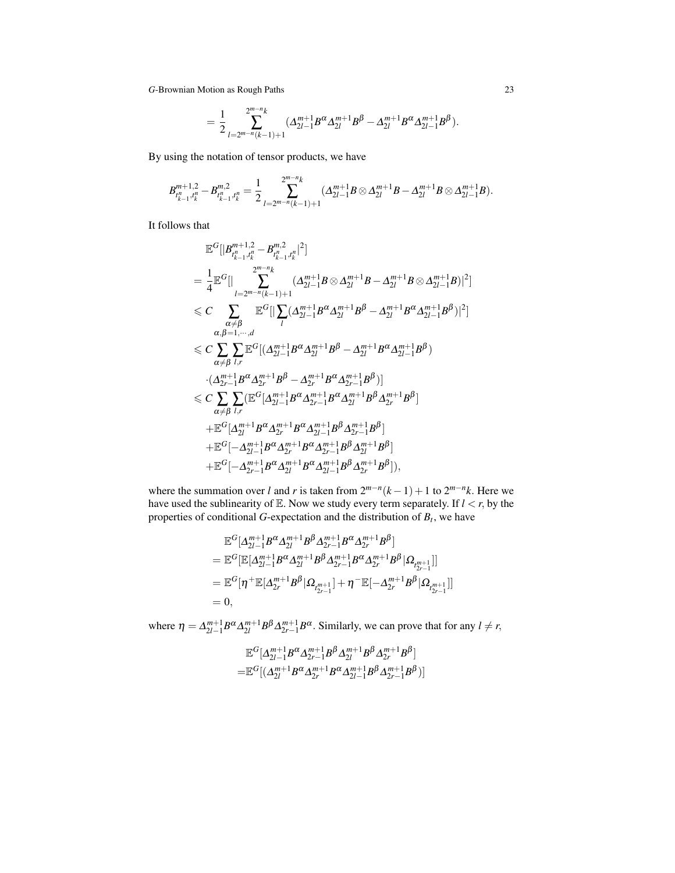$$
=\frac{1}{2}\sum_{l=2^{m-n}(k-1)+1}^{2^{m-n}k}(\Delta_{2l-1}^{m+1}B^{\alpha}\Delta_{2l}^{m+1}B^{\beta}-\Delta_{2l}^{m+1}B^{\alpha}\Delta_{2l-1}^{m+1}B^{\beta}).
$$

By using the notation of tensor products, we have

$$
B_{t_{k-1}^n,t_k^n}^{m+1,2}-B_{t_{k-1}^n,t_k^n}^{m,2}=\frac{1}{2}\sum_{l=2^{m-n}(k-1)+1}^{2^{m-n}k}(\varDelta_{2l-1}^{m+1}B\otimes\varDelta_{2l}^{m+1}B-\varDelta_{2l}^{m+1}B\otimes\varDelta_{2l-1}^{m+1}B).
$$

It follows that

$$
\begin{split} &\mathbb{E}^G[|B^{m+1,2}_{I^n_{k-1},I^n_{k}}-B^{m,2}_{I^n_{k-1},I^n_{k}}|^2]\\ &=\frac{1}{4}\mathbb{E}^G[|\sum_{l=2^{m-n}(k-1)+1}^{2^{m-n}k}(\Delta^{m+1}_{2l-1}B\otimes \Delta^{m+1}_{2l}B-\Delta^{m+1}_{2l}B\otimes \Delta^{m+1}_{2l-1}B)|^2]\\ &\leq C\sum_{\substack{\alpha\neq \beta\\ \alpha,\beta=1,\cdots,d}}\mathbb{E}^G[|\sum_{l}(\Delta^{m+1}_{2l-1}B^\alpha \Delta^{m+1}_{2l}B^\beta-\Delta^{m+1}_{2l}B^\alpha \Delta^{m+1}_{2l-1}B^\beta)|^2]\\ &\leq C\sum_{\substack{\alpha\neq \beta\\ \alpha\neq \beta}}\sum_{l,r}\mathbb{E}^G[(\Delta^{m+1}_{2l-1}B^\alpha \Delta^{m+1}_{2l}B^\beta-\Delta^{m+1}_{2l}B^\alpha \Delta^{m+1}_{2l-1}B^\beta)\\ &\cdot(\Delta^{m+1}_{2r-1}B^\alpha \Delta^{m+1}_{2r}B^\beta-\Delta^{m+1}_{2r}B^\alpha \Delta^{m+1}_{2r-1}B^\beta)]\\ &\leq C\sum_{\substack{\alpha\neq \beta\\ \alpha\neq \beta}}\sum_{l,r}(\mathbb{E}^G[\Delta^{m+1}_{2l-1}B^\alpha \Delta^{m+1}_{2r-1}B^\alpha \Delta^{m+1}_{2l}B^\beta \Delta^{m+1}_{2r}B^\beta]\\ &\quad+\mathbb{E}^G[\Delta^{m+1}_{2l}B^\alpha \Delta^{m+1}_{2r}B^\alpha \Delta^{m+1}_{2l-1}B^\beta \Delta^{m+1}_{2r-1}B^\beta]\\ &\quad+\mathbb{E}^G[-\Delta^{m+1}_{2l-1}B^\alpha \Delta^{m+1}_{2r}B^\alpha \Delta^{m+1}_{2l-1}B^\beta \Delta^{m+1}_{2r}B^\beta]\\ &\quad+\mathbb{E}^G[-\Delta^{m+1}_{2r-1}B^\alpha \Delta^{m+1}_{2r}B^\alpha \Delta^{m+1}_{2r-1}B^\beta \Delta^{m+1}_{2r}B^\beta],\\ \end{split}
$$

where the summation over *l* and *r* is taken from  $2^{m-n}(k-1) + 1$  to  $2^{m-n}k$ . Here we have used the sublinearity of  $E$ . Now we study every term separately. If  $l < r$ , by the properties of conditional *G*-expectation and the distribution of *B<sup>t</sup>* , we have

$$
\mathbb{E}^{G}[\Delta_{2l-1}^{m+1}B^{\alpha}\Delta_{2l}^{m+1}B^{\beta}\Delta_{2r-1}^{m+1}B^{\alpha}\Delta_{2r}^{m+1}B^{\beta}]
$$
\n
$$
= \mathbb{E}^{G}[\mathbb{E}[\Delta_{2l-1}^{m+1}B^{\alpha}\Delta_{2l}^{m+1}B^{\beta}\Delta_{2r-1}^{m+1}B^{\alpha}\Delta_{2r}^{m+1}B^{\beta}|\Omega_{t_{2r-1}^{m+1}}]]
$$
\n
$$
= \mathbb{E}^{G}[\eta^{+}\mathbb{E}[\Delta_{2r}^{m+1}B^{\beta}|\Omega_{t_{2r-1}^{m+1}}] + \eta^{-}\mathbb{E}[-\Delta_{2r}^{m+1}B^{\beta}|\Omega_{t_{2r-1}^{m+1}}]]
$$
\n
$$
= 0,
$$

where  $\eta = \Delta_{2l-1}^{m+1} B^{\alpha} \Delta_{2l}^{m+1} B^{\beta} \Delta_{2r-1}^{m+1} B^{\alpha}$ . Similarly, we can prove that for any  $l \neq r$ ,

$$
\begin{aligned} &\mathbb{E}^{G}[\varDelta_{2l-1}^{m+1}B^{\alpha}\varDelta_{2r-1}^{m+1}B^{\beta}\varDelta_{2l}^{m+1}B^{\beta}\varDelta_{2r}^{m+1}B^{\beta}]\\ =&\mathbb{E}^{G}[(\varDelta_{2l}^{m+1}B^{\alpha}\varDelta_{2r}^{m+1}B^{\alpha}\varDelta_{2l-1}^{m+1}B^{\beta}\varDelta_{2r-1}^{m+1}B^{\beta})]\end{aligned}
$$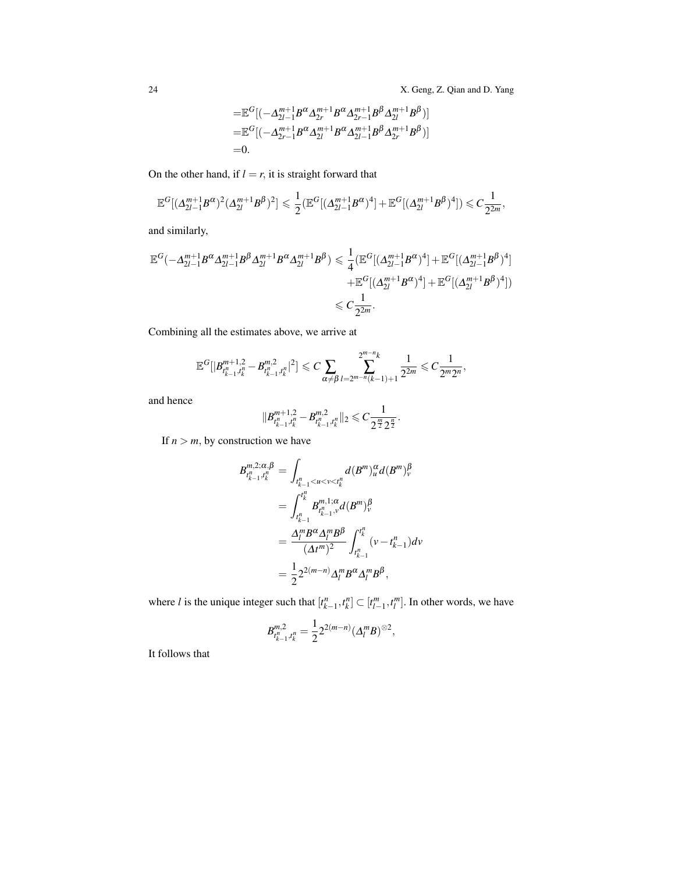24 X. Geng, Z. Qian and D. Yang

$$
= \mathbb{E}^{G} [(-\Delta_{2l-1}^{m+1} B^{\alpha} \Delta_{2r}^{m+1} B^{\alpha} \Delta_{2r-1}^{m+1} B^{\beta} \Delta_{2l}^{m+1} B^{\beta})]
$$
  
\n
$$
= \mathbb{E}^{G} [(-\Delta_{2r-1}^{m+1} B^{\alpha} \Delta_{2l}^{m+1} B^{\alpha} \Delta_{2l-1}^{m+1} B^{\beta} \Delta_{2r}^{m+1} B^{\beta})]
$$
  
\n=0.

On the other hand, if  $l = r$ , it is straight forward that

$$
\mathbb{E}^{G}[(\Delta_{2l-1}^{m+1}B^{\alpha})^{2}(\Delta_{2l}^{m+1}B^{\beta})^{2}] \leq \frac{1}{2}(\mathbb{E}^{G}[(\Delta_{2l-1}^{m+1}B^{\alpha})^{4}] + \mathbb{E}^{G}[(\Delta_{2l}^{m+1}B^{\beta})^{4}]) \leq C\frac{1}{2^{2m}},
$$

and similarly,

$$
\mathbb{E}^{G}(-\Delta_{2l-1}^{m+1}B^{\alpha}\Delta_{2l-1}^{m+1}B^{\beta}\Delta_{2l}^{m+1}B^{\alpha}\Delta_{2l}^{m+1}B^{\beta}) \leq \frac{1}{4}(\mathbb{E}^{G}[(\Delta_{2l-1}^{m+1}B^{\alpha})^{4}] + \mathbb{E}^{G}[(\Delta_{2l-1}^{m+1}B^{\beta})^{4}]
$$
  
 
$$
+ \mathbb{E}^{G}[(\Delta_{2l}^{m+1}B^{\alpha})^{4}] + \mathbb{E}^{G}[(\Delta_{2l}^{m+1}B^{\beta})^{4}])
$$
  
 
$$
\leq C\frac{1}{2^{2m}}.
$$

Combining all the estimates above, we arrive at

$$
\mathbb{E}^{G}[|B^{m+1,2}_{t^{n}_{k-1},t^{n}_{k}}-B^{m,2}_{t^{n}_{k-1},t^{n}_{k}}|^2] \leqslant C \sum_{\alpha\neq\beta}\sum_{l=2^{m-n}(k-1)+1}^{2^{m-n}k}\frac{1}{2^{2m}} \leqslant C\frac{1}{2^m2^n},
$$

and hence

$$
||B_{t_{k-1}^n,t_k^n}^{m+1,2}-B_{t_{k-1}^n,t_k^n}^{m,2}||_2 \leq C\frac{1}{2^{\frac{m}{2}}2^{\frac{n}{2}}}.
$$

If  $n > m$ , by construction we have

$$
B_{t_{k-1}^n, t_k^n}^{m, 2; \alpha, \beta} = \int_{t_{k-1}^n < u < v < t_k^n} d(B^m)_u^\alpha d(B^m)_v^\beta
$$
  
\n
$$
= \int_{t_{k-1}^n}^{t_k^n} B_{t_{k-1}^n, v}^{m, 1; \alpha} d(B^m)_v^\beta
$$
  
\n
$$
= \frac{\Delta_l^m B^\alpha \Delta_l^m B^\beta}{(\Delta t^m)^2} \int_{t_{k-1}^n}^{t_k^n} (v - t_{k-1}^n) dv
$$
  
\n
$$
= \frac{1}{2} 2^{2(m-n)} \Delta_l^m B^\alpha \Delta_l^m B^\beta,
$$

where *l* is the unique integer such that  $[t_{k-1}^n, t_k^n] \subset [t_{l-1}^m, t_l^m]$ . In other words, we have

$$
B_{t_{k-1}^n,t_k^n}^{m,2} = \frac{1}{2} 2^{2(m-n)} (\Delta_l^m B)^{\otimes 2},
$$

It follows that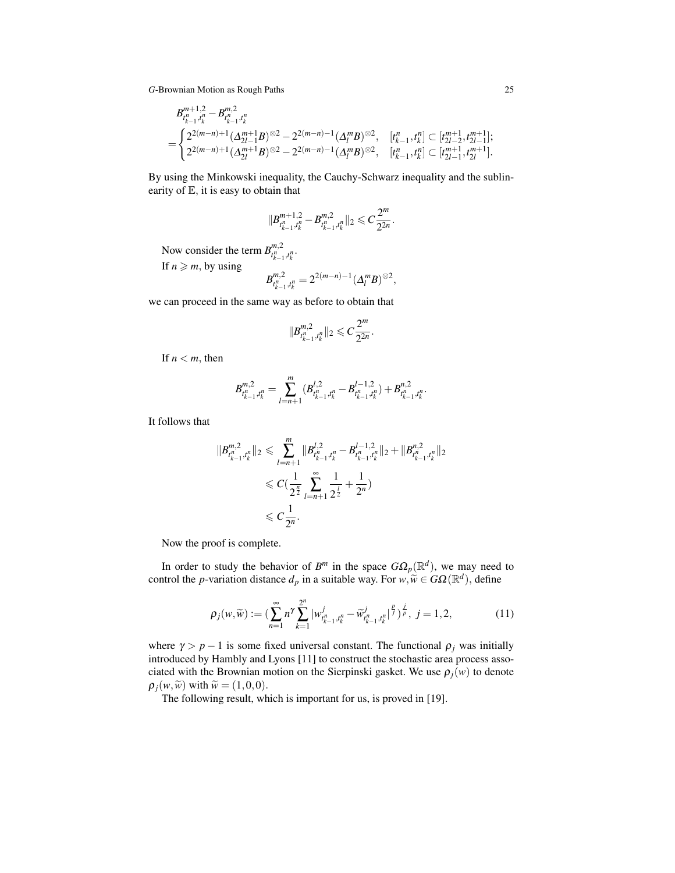$$
B^{m+1,2}_{t_{k-1}^n,t_k^n}-B^{m,2}_{t_{k-1}^n,t_k^n} =\begin{cases} 2^{2(m-n)+1}(\Delta_{2l-1}^{m+1}B)^{\otimes 2}-2^{2(m-n)-1}(\Delta_l^mB)^{\otimes 2}, & [t_{k-1}^n,t_k^n] \subset [t_{2l-2}^{m+1},t_{2l-1}^{m+1}] \\ 2^{2(m-n)+1}(\Delta_{2l}^{m+1}B)^{\otimes 2}-2^{2(m-n)-1}(\Delta_l^mB)^{\otimes 2}, & [t_{k-1}^n,t_k^n] \subset [t_{2l-1}^{m+1},t_{2l}^{m+1}]. \end{cases}
$$

By using the Minkowski inequality, the Cauchy-Schwarz inequality and the sublinearity of  $E$ , it is easy to obtain that

$$
\|B^{m+1,2}_{l_{k-1}^n, l_k^n}-B^{m,2}_{l_{k-1}^n, l_k^n}\|_2\leqslant C\tfrac{2^m}{2^{2n}}.
$$

Now consider the term  $B_{\mu}^{m,2}$  $t_{k-1}^n, t_k^n$ .

If  $n \ge m$ , by using

$$
B_{t_{k-1}^n,t_k^n}^{m,2}=2^{2(m-n)-1}(\Delta_l^m B)^{\otimes 2},
$$

we can proceed in the same way as before to obtain that

$$
||B_{t_{k-1}^n,t_k^n}^{m,2}||_2 \leqslant C \frac{2^m}{2^{2n}}.
$$

If  $n < m$ , then

$$
B_{t_{k-1}^n,t_k^n}^{m,2}=\sum_{l=n+1}^m (B_{t_{k-1}^n,t_k^n}^{l,2}-B_{t_{k-1}^n,t_k^n}^{l-1,2})+B_{t_{k-1}^n,t_k^n}^{n,2}.
$$

It follows that

$$
||B_{t_{k-1}^n,t_k^n}^{m,2}||_2 \leq \sum_{l=n+1}^m ||B_{t_{k-1}^n,t_k^n}^{l,2} - B_{t_{k-1}^n,t_k^n}^{l-1,2}||_2 + ||B_{t_{k-1}^n,t_k^n}^{n,2}||_2
$$
  

$$
\leq C(\frac{1}{2^{\frac{n}{2}}}\sum_{l=n+1}^{\infty}\frac{1}{2^{\frac{1}{2}}} + \frac{1}{2^n})
$$
  

$$
\leq C\frac{1}{2^n}.
$$

Now the proof is complete.

In order to study the behavior of  $B^m$  in the space  $G\Omega_p(\mathbb{R}^d)$ , we may need to control the *p*-variation distance  $d_p$  in a suitable way. For  $w, \widetilde{w} \in G\Omega(\mathbb{R}^d)$ , define

$$
\rho_j(w,\widetilde{w}) := \left(\sum_{n=1}^{\infty} n^{\gamma} \sum_{k=1}^{2^n} |w_{t_{k-1}^n,t_k^n}^j - \widetilde{w}_{t_{k-1}^n,t_k^n}^j|^{\frac{p}{j}}\right)^{\frac{j}{p}}, \ j = 1, 2, \tag{11}
$$

where  $\gamma > p - 1$  is some fixed universal constant. The functional  $\rho_j$  was initially introduced by Hambly and Lyons [11] to construct the stochastic area process associated with the Brownian motion on the Sierpinski gasket. We use  $\rho_i(w)$  to denote  $\rho_i(w, \widetilde{w})$  with  $\widetilde{w} = (1, 0, 0)$ .

The following result, which is important for us, is proved in [19].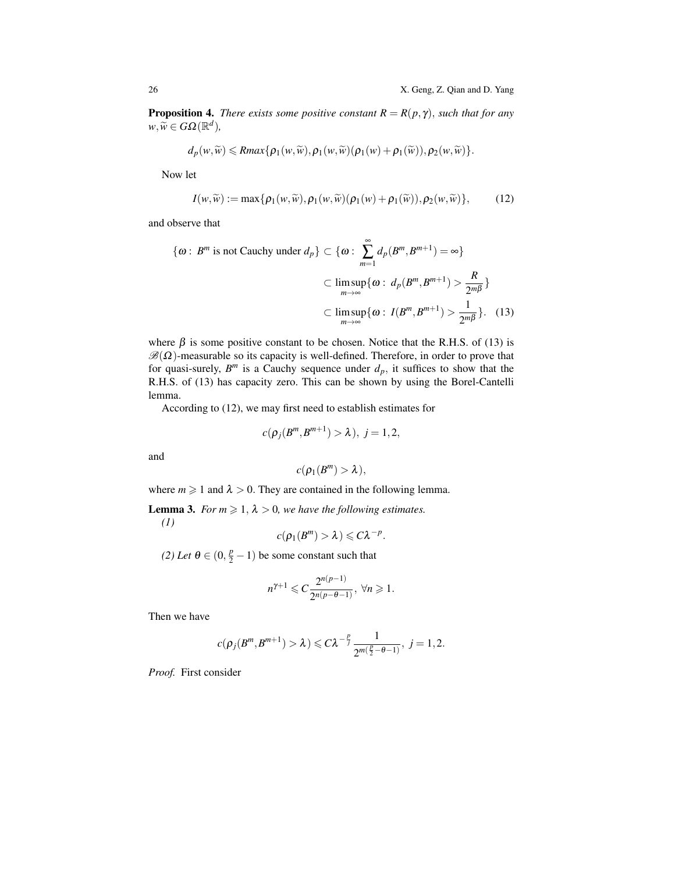**Proposition 4.** *There exists some positive constant*  $R = R(p, \gamma)$ *, such that for any*  $w, \widetilde{w} \in G\Omega(\mathbb{R}^d)$ ,

$$
d_p(w,\widetilde{w}) \leq Rmax\{p_1(w,\widetilde{w}),p_1(w,\widetilde{w})(p_1(w)+p_1(\widetilde{w})),p_2(w,\widetilde{w})\}.
$$

Now let

$$
I(w,\widetilde{w}) := \max\{\rho_1(w,\widetilde{w}),\rho_1(w,\widetilde{w})(\rho_1(w)+\rho_1(\widetilde{w})),\rho_2(w,\widetilde{w})\},\qquad(12)
$$

and observe that

$$
\{\omega : B^m \text{ is not Cauchy under } d_p\} \subset \{\omega : \sum_{m=1}^{\infty} d_p(B^m, B^{m+1}) = \infty\}
$$

$$
\subset \limsup_{m \to \infty} \{\omega : d_p(B^m, B^{m+1}) > \frac{R}{2^m \beta}\}
$$

$$
\subset \limsup_{m \to \infty} \{\omega : I(B^m, B^{m+1}) > \frac{1}{2^m \beta}\}.
$$
 (13)

where  $\beta$  is some positive constant to be chosen. Notice that the R.H.S. of (13) is  $\mathscr{B}(\Omega)$ -measurable so its capacity is well-defined. Therefore, in order to prove that for quasi-surely,  $B^m$  is a Cauchy sequence under  $d_p$ , it suffices to show that the R.H.S. of (13) has capacity zero. This can be shown by using the Borel-Cantelli lemma.

According to (12), we may first need to establish estimates for

$$
c(\rho_j(B^m,B^{m+1})>\lambda),\ j=1,2,
$$

and

$$
c(\rho_1(B^m)>\lambda),
$$

where  $m \ge 1$  and  $\lambda > 0$ . They are contained in the following lemma.

**Lemma 3.** *For m*  $\geq 1$ ,  $\lambda > 0$ *, we have the following estimates.* 

*(1)*

$$
c(\rho_1(B^m)>\lambda)\leqslant C\lambda^{-p}.
$$

(2) Let  $\theta \in (0, \frac{p}{2} - 1)$  be some constant such that

$$
n^{\gamma+1} \leqslant C \frac{2^{n(p-1)}}{2^{n(p-\theta-1)}}, \ \forall n \geqslant 1.
$$

Then we have

$$
c(\rho_j(B^m,B^{m+1})>\lambda)\leq C\lambda^{-\frac{p}{j}}\frac{1}{2^{m(\frac{p}{2}-\theta-1)}},\ j=1,2.
$$

*Proof.* First consider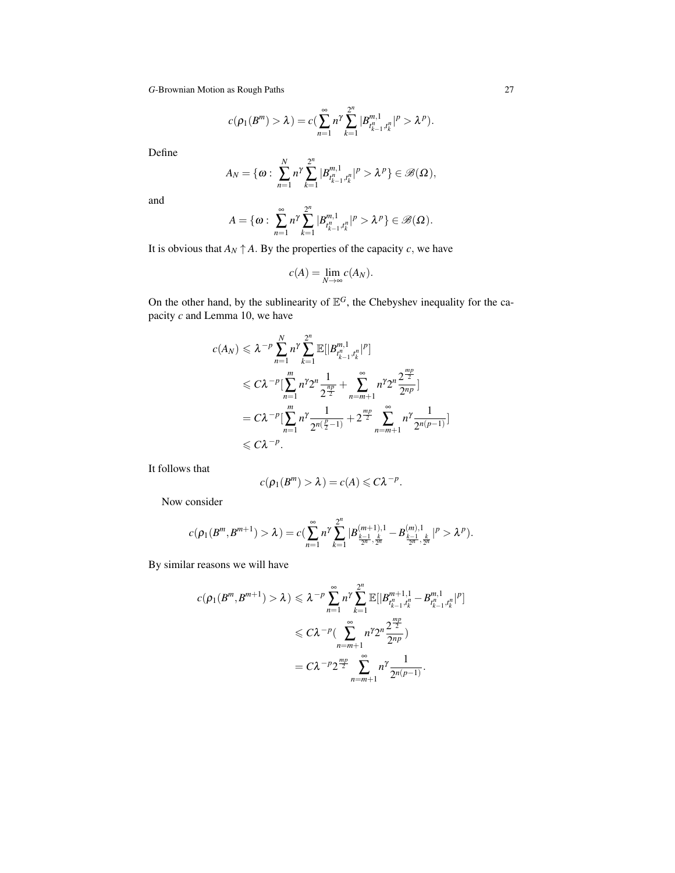$$
c(\rho_1(B^m) > \lambda) = c(\sum_{n=1}^{\infty} n^{\gamma} \sum_{k=1}^{2^n} |B^{m,1}_{t_k^n-1,t_k^n}|^p > \lambda^p).
$$

Define

$$
A_N = \{ \boldsymbol{\omega} : \sum_{n=1}^N n^{\gamma} \sum_{k=1}^{2^n} |B^{m,1}_{t_{k-1}^n,t_k^n}|^p > \lambda^p \} \in \mathscr{B}(\Omega),
$$

and

$$
A = \{ \boldsymbol{\omega} : \sum_{n=1}^{\infty} n^{\gamma} \sum_{k=1}^{2^n} |B_{t_{k-1}^n,t_k^n}^{m,1}|^p > \lambda^p \} \in \mathscr{B}(\Omega).
$$

It is obvious that  $A_N \uparrow A$ . By the properties of the capacity *c*, we have

*n*

$$
c(A) = \lim_{N \to \infty} c(A_N).
$$

On the other hand, by the sublinearity of  $\mathbb{E}^G$ , the Chebyshev inequality for the capacity *c* and Lemma 10, we have

$$
c(A_N) \le \lambda^{-p} \sum_{n=1}^N n^{\gamma} \sum_{k=1}^{2^n} \mathbb{E}[|B_{t_{k-1}^n, t_k^n}^{m,1}|^p]
$$
  
\n
$$
\le C\lambda^{-p} \Big[\sum_{n=1}^m n^{\gamma} 2^n \frac{1}{2^{\frac{np}{2}}} + \sum_{n=m+1}^{\infty} n^{\gamma} 2^n \frac{2^{\frac{mp}{2}}}{2^{np}}\Big]
$$
  
\n
$$
= C\lambda^{-p} \Big[\sum_{n=1}^m n^{\gamma} \frac{1}{2^{n(\frac{p}{2}-1)}} + 2^{\frac{mp}{2}} \sum_{n=m+1}^{\infty} n^{\gamma} \frac{1}{2^{n(p-1)}}\Big]
$$
  
\n
$$
\le C\lambda^{-p}.
$$

It follows that

$$
c(\rho_1(B^m) > \lambda) = c(A) \leqslant C\lambda^{-p}.
$$

Now consider

$$
c(\rho_1(B^m,B^{m+1})>\lambda)=c(\sum_{n=1}^\infty n^\gamma\sum_{k=1}^{2^n}|B^{(m+1),1}_{\frac{k-1}{2^n},\frac{k}{2^n}}-B^{(m),1}_{\frac{k-1}{2^n},\frac{k}{2^n}}|^p>\lambda^p).
$$

By similar reasons we will have

$$
c(\rho_1(B^m, B^{m+1}) > \lambda) \leq \lambda^{-p} \sum_{n=1}^{\infty} n^{\gamma} \sum_{k=1}^{2^n} \mathbb{E}[|B^{m+1,1}_{t_{k-1}^n, t_k^n} - B^{m,1}_{t_{k-1}^n, t_k^n}|^p]
$$
  

$$
\leq C\lambda^{-p} \Big(\sum_{n=m+1}^{\infty} n^{\gamma} 2^n \frac{2^{\frac{mp}{2}}}{2^{np}}\Big)
$$
  

$$
= C\lambda^{-p} 2^{\frac{mp}{2}} \sum_{n=m+1}^{\infty} n^{\gamma} \frac{1}{2^{n(p-1)}}.
$$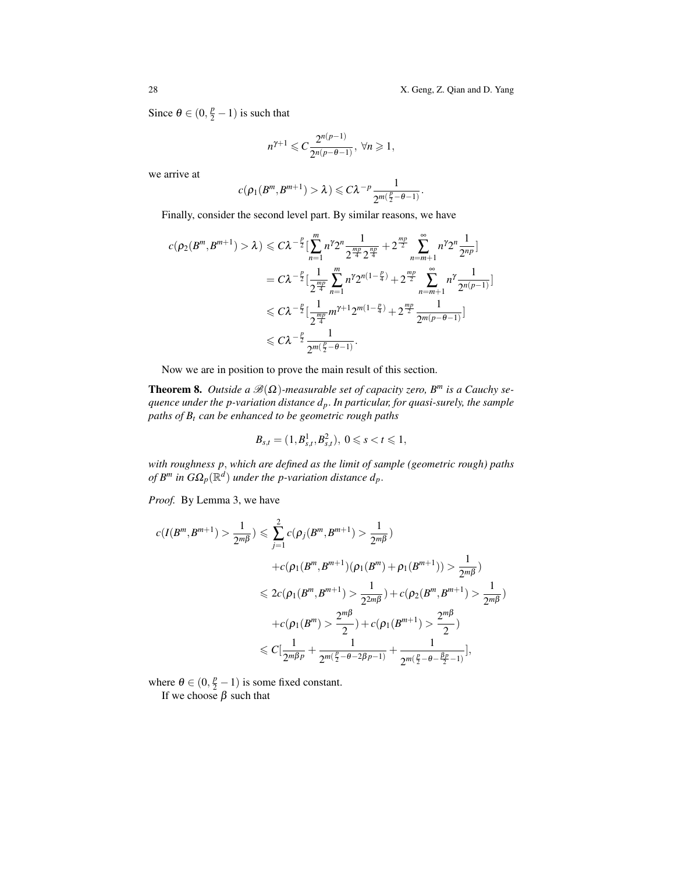Since  $\theta \in (0, \frac{p}{2} - 1)$  is such that

$$
n^{\gamma+1} \leqslant C \frac{2^{n(p-1)}}{2^{n(p-\theta-1)}}, \ \forall n \geqslant 1,
$$

we arrive at

$$
c(\rho_1(B^m,B^{m+1})>\lambda)\leqslant C\lambda^{-p}\frac{1}{2^{m(\frac{p}{2}-\theta-1)}}.
$$

Finally, consider the second level part. By similar reasons, we have

$$
c(\rho_2(B^m, B^{m+1}) > \lambda) \le C\lambda^{-\frac{p}{2}} \left[ \sum_{n=1}^m n^{\gamma} 2^n \frac{1}{2^{\frac{mp}{4}}} + 2^{\frac{mp}{2}} \sum_{n=m+1}^{\infty} n^{\gamma} 2^n \frac{1}{2^{np}} \right]
$$
  
=  $C\lambda^{-\frac{p}{2}} \left[ \frac{1}{2^{\frac{mp}{4}}} \sum_{n=1}^m n^{\gamma} 2^{n(1-\frac{p}{4})} + 2^{\frac{mp}{2}} \sum_{n=m+1}^{\infty} n^{\gamma} \frac{1}{2^{n(p-1)}} \right]$   
 $\le C\lambda^{-\frac{p}{2}} \left[ \frac{1}{2^{\frac{mp}{4}}} m^{\gamma+1} 2^{m(1-\frac{p}{4})} + 2^{\frac{mp}{2}} \frac{1}{2^{m(p-\theta-1)}} \right]$   
 $\le C\lambda^{-\frac{p}{2}} \frac{1}{2^{m(\frac{p}{2}-\theta-1)}}.$ 

Now we are in position to prove the main result of this section.

**Theorem 8.** *Outside a*  $\mathcal{B}(\Omega)$ -measurable set of capacity zero,  $B^m$  is a Cauchy se*quence under the p-variation distance dp*. *In particular, for quasi-surely, the sample paths of B<sup>t</sup> can be enhanced to be geometric rough paths*

$$
B_{s,t}=(1,B_{s,t}^1,B_{s,t}^2),\ 0\leqslant s
$$

*with roughness p*, *which are defined as the limit of sample (geometric rough) paths*  $\partial f B^m$  in  $G\Omega_p(\mathbb{R}^d)$  under the p-variation distance  $d_p$ .

*Proof.* By Lemma 3, we have

$$
c(I(B^m, B^{m+1}) > \frac{1}{2^{m\beta}}) \leq \sum_{j=1}^2 c(\rho_j(B^m, B^{m+1}) > \frac{1}{2^{m\beta}})
$$
  
+
$$
c(\rho_1(B^m, B^{m+1})(\rho_1(B^m) + \rho_1(B^{m+1})) > \frac{1}{2^{m\beta}})
$$
  

$$
\leq 2c(\rho_1(B^m, B^{m+1}) > \frac{1}{2^{2m\beta}}) + c(\rho_2(B^m, B^{m+1}) > \frac{1}{2^{m\beta}})
$$
  
+
$$
c(\rho_1(B^m) > \frac{2^{m\beta}}{2}) + c(\rho_1(B^{m+1}) > \frac{2^{m\beta}}{2})
$$
  

$$
\leq C[\frac{1}{2^{m\beta p}} + \frac{1}{2^{m(\frac{p}{2} - \theta - 2\beta p - 1)}} + \frac{1}{2^{m(\frac{p}{2} - \theta - \frac{\beta p}{2} - 1)}}],
$$

where  $\theta \in (0, \frac{p}{2} - 1)$  is some fixed constant. If we choose  $\beta$  such that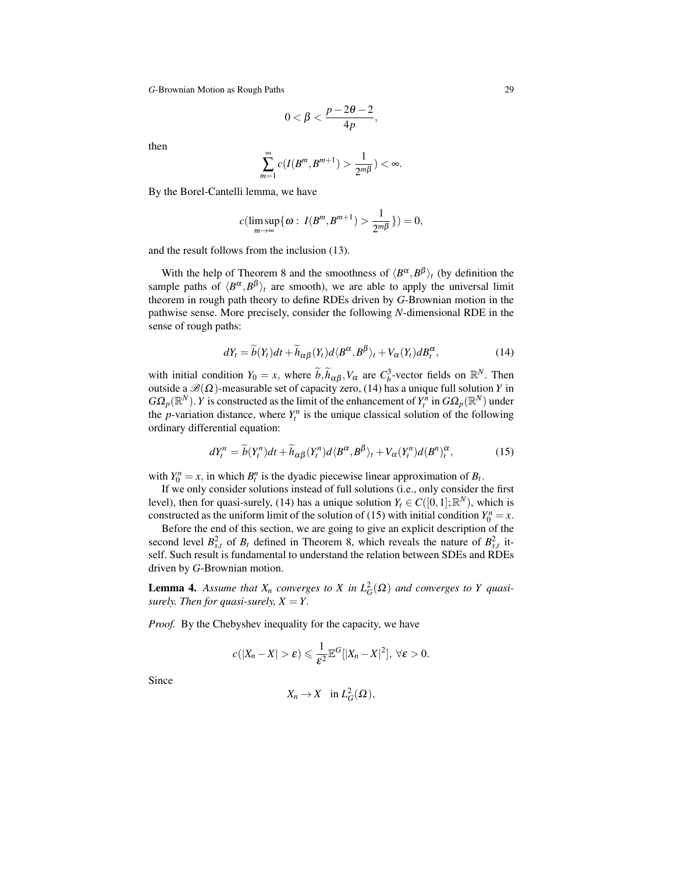$$
0<\beta<\frac{p-2\theta-2}{4p},
$$

then

$$
\sum_{m=1}^{\infty} c(I(B^m, B^{m+1}) > \frac{1}{2^m \beta}) < \infty.
$$

By the Borel-Cantelli lemma, we have

$$
c(\limsup_{m\to\infty}\{\omega: I(B^m,B^{m+1})>\frac{1}{2^{m\beta}}\})=0,
$$

and the result follows from the inclusion (13).

With the help of Theorem 8 and the smoothness of  $\langle B^{\alpha}, B^{\beta} \rangle_t$  (by definition the sample paths of  $\langle B^{\alpha}, B^{\beta} \rangle_t$  are smooth), we are able to apply the universal limit theorem in rough path theory to define RDEs driven by *G*-Brownian motion in the pathwise sense. More precisely, consider the following *N*-dimensional RDE in the sense of rough paths:

$$
dY_t = \widetilde{b}(Y_t)dt + \widetilde{h}_{\alpha\beta}(Y_t)d\langle B^{\alpha}, B^{\beta}\rangle_t + V_{\alpha}(Y_t)dB_t^{\alpha},\tag{14}
$$

with initial condition  $Y_0 = x$ , where  $\tilde{b}$ ,  $\tilde{h}_{\alpha\beta}$ ,  $V_{\alpha}$  are  $C_b^3$ -vector fields on  $\mathbb{R}^N$ . Then outside a  $\mathcal{B}(\Omega)$ -measurable set of capacity zero, (14) has a unique full solution *Y* in  $G\Omega_p(\mathbb{R}^N)$ . *Y* is constructed as the limit of the enhancement of  $Y_t^n$  in  $G\Omega_p(\mathbb{R}^N)$  under the *p*-variation distance, where  $Y_t^n$  is the unique classical solution of the following ordinary differential equation:

$$
dY_t^n = \widetilde{b}(Y_t^n)dt + \widetilde{h}_{\alpha\beta}(Y_t^n) d\langle B^\alpha, B^\beta \rangle_t + V_\alpha(Y_t^n) d(B^n)_t^\alpha, \tag{15}
$$

with  $Y_0^n = x$ , in which  $B_t^n$  is the dyadic piecewise linear approximation of  $B_t$ .

If we only consider solutions instead of full solutions (i.e., only consider the first level), then for quasi-surely, (14) has a unique solution  $Y_t \in C([0,1];\mathbb{R}^N)$ , which is constructed as the uniform limit of the solution of (15) with initial condition  $Y_0^n = x$ .

Before the end of this section, we are going to give an explicit description of the second level  $B_{s,t}^2$  of  $B_t$  defined in Theorem 8, which reveals the nature of  $B_{s,t}^2$  itself. Such result is fundamental to understand the relation between SDEs and RDEs driven by *G*-Brownian motion.

**Lemma 4.** Assume that  $X_n$  converges to  $X$  in  $L_G^2(\Omega)$  and converges to  $Y$  quasi*surely. Then for quasi-surely,*  $X = Y$ .

*Proof.* By the Chebyshev inequality for the capacity, we have

$$
c(|X_n-X|>\varepsilon)\leqslant \frac{1}{\varepsilon^2}\mathbb{E}^G[|X_n-X|^2], \ \forall \varepsilon>0.
$$

Since

$$
X_n \to X \quad \text{in } L^2_G(\Omega),
$$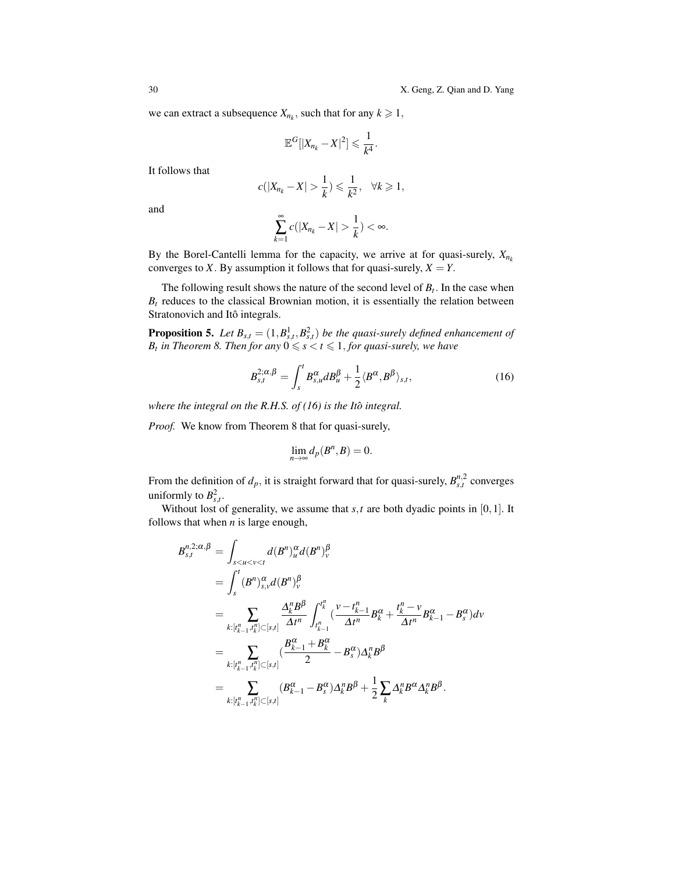we can extract a subsequence  $X_{n_k}$ , such that for any  $k \geq 1$ ,

$$
\mathbb{E}^G[|X_{n_k}-X|^2]\leq \frac{1}{k^4}.
$$

It follows that

$$
c(|X_{n_k}-X|>\frac{1}{k})\leqslant \frac{1}{k^2}, \quad \forall k\geqslant 1,
$$

and

$$
\sum_{k=1}^{\infty} c(|X_{n_k} - X| > \frac{1}{k}) < \infty.
$$

By the Borel-Cantelli lemma for the capacity, we arrive at for quasi-surely,  $X_{n_k}$ converges to *X*. By assumption it follows that for quasi-surely,  $X = Y$ .

The following result shows the nature of the second level of  $B_t$ . In the case when  $B_t$  reduces to the classical Brownian motion, it is essentially the relation between Stratonovich and Itô integrals.

**Proposition 5.** Let  $B_{s,t} = (1, B_{s,t}^1, B_{s,t}^2)$  be the quasi-surely defined enhancement of *B*<sub>t</sub> in Theorem 8. Then for any  $0 \le s < t \le 1$ , for quasi-surely, we have

$$
B_{s,t}^{2;\alpha,\beta} = \int_s^t B_{s,u}^{\alpha} dB_u^{\beta} + \frac{1}{2} \langle B^{\alpha}, B^{\beta} \rangle_{s,t}, \qquad (16)
$$

*where the integral on the R.H.S. of (16) is the Itô integral.* 

*Proof.* We know from Theorem 8 that for quasi-surely,

$$
\lim_{n\to\infty} d_p(B^n, B) = 0.
$$

From the definition of  $d_p$ , it is straight forward that for quasi-surely,  $B_{s,t}^{n,2}$  converges uniformly to  $B_{s,t}^2$ .

Without lost of generality, we assume that  $s$ ,  $t$  are both dyadic points in [0,1]. It follows that when *n* is large enough,

$$
B_{s,t}^{n,2;\alpha,\beta} = \int_{s < u < v < t} d(B^n)_{u}^{\alpha} d(B^n)_{v}^{\beta}
$$
\n
$$
= \int_{s}^{t} (B^n)_{s,v}^{\alpha} d(B^n)_{v}^{\beta}
$$
\n
$$
= \sum_{k: [t_{k-1}^n, t_k^n] \subset [s,t]} \frac{\Delta_k^n B^\beta}{\Delta t^n} \int_{t_{k-1}^n}^{t_k^n} (\frac{v - t_{k-1}^n}{\Delta t^n} B_k^{\alpha} + \frac{t_k^n - v}{\Delta t^n} B_{k-1}^{\alpha} - B_s^{\alpha}) dv
$$
\n
$$
= \sum_{k: [t_{k-1}^n, t_k^n] \subset [s,t]} (\frac{B_{k-1}^{\alpha} + B_k^{\alpha}}{2} - B_s^{\alpha}) \Delta_k^n B^\beta
$$
\n
$$
= \sum_{k: [t_{k-1}^n, t_k^n] \subset [s,t]} (B_{k-1}^{\alpha} - B_s^{\alpha}) \Delta_k^n B^\beta + \frac{1}{2} \sum_{k} \Delta_k^n B^\alpha \Delta_k^n B^\beta.
$$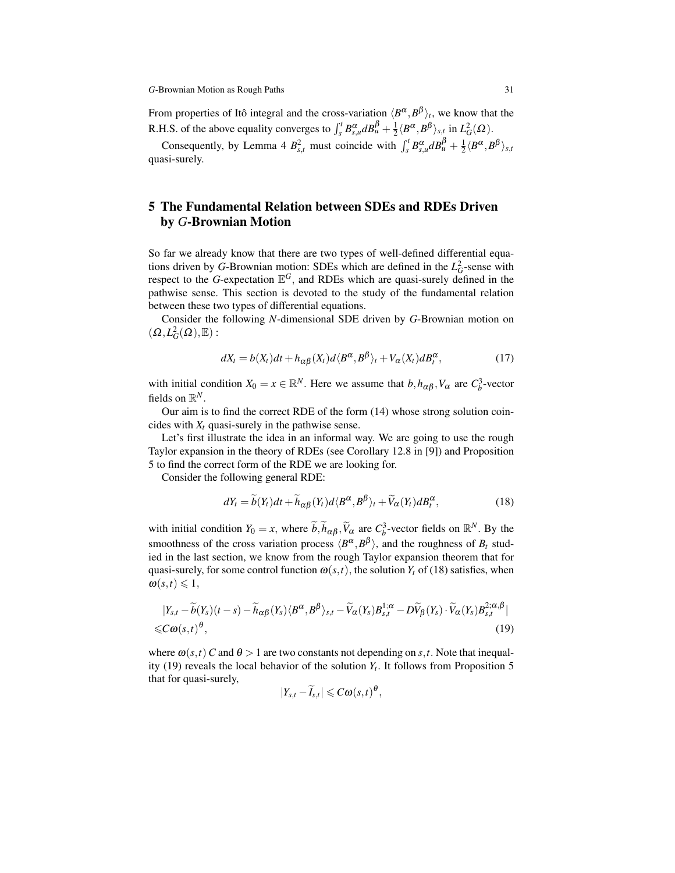From properties of Itô integral and the cross-variation  $\langle B^{\alpha}, B^{\beta} \rangle_t$ , we know that the R.H.S. of the above equality converges to  $\int_s^t B^{\alpha}_{s,u} dB^{\beta}_u + \frac{1}{2} \langle B^{\alpha}, B^{\beta} \rangle_{s,t}$  in  $L^2_G(\Omega)$ .

Consequently, by Lemma 4  $B_{s,t}^2$  must coincide with  $\int_s^t B_{s,u}^{\alpha} dB_u^{\beta} + \frac{1}{2} \langle B^{\alpha}, B^{\beta} \rangle_{s,t}$ quasi-surely.

# 5 The Fundamental Relation between SDEs and RDEs Driven by *G*-Brownian Motion

So far we already know that there are two types of well-defined differential equations driven by *G*-Brownian motion: SDEs which are defined in the  $L_G^2$ -sense with respect to the *G*-expectation  $\mathbb{E}^G$ , and RDEs which are quasi-surely defined in the pathwise sense. This section is devoted to the study of the fundamental relation between these two types of differential equations.

Consider the following *N*-dimensional SDE driven by *G*-Brownian motion on  $(\Omega, L^2_G(\Omega), \mathbb{E}):$ 

$$
dX_t = b(X_t)dt + h_{\alpha\beta}(X_t)d\langle B^{\alpha}, B^{\beta}\rangle_t + V_{\alpha}(X_t)dB_t^{\alpha}, \qquad (17)
$$

with initial condition  $X_0 = x \in \mathbb{R}^N$ . Here we assume that  $b, h_{\alpha\beta}, V_{\alpha}$  are  $C_b^3$ -vector fields on  $\mathbb{R}^N$ .

Our aim is to find the correct RDE of the form (14) whose strong solution coincides with  $X_t$  quasi-surely in the pathwise sense.

Let's first illustrate the idea in an informal way. We are going to use the rough Taylor expansion in the theory of RDEs (see Corollary 12.8 in [9]) and Proposition 5 to find the correct form of the RDE we are looking for.

Consider the following general RDE:

$$
dY_t = \widetilde{b}(Y_t)dt + \widetilde{h}_{\alpha\beta}(Y_t)d\langle B^{\alpha}, B^{\beta}\rangle_t + \widetilde{V}_{\alpha}(Y_t)dB_t^{\alpha},
$$
\n(18)

with initial condition  $Y_0 = x$ , where  $\tilde{b}$ ,  $\tilde{h}_{\alpha\beta}$ ,  $\tilde{V}_{\alpha}$  are  $C_b^3$ -vector fields on  $\mathbb{R}^N$ . By the smoothness of the cross variation process  $\langle B^{\alpha}, B^{\beta} \rangle$ , and the roughness of  $B_t$  studied in the last section, we know from the rough Taylor expansion theorem that for quasi-surely, for some control function  $\omega(s,t)$ , the solution  $Y_t$  of (18) satisfies, when  $\omega(s,t) \leq 1$ ,

$$
|Y_{s,t} - \widetilde{b}(Y_s)(t-s) - \widetilde{h}_{\alpha\beta}(Y_s)\langle B^{\alpha}, B^{\beta}\rangle_{s,t} - \widetilde{V}_{\alpha}(Y_s)B_{s,t}^{1;\alpha} - D\widetilde{V}_{\beta}(Y_s)\cdot \widetilde{V}_{\alpha}(Y_s)B_{s,t}^{2;\alpha,\beta}|
$$
  

$$
\leq C\omega(s,t)^{\theta},
$$
 (19)

where  $\omega(s,t)$  C and  $\theta > 1$  are two constants not depending on *s*,*t*. Note that inequality (19) reveals the local behavior of the solution  $Y_t$ . It follows from Proposition 5 that for quasi-surely,

$$
|Y_{s,t}-\widetilde{I}_{s,t}|\leqslant C\omega(s,t)^{\theta},
$$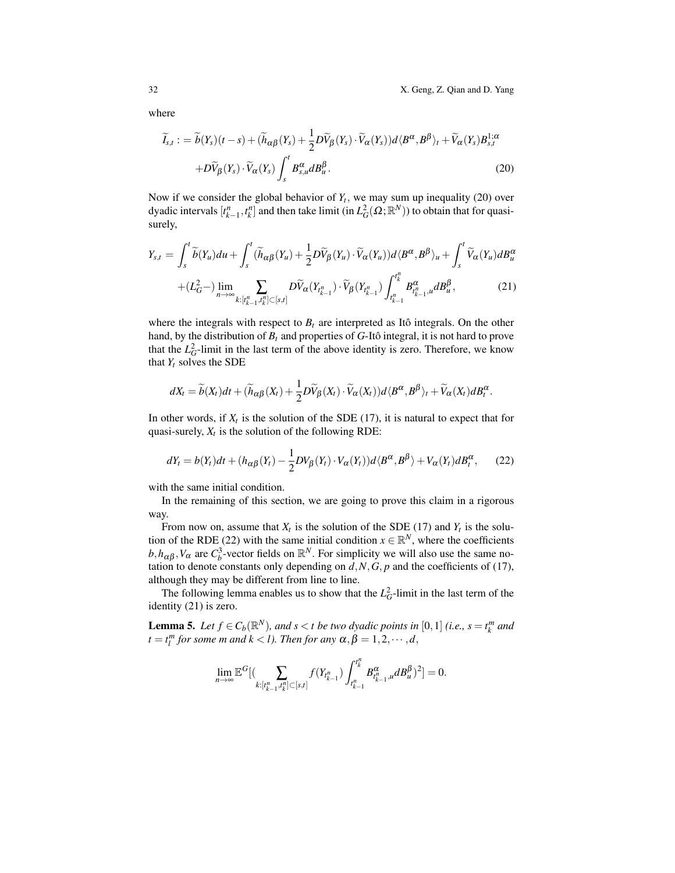where

$$
\widetilde{I}_{s,t} := \widetilde{b}(Y_s)(t-s) + (\widetilde{h}_{\alpha\beta}(Y_s) + \frac{1}{2}D\widetilde{V}_{\beta}(Y_s) \cdot \widetilde{V}_{\alpha}(Y_s))d\langle B^{\alpha}, B^{\beta}\rangle_t + \widetilde{V}_{\alpha}(Y_s)B_{s,t}^{1;\alpha} + D\widetilde{V}_{\beta}(Y_s) \cdot \widetilde{V}_{\alpha}(Y_s) \int_s^t B_{s,u}^{\alpha} dB_u^{\beta}.
$$
\n(20)

Now if we consider the global behavior of  $Y_t$ , we may sum up inequality (20) over dyadic intervals  $[t_{k-1}^n, t_k^n]$  and then take limit (in  $L_G^2(\Omega; \mathbb{R}^N)$ ) to obtain that for quasisurely,

$$
Y_{s,t} = \int_s^t \widetilde{b}(Y_u) du + \int_s^t (\widetilde{h}_{\alpha\beta}(Y_u) + \frac{1}{2} D \widetilde{V}_{\beta}(Y_u) \cdot \widetilde{V}_{\alpha}(Y_u)) d\langle B^{\alpha}, B^{\beta} \rangle_u + \int_s^t \widetilde{V}_{\alpha}(Y_u) dB_u^{\alpha} + (L_G^2 -) \lim_{n \to \infty} \sum_{k: [t_{k-1}^n, t_k^n] \subset [s,t]} D \widetilde{V}_{\alpha}(Y_{t_{k-1}^n}) \cdot \widetilde{V}_{\beta}(Y_{t_{k-1}^n}) \int_{t_{k-1}^n}^{t_k^n} B_{t_{k-1}^n, u}^{\alpha} dB_u^{\beta}, \tag{21}
$$

where the integrals with respect to  $B_t$  are interpreted as Itô integrals. On the other hand, by the distribution of  $B_t$  and properties of  $G$ -Itô integral, it is not hard to prove that the  $L_G^2$ -limit in the last term of the above identity is zero. Therefore, we know that  $Y_t$  solves the SDE

$$
dX_t = \widetilde{b}(X_t)dt + (\widetilde{h}_{\alpha\beta}(X_t) + \frac{1}{2}D\widetilde{V}_{\beta}(X_t)\cdot \widetilde{V}_{\alpha}(X_t))d\langle B^{\alpha}, B^{\beta}\rangle_t + \widetilde{V}_{\alpha}(X_t)dB_t^{\alpha}.
$$

In other words, if  $X_t$  is the solution of the SDE (17), it is natural to expect that for quasi-surely,  $X_t$  is the solution of the following RDE:

$$
dY_t = b(Y_t)dt + (h_{\alpha\beta}(Y_t) - \frac{1}{2}DV_{\beta}(Y_t)\cdot V_{\alpha}(Y_t))d\langle B^{\alpha}, B^{\beta}\rangle + V_{\alpha}(Y_t)dB_t^{\alpha}, \qquad (22)
$$

with the same initial condition.

In the remaining of this section, we are going to prove this claim in a rigorous way.

From now on, assume that  $X_t$  is the solution of the SDE (17) and  $Y_t$  is the solution of the RDE (22) with the same initial condition  $x \in \mathbb{R}^N$ , where the coefficients  $b, h_{\alpha\beta}, V_{\alpha}$  are  $C_b^3$ -vector fields on  $\mathbb{R}^N$ . For simplicity we will also use the same notation to denote constants only depending on  $d$ ,  $N$ ,  $G$ ,  $p$  and the coefficients of (17), although they may be different from line to line.

The following lemma enables us to show that the  $L_G^2$ -limit in the last term of the identity (21) is zero.

**Lemma 5.** Let  $f \in C_b(\mathbb{R}^N)$ , and  $s < t$  be two dyadic points in [0,1] *(i.e.,*  $s = t_k^m$  and  $t = t_l^m$  *for some m and*  $k < l$ *). Then for any*  $\alpha, \beta = 1, 2, \dots, d$ ,

$$
\lim_{n\to\infty} \mathbb{E}^{G}[(\sum_{k: [t_{k-1}^n,t_{k}^n]\subset [s,t]} f(Y_{t_{k-1}^n}) \int_{t_{k-1}^n}^{t_{k}^n} B^{\alpha}_{t_{k-1}^n,u} dB^{\beta}_{u})^2]=0.
$$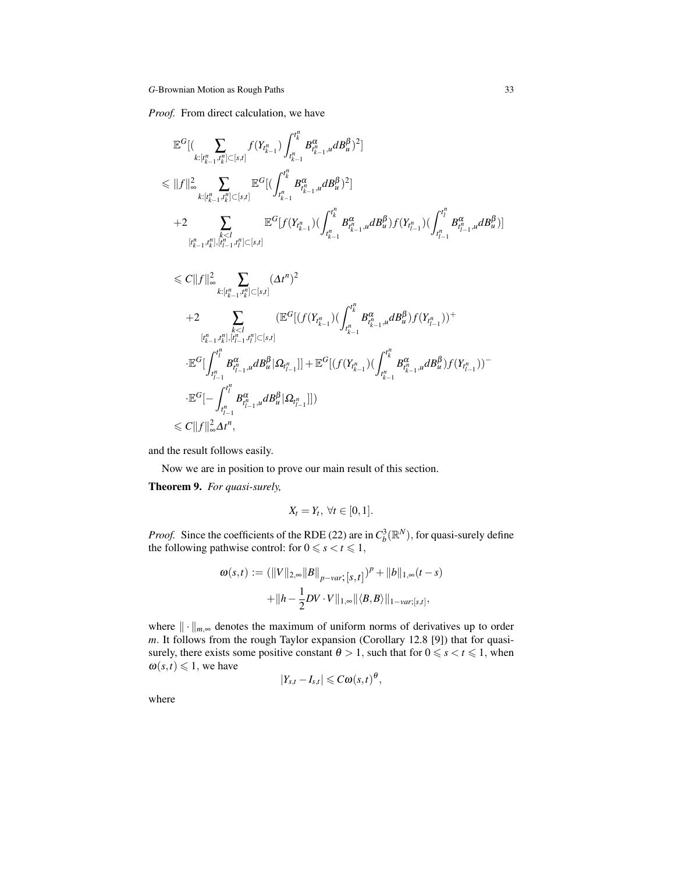*Proof.* From direct calculation, we have

$$
\label{eq:4.13} \begin{split} &\mathbb{E}^G[(\sum_{k: [t_{k-1}^n,t_k^n]\subset [s,t]}f(Y_{t_{k-1}^n})\int_{t_{k-1}^n}^{t_k^n}B_{t_{k-1}^n,u}^\alpha dB_u^\beta)^2]\\ &\leq \|f\|_\infty^2\sum_{k: [t_{k-1}^n,t_k^n]\subset [s,t]}\mathbb{E}^G[(\int_{t_{k-1}^n}^{t_k^n}B_{t_{k-1}^n,u}^\alpha dB_u^\beta)^2]\\ &+2\sum_{\substack{k
$$

and the result follows easily.

Now we are in position to prove our main result of this section.

Theorem 9. *For quasi-surely,*

$$
X_t = Y_t, \ \forall t \in [0,1].
$$

*Proof.* Since the coefficients of the RDE (22) are in  $C_b^3(\mathbb{R}^N)$ , for quasi-surely define the following pathwise control: for  $0 \le s < t \le 1$ ,

$$
\omega(s,t) := (\|V\|_{2,\infty} \|B\|_{p-var; [s,t]})^p + \|b\|_{1,\infty} (t-s)
$$

$$
+ \|h - \frac{1}{2}DV \cdot V\|_{1,\infty} \|\langle B,B\rangle\|_{1-var; [s,t]},
$$

where  $\|\cdot\|_{m,\infty}$  denotes the maximum of uniform norms of derivatives up to order *m*. It follows from the rough Taylor expansion (Corollary 12.8 [9]) that for quasisurely, there exists some positive constant  $\theta > 1$ , such that for  $0 \le s < t \le 1$ , when  $\omega(s,t) \leq 1$ , we have θ

$$
|Y_{s,t}-I_{s,t}|\leqslant C\omega(s,t)^{\theta},
$$

where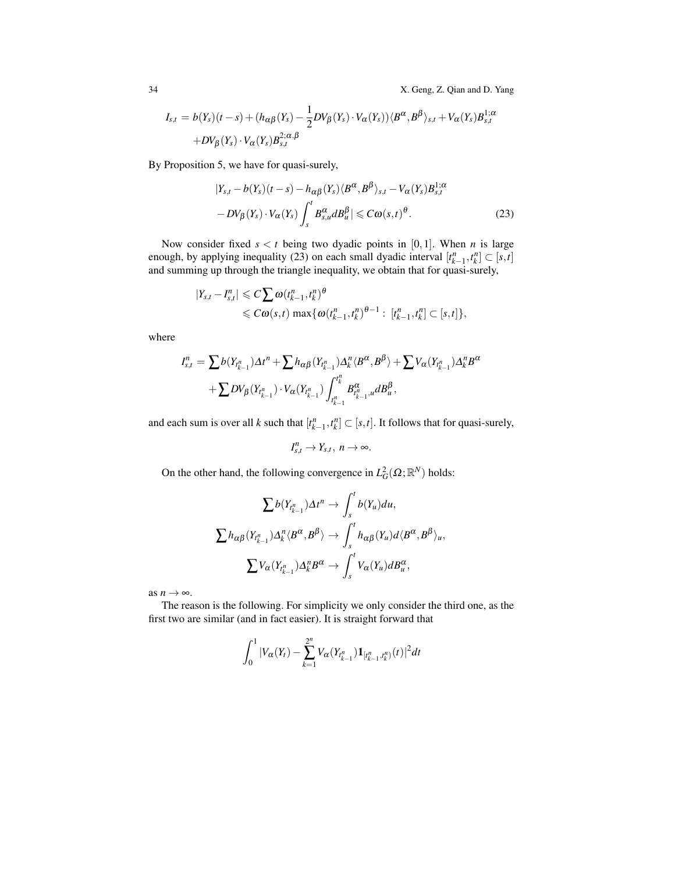34 X. Geng, Z. Qian and D. Yang

$$
I_{s,t} = b(Y_s)(t-s) + (h_{\alpha\beta}(Y_s) - \frac{1}{2}DV_{\beta}(Y_s)\cdot V_{\alpha}(Y_s))\langle B^{\alpha}, B^{\beta}\rangle_{s,t} + V_{\alpha}(Y_s)B_{s,t}^{1;\alpha} + DV_{\beta}(Y_s)\cdot V_{\alpha}(Y_s)B_{s,t}^{2;\alpha,\beta}
$$

By Proposition 5, we have for quasi-surely,

$$
\begin{split} |Y_{s,t} - b(Y_s)(t - s) - h_{\alpha\beta}(Y_s) \langle B^{\alpha}, B^{\beta} \rangle_{s,t} - V_{\alpha}(Y_s) B_{s,t}^{1;\alpha} \\ - D V_{\beta}(Y_s) \cdot V_{\alpha}(Y_s) \int_s^t B_{s,u}^{\alpha} dB_u^{\beta} | \leqslant C \omega(s,t)^{\theta}. \end{split} \tag{23}
$$

Now consider fixed  $s < t$  being two dyadic points in [0,1]. When *n* is large enough, by applying inequality (23) on each small dyadic interval  $[t_{k-1}^n, t_k^n] \subset [s, t]$ and summing up through the triangle inequality, we obtain that for quasi-surely,

$$
|Y_{s,t}-I_{s,t}^n| \leqslant C\sum \omega(t_{k-1}^n,t_k^n)^{\theta}
$$
  
\$\leqslant C\omega(s,t) \max\{\omega(t\_{k-1}^n,t\_k^n)^{\theta-1}: [t\_{k-1}^n,t\_k^n] \subset [s,t]\},\$

where

$$
I_{s,t}^n = \sum b(Y_{t_{k-1}^n}) \Delta t^n + \sum h_{\alpha\beta} (Y_{t_{k-1}^n}) \Delta_k^n \langle B^\alpha, B^\beta \rangle + \sum V_\alpha (Y_{t_{k-1}^n}) \Delta_k^n B^\alpha + \sum DV_\beta (Y_{t_{k-1}^n}) \cdot V_\alpha (Y_{t_{k-1}^n}) \int_{t_{k-1}^n}^{t_k^n} B_{t_{k-1}^n,u}^\alpha dB_u^\beta,
$$

and each sum is over all *k* such that  $[t_{k-1}^n, t_k^n] \subset [s, t]$ . It follows that for quasi-surely,

 $I_{s,t}^n \to Y_{s,t}, n \to \infty$ .

On the other hand, the following convergence in  $L_G^2(\Omega;\mathbb{R}^N)$  holds:

$$
\sum b(Y_{t_{k-1}^n})\Delta t^n \to \int_s^t b(Y_u)du,
$$
  

$$
\sum h_{\alpha\beta}(Y_{t_{k-1}^n})\Delta_k^n\langle B^\alpha, B^\beta \rangle \to \int_s^t h_{\alpha\beta}(Y_u)d\langle B^\alpha, B^\beta \rangle_u,
$$
  

$$
\sum V_{\alpha}(Y_{t_{k-1}^n})\Delta_k^nB^\alpha \to \int_s^t V_{\alpha}(Y_u)dB_u^\alpha,
$$

as  $n \to \infty$ .

The reason is the following. For simplicity we only consider the third one, as the first two are similar (and in fact easier). It is straight forward that

$$
\int_0^1 |V_\alpha(Y_t) - \sum_{k=1}^{2^n} V_\alpha(Y_{t_{k-1}^n}) \mathbf{1}_{[t_{k-1}^n, t_k^n)}(t)|^2 dt
$$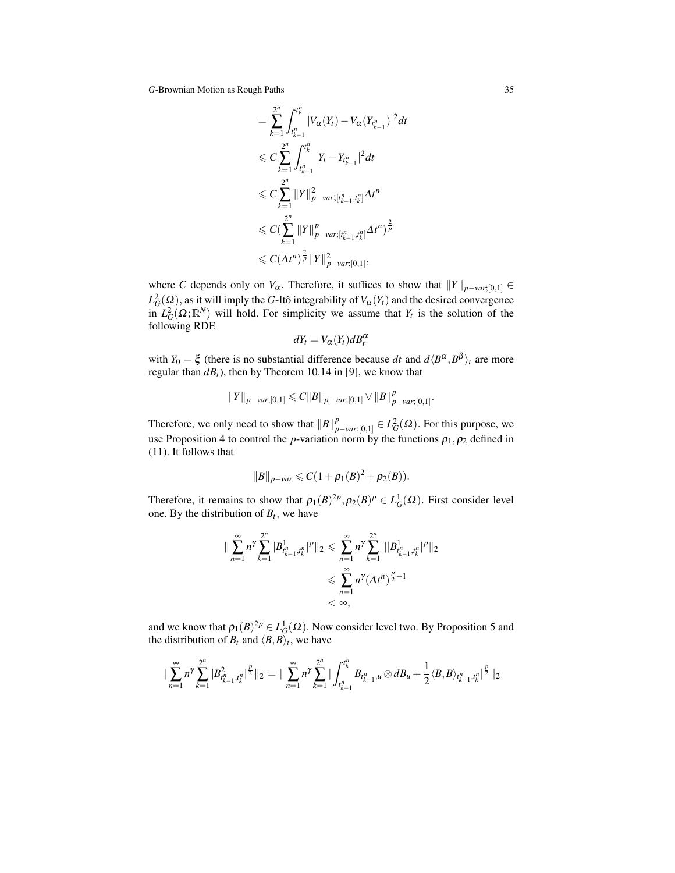$$
= \sum_{k=1}^{2^n} \int_{t_{k-1}^n}^{t_k^n} |V_\alpha(Y_t) - V_\alpha(Y_{t_{k-1}^n})|^2 dt
$$
  
\n
$$
\leq C \sum_{k=1}^{2^n} \int_{t_{k-1}^n}^{t_k^n} |Y_t - Y_{t_{k-1}^n}|^2 dt
$$
  
\n
$$
\leq C \sum_{k=1}^{2^n} ||Y||_{p-var; [t_{k-1}^n, t_k^n]}^2 \Delta t^n
$$
  
\n
$$
\leq C (\sum_{k=1}^{2^n} ||Y||_{p-var; [t_{k-1}^n, t_k^n]}^2 \Delta t^n)^{\frac{2}{p}}
$$
  
\n
$$
\leq C (\Delta t^n)^{\frac{2}{p}} ||Y||_{p-var; [0,1]}^2,
$$

where *C* depends only on  $V_\alpha$ . Therefore, it suffices to show that  $||Y||_{p-var;[0,1]} \in$  $L_G^2(\Omega)$ , as it will imply the *G*-Itô integrability of  $V_\alpha(Y_t)$  and the desired convergence in  $L_G^2(\Omega;\mathbb{R}^N)$  will hold. For simplicity we assume that  $Y_t$  is the solution of the following RDE

$$
dY_t = V_{\alpha}(Y_t)dB_t^{\alpha}
$$

with  $Y_0 = \xi$  (there is no substantial difference because *dt* and  $d\langle B^{\alpha}, B^{\beta} \rangle_t$  are more regular than  $dB_t$ ), then by Theorem 10.14 in [9], we know that

$$
||Y||_{p-var;[0,1]} \leq C||B||_{p-var;[0,1]} \vee ||B||_{p-var;[0,1]}^p.
$$

Therefore, we only need to show that  $||B||_p^p$ *p*<sup>−</sup>*var*;[0,1] ∈  $L_G^2(\Omega)$ . For this purpose, we use Proposition 4 to control the *p*-variation norm by the functions  $\rho_1, \rho_2$  defined in (11). It follows that

$$
||B||_{p-var} \leqslant C(1+\rho_1(B)^2+\rho_2(B)).
$$

Therefore, it remains to show that  $\rho_1(B)^{2p}$ ,  $\rho_2(B)^p \in L_G^1(\Omega)$ . First consider level one. By the distribution of  $B_t$ , we have

$$
\|\sum_{n=1}^{\infty} n^{\gamma} \sum_{k=1}^{2^n} |B_{t_{k-1}^n,t_k^n}^1|^p \|_2 \le \sum_{n=1}^{\infty} n^{\gamma} \sum_{k=1}^{2^n} \| |B_{t_{k-1}^n,t_k^n}^1|^p \|_2
$$
  

$$
\le \sum_{n=1}^{\infty} n^{\gamma} (\Delta t^n)^{\frac{p}{2}-1}
$$
  

$$
< \infty,
$$

and we know that  $\rho_1(B)^{2p} \in L_G^1(\Omega)$ . Now consider level two. By Proposition 5 and the distribution of  $B_t$  and  $\langle B, B \rangle_t$ , we have

$$
\|\sum_{n=1}^{\infty} n^{\gamma}\sum_{k=1}^{2^n} |B_{t_{k-1}^n,t_k^n}^2|^{\frac{p}{2}}\|_2 = \|\sum_{n=1}^{\infty} n^{\gamma}\sum_{k=1}^{2^n} |\int_{t_{k-1}^n}^{t_k^n} B_{t_{k-1}^n,u} \otimes dB_u + \frac{1}{2} \langle B,B\rangle_{t_{k-1}^n,t_k^n}|^{\frac{p}{2}}\|_2
$$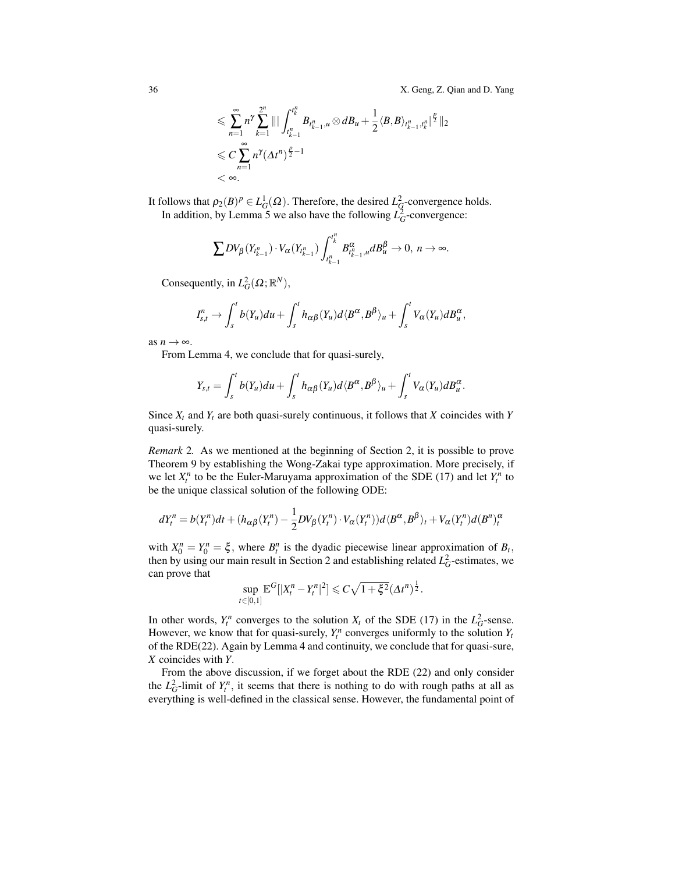36 X. Geng, Z. Qian and D. Yang

.

$$
\leqslant \sum_{n=1}^{\infty} n^{\gamma} \sum_{k=1}^{2^n} ||| \int_{t_{k-1}^n}^{t_k^n} B_{t_{k-1}^n,u} \otimes dB_u + \frac{1}{2} \langle B,B \rangle_{t_{k-1}^n,t_k^n} |^{\frac{p}{2}} ||_2
$$
  

$$
\leqslant C \sum_{n=1}^{\infty} n^{\gamma} (\Delta t^n)^{\frac{p}{2}-1}
$$
  

$$
< \infty.
$$

It follows that  $\rho_2(B)^p \in L_G^1(\Omega)$ . Therefore, the desired  $L_G^2$ -convergence holds. In addition, by Lemma 5 we also have the following  $L_G^2$ -convergence:

$$
\sum DV_{\beta}(Y_{t_{k-1}^n})\cdot V_{\alpha}(Y_{t_{k-1}^n})\int_{t_{k-1}^n}^{t_k^n}B_{t_{k-1}^n,u}^{\alpha}dB_{u}^{\beta}\to 0,\ n\to\infty.
$$

Consequently, in  $L_G^2(\Omega;\mathbb{R}^N)$ ,

$$
I_{s,t}^n \to \int_s^t b(Y_u) du + \int_s^t h_{\alpha\beta}(Y_u) d\langle B^{\alpha}, B^{\beta} \rangle_u + \int_s^t V_{\alpha}(Y_u) dB_u^{\alpha},
$$

as  $n \to \infty$ .

From Lemma 4, we conclude that for quasi-surely,

$$
Y_{s,t} = \int_s^t b(Y_u)du + \int_s^t h_{\alpha\beta}(Y_u)d\langle B^{\alpha}, B^{\beta}\rangle_u + \int_s^t V_{\alpha}(Y_u)dB_u^{\alpha}
$$

Since  $X_t$  and  $Y_t$  are both quasi-surely continuous, it follows that  $X$  coincides with  $Y$ quasi-surely.

*Remark* 2*.* As we mentioned at the beginning of Section 2, it is possible to prove Theorem 9 by establishing the Wong-Zakai type approximation. More precisely, if we let  $X_t^n$  to be the Euler-Maruyama approximation of the SDE (17) and let  $Y_t^n$  to be the unique classical solution of the following ODE:

$$
dY_t^n = b(Y_t^n)dt + (h_{\alpha\beta}(Y_t^n) - \frac{1}{2}DV_{\beta}(Y_t^n)\cdot V_{\alpha}(Y_t^n))d\langle B^{\alpha}, B^{\beta}\rangle_t + V_{\alpha}(Y_t^n)d(B^n)_{t}^{\alpha}
$$

with  $X_0^n = Y_0^n = \xi$ , where  $B_t^n$  is the dyadic piecewise linear approximation of  $B_t$ , then by using our main result in Section 2 and establishing related  $L_G^2$ -estimates, we can prove that

$$
\sup_{t\in[0,1]}\mathbb{E}^{G}[|X_{t}^{n}-Y_{t}^{n}|^{2}]\leqslant C\sqrt{1+\xi^{2}}(\Delta t^{n})^{\frac{1}{2}}.
$$

In other words,  $Y_t^n$  converges to the solution  $X_t$  of the SDE (17) in the  $L_G^2$ -sense. However, we know that for quasi-surely,  $Y_t^n$  converges uniformly to the solution  $Y_t$ of the RDE(22). Again by Lemma 4 and continuity, we conclude that for quasi-sure, *X* coincides with *Y*.

From the above discussion, if we forget about the RDE (22) and only consider the  $L_G^2$ -limit of  $Y_t^n$ , it seems that there is nothing to do with rough paths at all as everything is well-defined in the classical sense. However, the fundamental point of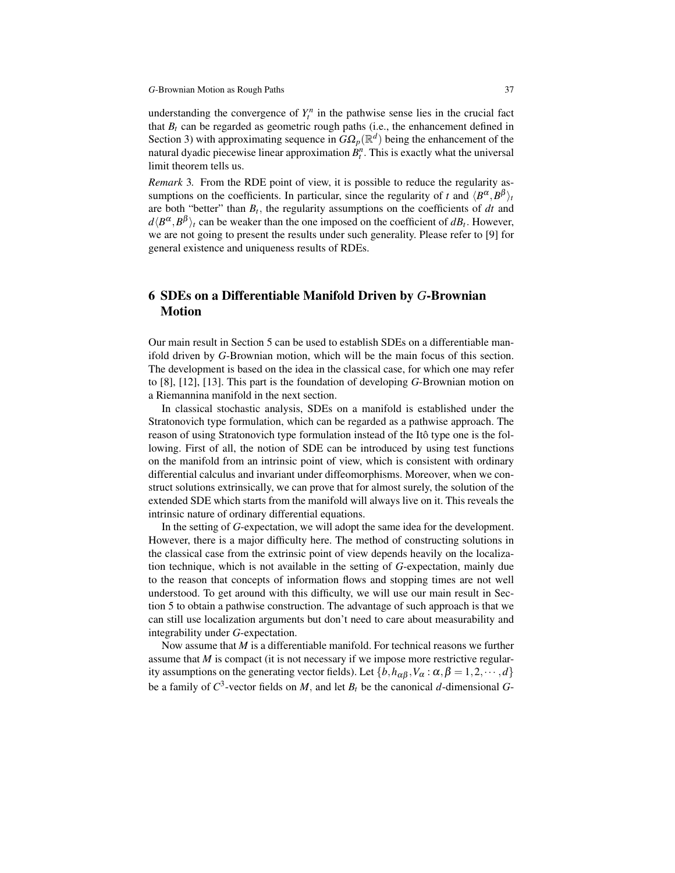understanding the convergence of  $Y_t^n$  in the pathwise sense lies in the crucial fact that  $B_t$  can be regarded as geometric rough paths (i.e., the enhancement defined in Section 3) with approximating sequence in  $\widehat{G}\Omega_p(\mathbb{R}^d)$  being the enhancement of the natural dyadic piecewise linear approximation  $B_t^n$ . This is exactly what the universal limit theorem tells us.

*Remark* 3*.* From the RDE point of view, it is possible to reduce the regularity assumptions on the coefficients. In particular, since the regularity of *t* and  $\langle B^{\alpha}, B^{\beta} \rangle_t$ are both "better" than *B<sup>t</sup>* , the regularity assumptions on the coefficients of *dt* and  $d\langle B^{\alpha}, B^{\beta} \rangle_t$  can be weaker than the one imposed on the coefficient of  $dB_t$ . However, we are not going to present the results under such generality. Please refer to [9] for general existence and uniqueness results of RDEs.

# 6 SDEs on a Differentiable Manifold Driven by *G*-Brownian Motion

Our main result in Section 5 can be used to establish SDEs on a differentiable manifold driven by *G*-Brownian motion, which will be the main focus of this section. The development is based on the idea in the classical case, for which one may refer to [8], [12], [13]. This part is the foundation of developing *G*-Brownian motion on a Riemannina manifold in the next section.

In classical stochastic analysis, SDEs on a manifold is established under the Stratonovich type formulation, which can be regarded as a pathwise approach. The reason of using Stratonovich type formulation instead of the Itô type one is the following. First of all, the notion of SDE can be introduced by using test functions on the manifold from an intrinsic point of view, which is consistent with ordinary differential calculus and invariant under diffeomorphisms. Moreover, when we construct solutions extrinsically, we can prove that for almost surely, the solution of the extended SDE which starts from the manifold will always live on it. This reveals the intrinsic nature of ordinary differential equations.

In the setting of *G*-expectation, we will adopt the same idea for the development. However, there is a major difficulty here. The method of constructing solutions in the classical case from the extrinsic point of view depends heavily on the localization technique, which is not available in the setting of *G*-expectation, mainly due to the reason that concepts of information flows and stopping times are not well understood. To get around with this difficulty, we will use our main result in Section 5 to obtain a pathwise construction. The advantage of such approach is that we can still use localization arguments but don't need to care about measurability and integrability under *G*-expectation.

Now assume that *M* is a differentiable manifold. For technical reasons we further assume that *M* is compact (it is not necessary if we impose more restrictive regularity assumptions on the generating vector fields). Let  $\{b, h_{\alpha\beta}, V_{\alpha} : \alpha, \beta = 1, 2, \dots, d\}$ be a family of  $C^3$ -vector fields on *M*, and let  $B_t$  be the canonical *d*-dimensional *G*-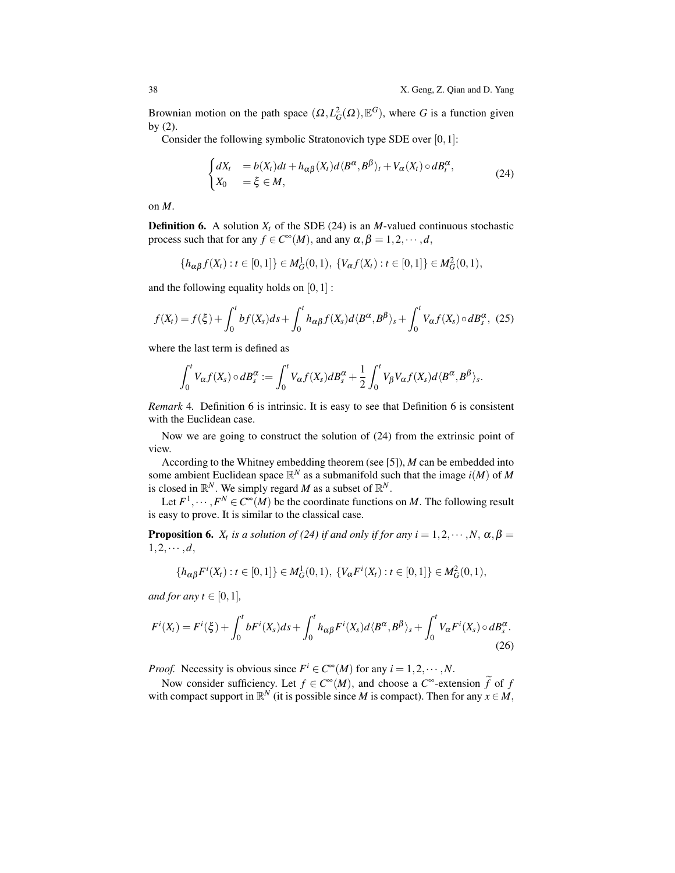Brownian motion on the path space  $(\Omega, L_G^2(\Omega), \mathbb{E}^G)$ , where *G* is a function given by (2).

Consider the following symbolic Stratonovich type SDE over [0,1]:

$$
\begin{cases} dX_t &= b(X_t)dt + h_{\alpha\beta}(X_t)d\langle B^{\alpha}, B^{\beta}\rangle_t + V_{\alpha}(X_t)\circ dB_t^{\alpha}, \\ X_0 &= \xi \in M, \end{cases}
$$
 (24)

on *M*.

**Definition 6.** A solution  $X_t$  of the SDE (24) is an *M*-valued continuous stochastic process such that for any  $f \in C^{\infty}(M)$ , and any  $\alpha, \beta = 1, 2, \dots, d$ ,

$$
\{h_{\alpha\beta}f(X_t):t\in[0,1]\}\in M_G^1(0,1),\ \{V_{\alpha}f(X_t):t\in[0,1]\}\in M_G^2(0,1),
$$

and the following equality holds on  $[0,1]$ :

$$
f(X_t) = f(\xi) + \int_0^t b f(X_s) ds + \int_0^t h_{\alpha\beta} f(X_s) d\langle B^{\alpha}, B^{\beta} \rangle_s + \int_0^t V_{\alpha} f(X_s) \circ dB_s^{\alpha}, \tag{25}
$$

where the last term is defined as

$$
\int_0^t V_{\alpha}f(X_s)\circ dB_s^{\alpha}:=\int_0^t V_{\alpha}f(X_s)dB_s^{\alpha}+\frac{1}{2}\int_0^t V_{\beta}V_{\alpha}f(X_s)d\langle B^{\alpha},B^{\beta}\rangle_s.
$$

*Remark* 4*.* Definition 6 is intrinsic. It is easy to see that Definition 6 is consistent with the Euclidean case.

Now we are going to construct the solution of (24) from the extrinsic point of view.

According to the Whitney embedding theorem (see [5]), *M* can be embedded into some ambient Euclidean space  $\mathbb{R}^N$  as a submanifold such that the image  $i(M)$  of M is closed in  $\mathbb{R}^N$ . We simply regard *M* as a subset of  $\mathbb{R}^N$ .

Let  $F^1, \dots, F^N \in C^{\infty}(M)$  be the coordinate functions on *M*. The following result is easy to prove. It is similar to the classical case.

**Proposition 6.**  $X_t$  is a solution of (24) if and only if for any  $i = 1, 2, \dots, N$ ,  $\alpha, \beta =$  $1, 2, \cdots, d,$ 

$$
\{h_{\alpha\beta}F^i(X_t):t\in[0,1]\}\in M_G^1(0,1),\ \{V_{\alpha}F^i(X_t):t\in[0,1]\}\in M_G^2(0,1),
$$

*and for any t*  $\in$  [0, 1]*,* 

$$
F^{i}(X_{t})=F^{i}(\xi)+\int_{0}^{t}bF^{i}(X_{s})ds+\int_{0}^{t}h_{\alpha\beta}F^{i}(X_{s})d\langle B^{\alpha},B^{\beta}\rangle_{s}+\int_{0}^{t}V_{\alpha}F^{i}(X_{s})\circ dB_{s}^{\alpha}.
$$
\n(26)

*Proof.* Necessity is obvious since  $F^i \in C^\infty(M)$  for any  $i = 1, 2, \dots, N$ .

Now consider sufficiency. Let  $f \in C^{\infty}(M)$ , and choose a  $C^{\infty}$ -extension  $\hat{f}$  of  $f$ with compact support in  $\mathbb{R}^N$  (it is possible since *M* is compact). Then for any  $x \in M$ ,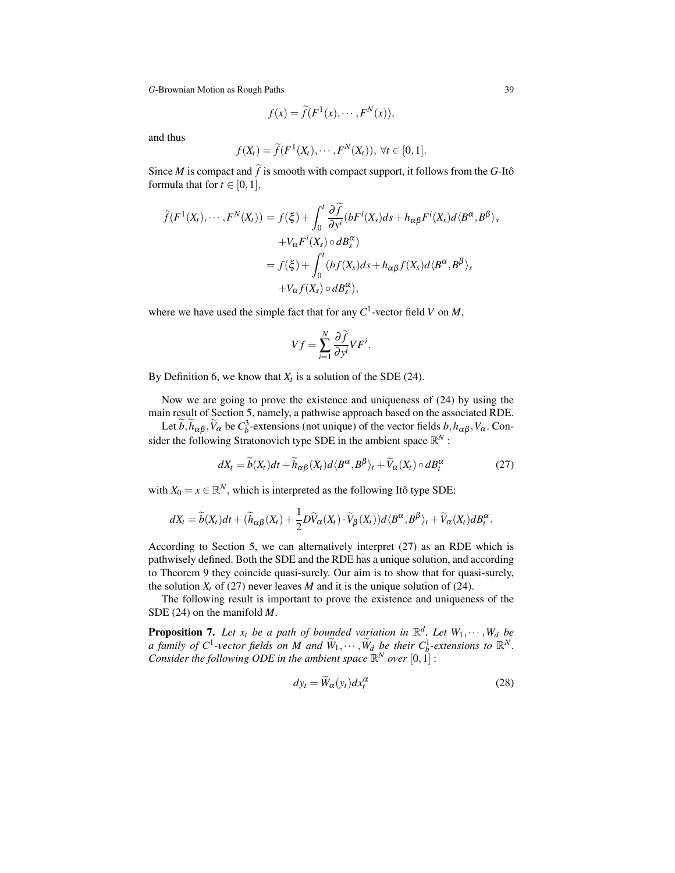$$
f(x) = \widetilde{f}(F^1(x), \cdots, F^N(x)),
$$

and thus

$$
f(X_t) = \widetilde{f}(F^1(X_t), \cdots, F^N(X_t)), \ \forall t \in [0,1].
$$

Since *M* is compact and  $\tilde{f}$  is smooth with compact support, it follows from the *G*-Itô formula that for  $t \in [0,1]$ ,

$$
\widetilde{f}(F^1(X_t), \cdots, F^N(X_t)) = f(\xi) + \int_0^t \frac{\partial \widetilde{f}}{\partial y^i} (bF^i(X_s)ds + h_{\alpha\beta}F^i(X_s)d\langle B^{\alpha}, B^{\beta} \rangle_s \n+ V_{\alpha}F^i(X_s) \circ dB_s^{\alpha}) \n= f(\xi) + \int_0^t (b f(X_s)ds + h_{\alpha\beta}f(X_s)d\langle B^{\alpha}, B^{\beta} \rangle_s \n+ V_{\alpha}f(X_s) \circ dB_s^{\alpha}),
$$

where we have used the simple fact that for any  $C^1$ -vector field *V* on *M*,

$$
Vf = \sum_{i=1}^{N} \frac{\partial \widetilde{f}}{\partial y^{i}} V F^{i}.
$$

By Definition 6, we know that  $X_t$  is a solution of the SDE (24).

 $\mathbf{L}$ 

Now we are going to prove the existence and uniqueness of (24) by using the main result of Section 5, namely, a pathwise approach based on the associated RDE.

Let  $\tilde{b}$ ,  $\tilde{h}_{\alpha\beta}$ ,  $\tilde{V}_{\alpha}$  be  $C_b^3$ -extensions (not unique) of the vector fields  $b$ ,  $h_{\alpha\beta}$ ,  $V_{\alpha}$ . Consider the following Stratonovich type SDE in the ambient space  $\mathbb{R}^N$  :

$$
dX_t = \tilde{b}(X_t)dt + \tilde{h}_{\alpha\beta}(X_t)d\langle B^{\alpha}, B^{\beta}\rangle_t + \tilde{V}_{\alpha}(X_t) \circ dB_t^{\alpha}
$$
 (27)

with  $X_0 = x \in \mathbb{R}^N$ , which is interpreted as the following Itô type SDE:

$$
dX_t = \widetilde{b}(X_t)dt + (\widetilde{h}_{\alpha\beta}(X_t) + \frac{1}{2}D\widetilde{V}_{\alpha}(X_t)\cdot \widetilde{V}_{\beta}(X_t))d\langle B^{\alpha}, B^{\beta}\rangle_t + \widetilde{V}_{\alpha}(X_t)dB_t^{\alpha}.
$$

According to Section 5, we can alternatively interpret (27) as an RDE which is pathwisely defined. Both the SDE and the RDE has a unique solution, and according to Theorem 9 they coincide quasi-surely. Our aim is to show that for quasi-surely, the solution  $X_t$  of (27) never leaves  $M$  and it is the unique solution of (24).

The following result is important to prove the existence and uniqueness of the SDE (24) on the manifold *M*.

**Proposition 7.** Let  $x_t$  be a path of bounded variation in  $\mathbb{R}^d$ . Let  $W_1, \dots, W_d$  be *a family of C*<sup>1</sup>-vector fields on *M* and  $\widetilde{W}_1, \cdots, \widetilde{W}_d$  be their  $C^1_b$ -extensions to  $\mathbb{R}^N$ . *Consider the following ODE in the ambient space*  $\mathbb{R}^N$  *over*  $[0,1]$ :

$$
dy_t = \widetilde{W}_\alpha(y_t) dx_t^\alpha \tag{28}
$$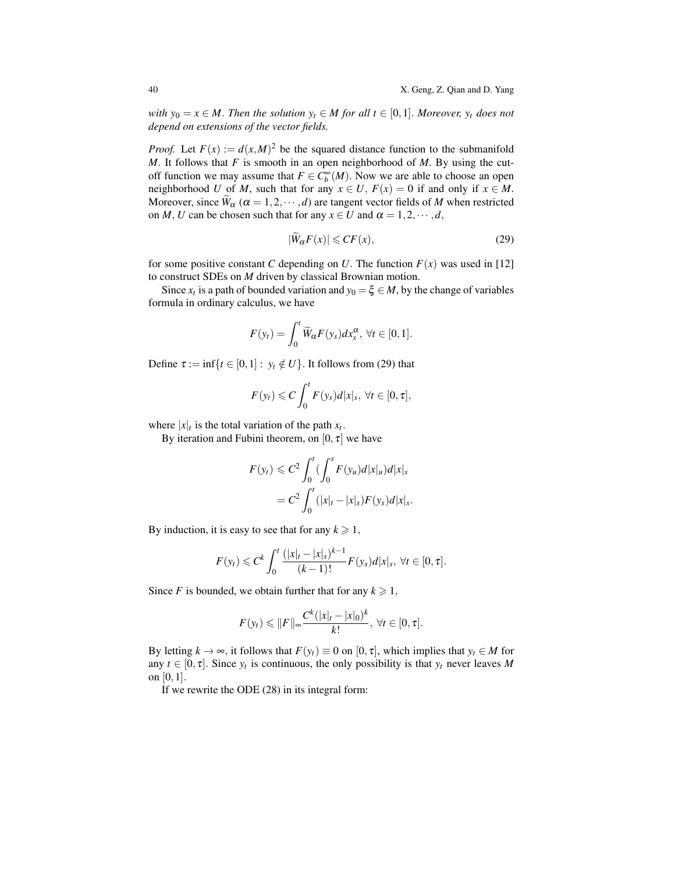*with*  $y_0 = x \in M$ . Then the solution  $y_t \in M$  for all  $t \in [0,1]$ . Moreover,  $y_t$  does not *depend on extensions of the vector fields.*

*Proof.* Let  $F(x) := d(x,M)^2$  be the squared distance function to the submanifold *M*. It follows that *F* is smooth in an open neighborhood of *M*. By using the cutoff function we may assume that  $F \in C_b^{\infty}(M)$ . Now we are able to choose an open neighborhood *U* of *M*, such that for any  $x \in U$ ,  $F(x) = 0$  if and only if  $x \in M$ . Moreover, since  $\widetilde{W}_{\alpha}$  ( $\alpha = 1, 2, \cdots, d$ ) are tangent vector fields of *M* when restricted on *M*, *U* can be chosen such that for any  $x \in U$  and  $\alpha = 1, 2, \dots, d$ ,

$$
|\widetilde{W}_{\alpha}F(x)| \leqslant CF(x),\tag{29}
$$

for some positive constant *C* depending on *U*. The function  $F(x)$  was used in [12] to construct SDEs on *M* driven by classical Brownian motion.

Since  $x_t$  is a path of bounded variation and  $y_0 = \xi \in M$ , by the change of variables formula in ordinary calculus, we have

$$
F(y_t) = \int_0^t \widetilde{W}_{\alpha} F(y_s) dx_s^{\alpha}, \ \forall t \in [0,1].
$$

Define  $\tau := \inf\{t \in [0,1]: y_t \notin U\}$ . It follows from (29) that

$$
F(y_t) \leqslant C \int_0^t F(y_s) d|x|_s, \ \forall t \in [0, \tau],
$$

where  $|x|_t$  is the total variation of the path  $x_t$ .

By iteration and Fubini theorem, on  $[0, \tau]$  we have

$$
F(y_t) \leq C^2 \int_0^t \left( \int_0^s F(y_u) d|x|_u \right) d|x|_s
$$
  
= 
$$
C^2 \int_0^t (|x|_t - |x|_s) F(y_s) d|x|_s.
$$

By induction, it is easy to see that for any  $k \ge 1$ ,

$$
F(y_t) \leq C^k \int_0^t \frac{(|x|_t - |x|_s)^{k-1}}{(k-1)!} F(y_s) d|x|_s, \ \forall t \in [0, \tau].
$$

Since *F* is bounded, we obtain further that for any  $k \ge 1$ ,

$$
F(y_t) \leq ||F||_{\infty} \frac{C^k(|x|_t - |x|_0)^k}{k!}, \ \forall t \in [0, \tau].
$$

By letting  $k \to \infty$ , it follows that  $F(y_t) \equiv 0$  on [0,  $\tau$ ], which implies that  $y_t \in M$  for any  $t \in [0, \tau]$ . Since  $y_t$  is continuous, the only possibility is that  $y_t$  never leaves M on  $[0,1]$ .

If we rewrite the ODE (28) in its integral form: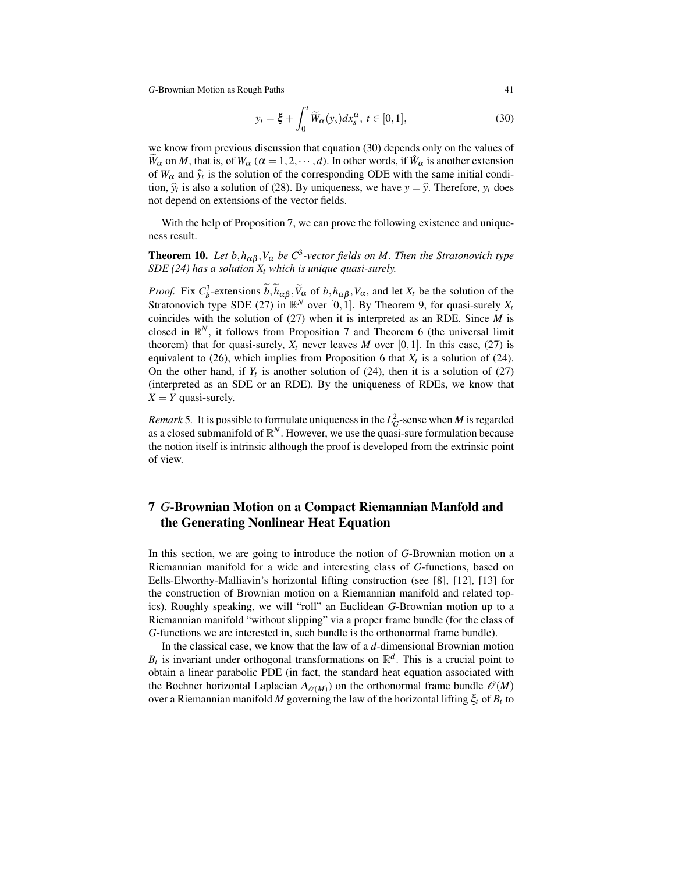$$
y_t = \xi + \int_0^t \widetilde{W}_\alpha(y_s) dx_s^\alpha, \ t \in [0, 1], \tag{30}
$$

we know from previous discussion that equation (30) depends only on the values of  $W_{\alpha}$  on *M*, that is, of  $W_{\alpha}$  ( $\alpha = 1, 2, \cdots, d$ ). In other words, if  $\hat{W}_{\alpha}$  is another extension of  $W_\alpha$  and  $\hat{y}_t$  is the solution of the corresponding ODE with the same initial condition  $\hat{y}_t$  is also a solution of (28). By uniquances, we have  $y = \hat{y}_t$ . Therefore, y does tion,  $\hat{y}_t$  is also a solution of (28). By uniqueness, we have  $y = \hat{y}$ . Therefore,  $y_t$  does not depend on extensions of the vector fields.

With the help of Proposition 7, we can prove the following existence and uniqueness result.

**Theorem 10.** Let  $b, h_{\alpha\beta}, V_{\alpha}$  be  $C^3$ -vector fields on M. Then the Stratonovich type *SDE (24) has a solution X<sup>t</sup> which is unique quasi-surely.*

*Proof.* Fix  $C_b^3$ -extensions  $b, h_{\alpha\beta}, V_{\alpha}$  of  $b, h_{\alpha\beta}, V_{\alpha}$ , and let  $X_t$  be the solution of the Stratonovich type SDE (27) in  $\mathbb{R}^N$  over [0,1]. By Theorem 9, for quasi-surely  $X_t$ coincides with the solution of (27) when it is interpreted as an RDE. Since *M* is closed in  $\mathbb{R}^N$ , it follows from Proposition 7 and Theorem 6 (the universal limit theorem) that for quasi-surely,  $X_t$  never leaves *M* over [0,1]. In this case, (27) is equivalent to  $(26)$ , which implies from Proposition 6 that  $X_t$  is a solution of  $(24)$ . On the other hand, if  $Y_t$  is another solution of (24), then it is a solution of (27) (interpreted as an SDE or an RDE). By the uniqueness of RDEs, we know that  $X = Y$  quasi-surely.

*Remark* 5. It is possible to formulate uniqueness in the  $L_G^2$ -sense when *M* is regarded as a closed submanifold of  $\mathbb{R}^N$ . However, we use the quasi-sure formulation because the notion itself is intrinsic although the proof is developed from the extrinsic point of view.

# 7 *G*-Brownian Motion on a Compact Riemannian Manfold and the Generating Nonlinear Heat Equation

In this section, we are going to introduce the notion of *G*-Brownian motion on a Riemannian manifold for a wide and interesting class of *G*-functions, based on Eells-Elworthy-Malliavin's horizontal lifting construction (see [8], [12], [13] for the construction of Brownian motion on a Riemannian manifold and related topics). Roughly speaking, we will "roll" an Euclidean *G*-Brownian motion up to a Riemannian manifold "without slipping" via a proper frame bundle (for the class of *G*-functions we are interested in, such bundle is the orthonormal frame bundle).

In the classical case, we know that the law of a *d*-dimensional Brownian motion  $B_t$  is invariant under orthogonal transformations on  $\mathbb{R}^d$ . This is a crucial point to obtain a linear parabolic PDE (in fact, the standard heat equation associated with the Bochner horizontal Laplacian  $\Delta_{\mathcal{O}(M)}$  on the orthonormal frame bundle  $\mathcal{O}(M)$ over a Riemannian manifold *M* governing the law of the horizontal lifting ξ*<sup>t</sup>* of *B<sup>t</sup>* to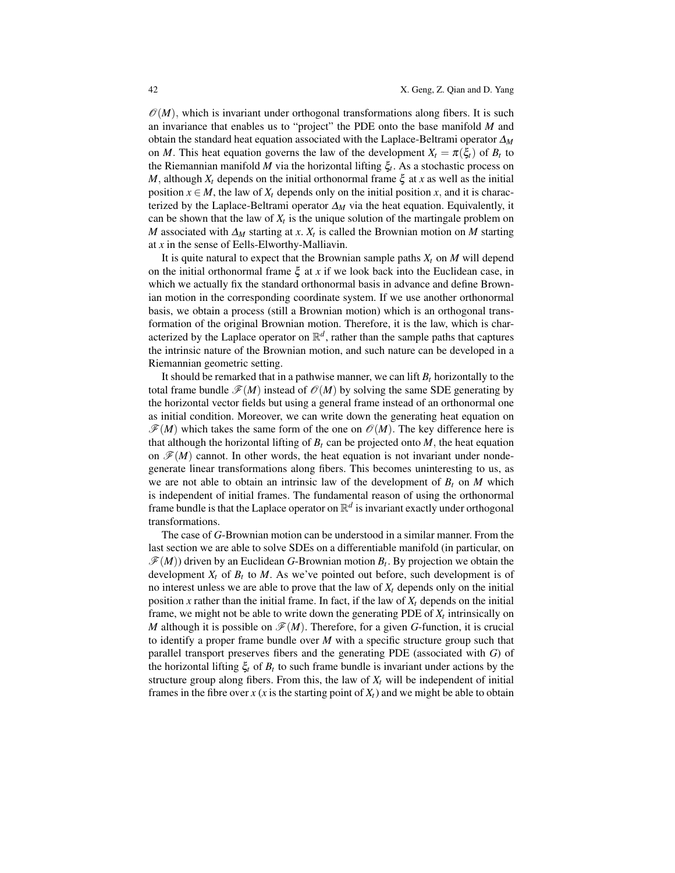$\mathcal{O}(M)$ , which is invariant under orthogonal transformations along fibers. It is such an invariance that enables us to "project" the PDE onto the base manifold *M* and obtain the standard heat equation associated with the Laplace-Beltrami operator ∆*<sup>M</sup>* on *M*. This heat equation governs the law of the development  $X_t = \pi(\xi_t)$  of  $B_t$  to the Riemannian manifold *M* via the horizontal lifting ξ*<sup>t</sup>* . As a stochastic process on *M*, although  $X_t$  depends on the initial orthonormal frame  $\xi$  at *x* as well as the initial position  $x \in M$ , the law of  $X_t$  depends only on the initial position x, and it is characterized by the Laplace-Beltrami operator  $\Delta_M$  via the heat equation. Equivalently, it can be shown that the law of  $X_t$  is the unique solution of the martingale problem on *M* associated with ∆*<sup>M</sup>* starting at *x*. *X<sup>t</sup>* is called the Brownian motion on *M* starting at *x* in the sense of Eells-Elworthy-Malliavin.

It is quite natural to expect that the Brownian sample paths *X<sup>t</sup>* on *M* will depend on the initial orthonormal frame  $\xi$  at *x* if we look back into the Euclidean case, in which we actually fix the standard orthonormal basis in advance and define Brownian motion in the corresponding coordinate system. If we use another orthonormal basis, we obtain a process (still a Brownian motion) which is an orthogonal transformation of the original Brownian motion. Therefore, it is the law, which is characterized by the Laplace operator on  $\mathbb{R}^d$ , rather than the sample paths that captures the intrinsic nature of the Brownian motion, and such nature can be developed in a Riemannian geometric setting.

It should be remarked that in a pathwise manner, we can lift  $B_t$  horizontally to the total frame bundle  $\mathcal{F}(M)$  instead of  $\mathcal{O}(M)$  by solving the same SDE generating by the horizontal vector fields but using a general frame instead of an orthonormal one as initial condition. Moreover, we can write down the generating heat equation on  $\mathscr{F}(M)$  which takes the same form of the one on  $\mathscr{O}(M)$ . The key difference here is that although the horizontal lifting of  $B_t$  can be projected onto  $M$ , the heat equation on  $\mathcal{F}(M)$  cannot. In other words, the heat equation is not invariant under nondegenerate linear transformations along fibers. This becomes uninteresting to us, as we are not able to obtain an intrinsic law of the development of  $B_t$  on M which is independent of initial frames. The fundamental reason of using the orthonormal frame bundle is that the Laplace operator on  $\mathbb{R}^d$  is invariant exactly under orthogonal transformations.

The case of *G*-Brownian motion can be understood in a similar manner. From the last section we are able to solve SDEs on a differentiable manifold (in particular, on  $\mathscr{F}(M)$ ) driven by an Euclidean *G*-Brownian motion  $B_t$ . By projection we obtain the development  $X_t$  of  $B_t$  to  $M$ . As we've pointed out before, such development is of no interest unless we are able to prove that the law of  $X_t$  depends only on the initial position *x* rather than the initial frame. In fact, if the law of  $X_t$  depends on the initial frame, we might not be able to write down the generating PDE of  $X_t$  intrinsically on *M* although it is possible on  $\mathcal{F}(M)$ . Therefore, for a given *G*-function, it is crucial to identify a proper frame bundle over *M* with a specific structure group such that parallel transport preserves fibers and the generating PDE (associated with *G*) of the horizontal lifting  $\xi_t$  of  $B_t$  to such frame bundle is invariant under actions by the structure group along fibers. From this, the law of  $X_t$  will be independent of initial frames in the fibre over  $x$  ( $x$  is the starting point of  $X_t$ ) and we might be able to obtain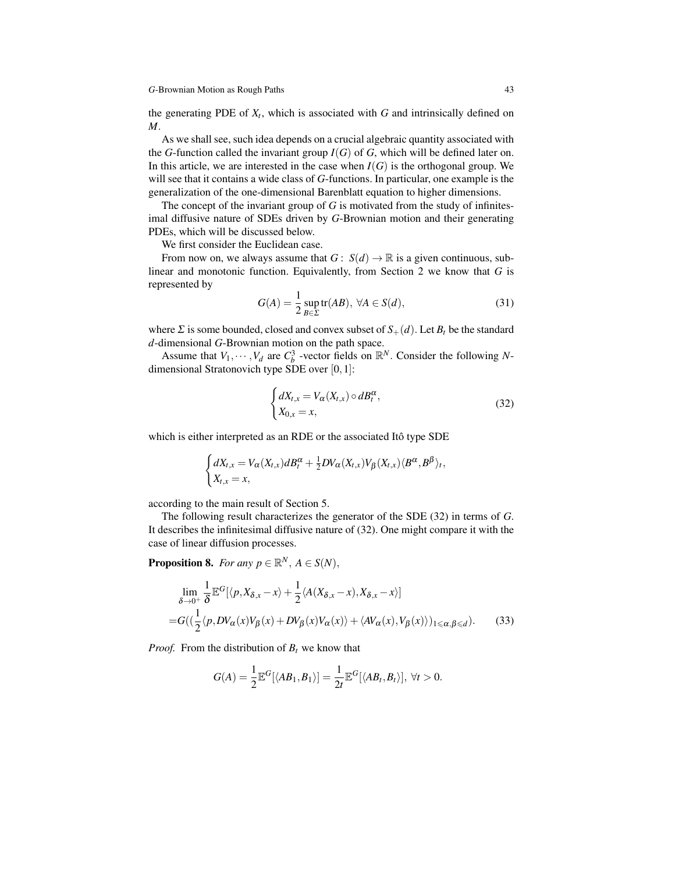the generating PDE of  $X_t$ , which is associated with  $G$  and intrinsically defined on *M*.

As we shall see, such idea depends on a crucial algebraic quantity associated with the *G*-function called the invariant group  $I(G)$  of *G*, which will be defined later on. In this article, we are interested in the case when  $I(G)$  is the orthogonal group. We will see that it contains a wide class of *G*-functions. In particular, one example is the generalization of the one-dimensional Barenblatt equation to higher dimensions.

The concept of the invariant group of *G* is motivated from the study of infinitesimal diffusive nature of SDEs driven by *G*-Brownian motion and their generating PDEs, which will be discussed below.

We first consider the Euclidean case.

From now on, we always assume that  $G: S(d) \to \mathbb{R}$  is a given continuous, sublinear and monotonic function. Equivalently, from Section 2 we know that *G* is represented by

$$
G(A) = \frac{1}{2} \sup_{B \in \Sigma} \text{tr}(AB), \ \forall A \in S(d), \tag{31}
$$

where  $\Sigma$  is some bounded, closed and convex subset of  $S_+(d)$ . Let  $B_t$  be the standard *d*-dimensional *G*-Brownian motion on the path space.

Assume that  $V_1, \dots, V_d$  are  $C_b^3$  -vector fields on  $\mathbb{R}^N$ . Consider the following Ndimensional Stratonovich type SDE over [0,1]:

$$
\begin{cases} dX_{t,x} = V_{\alpha}(X_{t,x}) \circ dB_t^{\alpha}, \\ X_{0,x} = x, \end{cases}
$$
\n(32)

which is either interpreted as an RDE or the associated Itô type SDE

$$
\begin{cases} dX_{t,x} = V_{\alpha}(X_{t,x})dB_t^{\alpha} + \frac{1}{2}DV_{\alpha}(X_{t,x})V_{\beta}(X_{t,x})\langle B^{\alpha}, B^{\beta}\rangle_t, \\ X_{t,x} = x, \end{cases}
$$

according to the main result of Section 5.

The following result characterizes the generator of the SDE (32) in terms of *G*. It describes the infinitesimal diffusive nature of (32). One might compare it with the case of linear diffusion processes.

**Proposition 8.** *For any*  $p \in \mathbb{R}^N$ ,  $A \in S(N)$ ,

$$
\lim_{\delta \to 0^+} \frac{1}{\delta} \mathbb{E}^G[\langle p, X_{\delta,x} - x \rangle + \frac{1}{2} \langle A(X_{\delta,x} - x), X_{\delta,x} - x \rangle] \n= G((\frac{1}{2} \langle p, DV_{\alpha}(x)V_{\beta}(x) + DV_{\beta}(x)V_{\alpha}(x)) + \langle AV_{\alpha}(x), V_{\beta}(x) \rangle)_{1 \leq \alpha, \beta \leq d}).
$$
\n(33)

*Proof.* From the distribution of  $B_t$  we know that

$$
G(A) = \frac{1}{2} \mathbb{E}^G[\langle AB_1, B_1 \rangle] = \frac{1}{2t} \mathbb{E}^G[\langle AB_t, B_t \rangle], \ \forall t > 0.
$$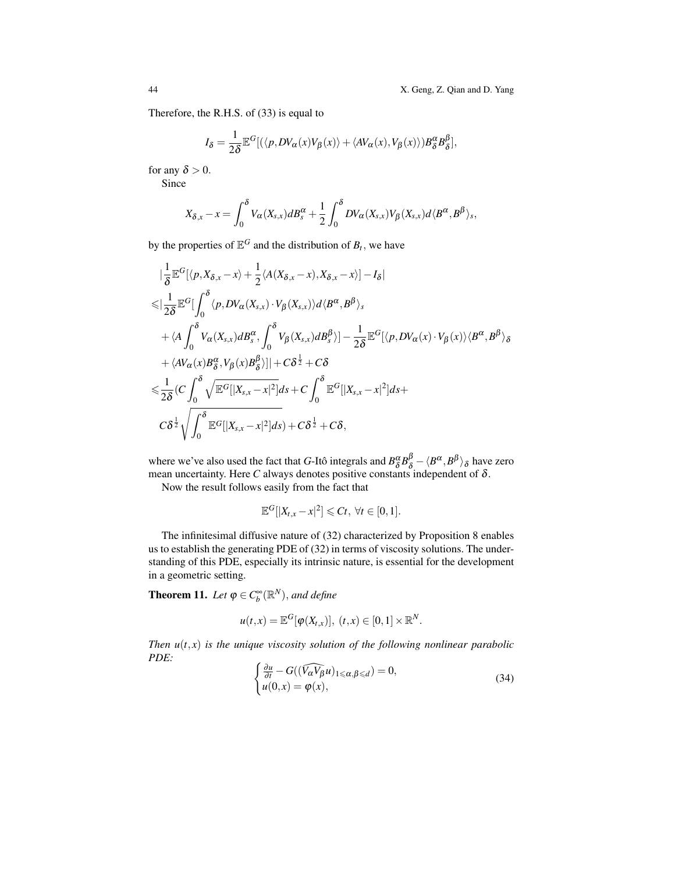Therefore, the R.H.S. of (33) is equal to

$$
I_{\delta} = \frac{1}{2\delta} \mathbb{E}^{G} [ (\langle p, DV_{\alpha}(x)V_{\beta}(x) \rangle + \langle AV_{\alpha}(x), V_{\beta}(x) \rangle) B_{\delta}^{\alpha} B_{\delta}^{\beta} ],
$$

for any  $\delta > 0$ .

Since

$$
X_{\delta,x}-x=\int_0^\delta V_\alpha(X_{s,x})dB_s^\alpha+\frac{1}{2}\int_0^\delta DV_\alpha(X_{s,x})V_\beta(X_{s,x})d\langle B^\alpha,B^\beta\rangle_s,
$$

by the properties of  $\mathbb{E}^G$  and the distribution of  $B_t$ , we have

$$
\begin{split}\n&|\frac{1}{\delta}\mathbb{E}^{G}[\langle p, X_{\delta,x}-x\rangle+\frac{1}{2}\langle A(X_{\delta,x}-x), X_{\delta,x}-x\rangle]-I_{\delta}| \\
&\leqslant|\frac{1}{2\delta}\mathbb{E}^{G}[\int_{0}^{\delta}\langle p, DV_{\alpha}(X_{s,x})\cdot V_{\beta}(X_{s,x})\rangle d\langle B^{\alpha}, B^{\beta}\rangle_{s} \\
&+\langle A\int_{0}^{\delta}V_{\alpha}(X_{s,x})dB_{s}^{\alpha}, \int_{0}^{\delta}V_{\beta}(X_{s,x})dB_{s}^{\beta}\rangle]-\frac{1}{2\delta}\mathbb{E}^{G}[\langle p, DV_{\alpha}(x)\cdot V_{\beta}(x)\rangle\langle B^{\alpha}, B^{\beta}\rangle_{\delta} \\
&+\langle AV_{\alpha}(x)B_{\delta}^{\alpha}, V_{\beta}(x)B_{\delta}^{\beta}\rangle]|+C\delta^{\frac{1}{2}}+C\delta \\
&\leqslant\frac{1}{2\delta}(C\int_{0}^{\delta}\sqrt{\mathbb{E}^{G}[|X_{s,x}-x|^{2}]}ds+C\int_{0}^{\delta}\mathbb{E}^{G}[|X_{s,x}-x|^{2}]ds+\\C\delta^{\frac{1}{2}}\sqrt{\int_{0}^{\delta}\mathbb{E}^{G}[|X_{s,x}-x|^{2}]ds}+C\delta^{\frac{1}{2}}+C\delta,\n\end{split}
$$

where we've also used the fact that *G*-Itô integrals and  $B_{\delta}^{\alpha}B_{\delta}^{\beta} - \langle B^{\alpha}, B^{\beta} \rangle_{\delta}$  have zero mean uncertainty. Here  $C$  always denotes positive constants independent of  $\delta$ .

Now the result follows easily from the fact that

$$
\mathbb{E}^{G}[|X_{t,x}-x|^2] \leqslant Ct, \ \forall t \in [0,1].
$$

The infinitesimal diffusive nature of (32) characterized by Proposition 8 enables us to establish the generating PDE of (32) in terms of viscosity solutions. The understanding of this PDE, especially its intrinsic nature, is essential for the development in a geometric setting.

**Theorem 11.** Let  $\varphi \in C_b^{\infty}(\mathbb{R}^N)$ , and define

$$
u(t,x)=\mathbb{E}^G[\varphi(X_{t,x})],\ (t,x)\in[0,1]\times\mathbb{R}^N.
$$

*Then*  $u(t, x)$  *is the unique viscosity solution of the following nonlinear parabolic PDE:*

$$
\begin{cases} \frac{\partial u}{\partial t} - G((\widehat{V_{\alpha}V_{\beta}}u)_{1 \leq \alpha, \beta \leq d}) = 0, \\ u(0, x) = \varphi(x), \end{cases}
$$
 (34)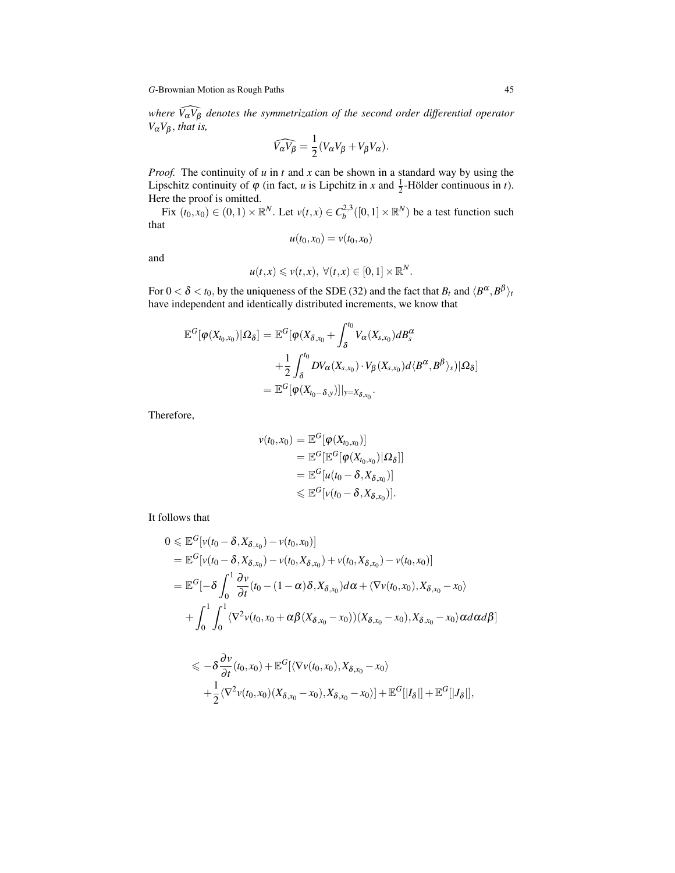*where*  $\widehat{V_{\alpha}V_{\beta}}$  *denotes the symmetrization of the second order differential operator V*α*V*<sup>β</sup> , *that is,*

$$
\widehat{V_{\alpha}V_{\beta}} = \frac{1}{2}(V_{\alpha}V_{\beta} + V_{\beta}V_{\alpha}).
$$

*Proof.* The continuity of *u* in *t* and *x* can be shown in a standard way by using the Lipschitz continuity of  $\varphi$  (in fact, *u* is Lipchitz in *x* and  $\frac{1}{2}$ -Hölder continuous in *t*). Here the proof is omitted.

Fix  $(t_0, x_0) \in (0, 1) \times \mathbb{R}^N$ . Let  $v(t, x) \in C_b^{2,3}([0, 1] \times \mathbb{R}^N)$  be a test function such that

$$
u(t_0, x_0) = v(t_0, x_0)
$$

and

$$
u(t,x) \leq v(t,x), \ \forall (t,x) \in [0,1] \times \mathbb{R}^N.
$$

For  $0 < \delta < t_0,$  by the uniqueness of the SDE (32) and the fact that  $B_t$  and  $\langle B^\alpha, B^\beta \rangle_t$ have independent and identically distributed increments, we know that

$$
\mathbb{E}^{G}[\varphi(X_{t_0,x_0})|\Omega_{\delta}] = \mathbb{E}^{G}[\varphi(X_{\delta,x_0} + \int_{\delta}^{t_0} V_{\alpha}(X_{s,x_0})d B^{\alpha}_{s} \n+ \frac{1}{2}\int_{\delta}^{t_0} DV_{\alpha}(X_{s,x_0})\cdot V_{\beta}(X_{s,x_0})d\langle B^{\alpha}, B^{\beta}\rangle_{s})|\Omega_{\delta}] \n= \mathbb{E}^{G}[\varphi(X_{t_0-\delta,y})]|_{y=X_{\delta,x_0}}.
$$

Therefore,

$$
\nu(t_0, x_0) = \mathbb{E}^{G}[\varphi(X_{t_0, x_0})]
$$
  
= 
$$
\mathbb{E}^{G}[\mathbb{E}^{G}[\varphi(X_{t_0, x_0})|\Omega_{\delta}]]
$$
  
= 
$$
\mathbb{E}^{G}[u(t_0 - \delta, X_{\delta, x_0})]
$$
  

$$
\leq \mathbb{E}^{G}[v(t_0 - \delta, X_{\delta, x_0})].
$$

It follows that

$$
0 \leq \mathbb{E}^{G}[v(t_{0}-\delta, X_{\delta,x_{0}})-v(t_{0},x_{0})]
$$
  
\n
$$
= \mathbb{E}^{G}[v(t_{0}-\delta, X_{\delta,x_{0}})-v(t_{0},X_{\delta,x_{0}})+v(t_{0},X_{\delta,x_{0}})-v(t_{0},x_{0})]
$$
  
\n
$$
= \mathbb{E}^{G}[-\delta\int_{0}^{1}\frac{\partial v}{\partial t}(t_{0}-(1-\alpha)\delta,X_{\delta,x_{0}})d\alpha+\langle\nabla v(t_{0},x_{0}),X_{\delta,x_{0}}-x_{0}\rangle
$$
  
\n
$$
+\int_{0}^{1}\int_{0}^{1}\langle\nabla^{2}v(t_{0},x_{0}+\alpha\beta(X_{\delta,x_{0}}-x_{0}))(X_{\delta,x_{0}}-x_{0}),X_{\delta,x_{0}}-x_{0}\rangle\alpha d\alpha d\beta]
$$

$$
\leqslant -\delta \frac{\partial v}{\partial t}(t_0, x_0) + \mathbb{E}^G[\langle \nabla v(t_0, x_0), X_{\delta, x_0} - x_0 \rangle + \frac{1}{2} \langle \nabla^2 v(t_0, x_0) (X_{\delta, x_0} - x_0), X_{\delta, x_0} - x_0 \rangle] + \mathbb{E}^G[|I_{\delta}|] + \mathbb{E}^G[|J_{\delta}|],
$$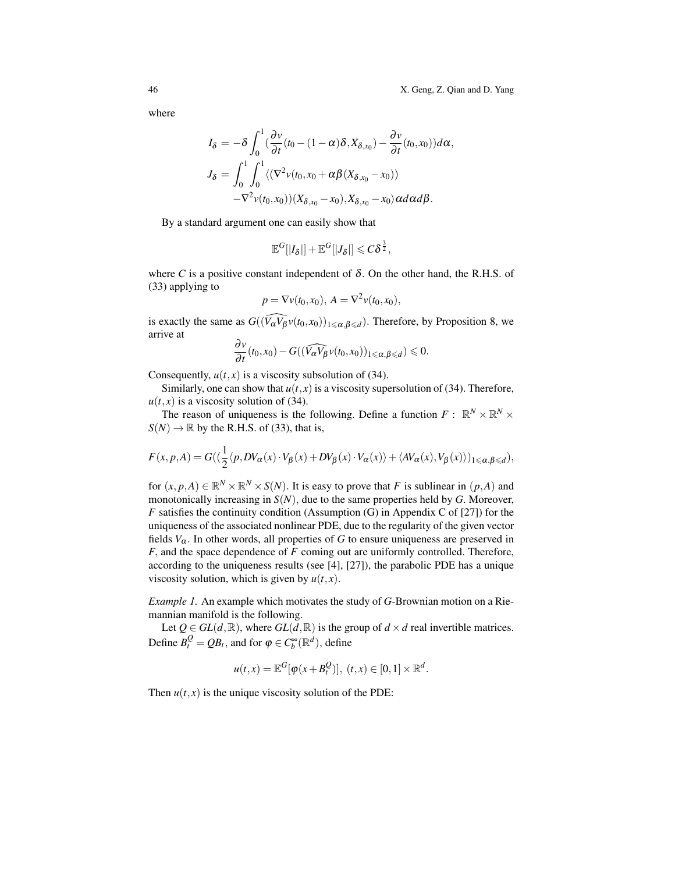where

$$
I_{\delta} = -\delta \int_0^1 (\frac{\partial v}{\partial t}(t_0 - (1 - \alpha)\delta, X_{\delta, x_0}) - \frac{\partial v}{\partial t}(t_0, x_0))d\alpha,
$$
  
\n
$$
J_{\delta} = \int_0^1 \int_0^1 \langle (\nabla^2 v(t_0, x_0 + \alpha\beta(X_{\delta, x_0} - x_0)) -\nabla^2 v(t_0, x_0))(X_{\delta, x_0} - x_0), X_{\delta, x_0} - x_0 \rangle \alpha d\alpha d\beta.
$$

By a standard argument one can easily show that

$$
\mathbb{E}^G[|I_{\delta}|]+\mathbb{E}^G[|J_{\delta}|]\leqslant C\delta^{\frac{3}{2}},
$$

where *C* is a positive constant independent of  $\delta$ . On the other hand, the R.H.S. of (33) applying to

$$
p = \nabla v(t_0, x_0), A = \nabla^2 v(t_0, x_0),
$$

is exactly the same as  $G((\widehat{V_{\alpha}V_{\beta}}v(t_0,x_0))_{1\leq \alpha,\beta\leq d})$ . Therefore, by Proposition 8, we arrive at

$$
\frac{\partial v}{\partial t}(t_0,x_0)-G((\widehat{V_{\alpha}V_{\beta}v}(t_0,x_0))_{1\leq \alpha,\beta\leq d})\leq 0.
$$

Consequently,  $u(t, x)$  is a viscosity subsolution of (34).

Similarly, one can show that  $u(t, x)$  is a viscosity supersolution of (34). Therefore,  $u(t, x)$  is a viscosity solution of (34).

The reason of uniqueness is the following. Define a function  $F: \mathbb{R}^N \times \mathbb{R}^N \times$  $S(N) \rightarrow \mathbb{R}$  by the R.H.S. of (33), that is,

$$
F(x, p, A) = G\left(\left(\frac{1}{2}\langle p, DV_{\alpha}(x) \cdot V_{\beta}(x) + DV_{\beta}(x) \cdot V_{\alpha}(x)\rangle + \langle AV_{\alpha}(x), V_{\beta}(x)\rangle\right)\right)_{1 \leq \alpha, \beta \leq d},
$$

for  $(x, p, A) \in \mathbb{R}^N \times \mathbb{R}^N \times S(N)$ . It is easy to prove that *F* is sublinear in  $(p, A)$  and monotonically increasing in *S*(*N*), due to the same properties held by *G*. Moreover, *F* satisfies the continuity condition (Assumption (G) in Appendix C of [27]) for the uniqueness of the associated nonlinear PDE, due to the regularity of the given vector fields  $V_\alpha$ . In other words, all properties of *G* to ensure uniqueness are preserved in *F*, and the space dependence of *F* coming out are uniformly controlled. Therefore, according to the uniqueness results (see [4], [27]), the parabolic PDE has a unique viscosity solution, which is given by  $u(t, x)$ .

*Example 1.* An example which motivates the study of *G*-Brownian motion on a Riemannian manifold is the following.

Let  $Q \in GL(d, \mathbb{R})$ , where  $GL(d, \mathbb{R})$  is the group of  $d \times d$  real invertible matrices. Define  $B_t^Q = QB_t$ , and for  $\varphi \in C_b^{\infty}(\mathbb{R}^d)$ , define

$$
u(t,x) = \mathbb{E}^G[\varphi(x+B_t^Q)], (t,x) \in [0,1] \times \mathbb{R}^d.
$$

Then  $u(t, x)$  is the unique viscosity solution of the PDE: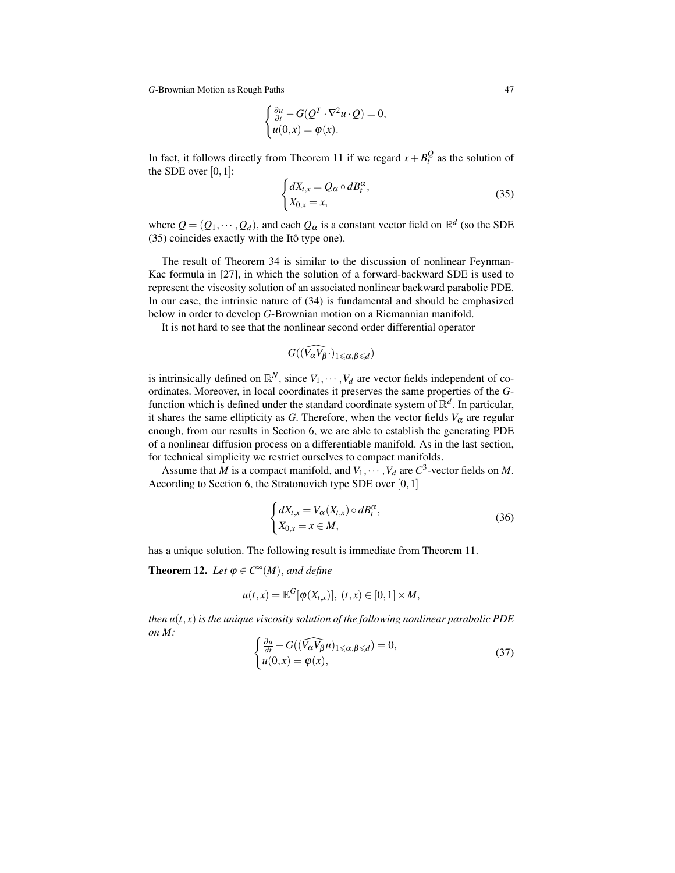$$
\begin{cases} \frac{\partial u}{\partial t} - G(Q^T \cdot \nabla^2 u \cdot Q) = 0, \\ u(0, x) = \varphi(x). \end{cases}
$$

In fact, it follows directly from Theorem 11 if we regard  $x + B_t^Q$  as the solution of the SDE over  $[0,1]$ :

$$
\begin{cases} dX_{t,x} = Q_{\alpha} \circ dB_t^{\alpha}, \\ X_{0,x} = x, \end{cases}
$$
 (35)

where  $Q = (Q_1, \dots, Q_d)$ , and each  $Q_\alpha$  is a constant vector field on  $\mathbb{R}^d$  (so the SDE  $(35)$  coincides exactly with the Itô type one).

The result of Theorem 34 is similar to the discussion of nonlinear Feynman-Kac formula in [27], in which the solution of a forward-backward SDE is used to represent the viscosity solution of an associated nonlinear backward parabolic PDE. In our case, the intrinsic nature of (34) is fundamental and should be emphasized below in order to develop *G*-Brownian motion on a Riemannian manifold.

It is not hard to see that the nonlinear second order differential operator

$$
G((\widehat{V_{\alpha}V_{\beta}}\cdot)_{1\leqslant\alpha,\beta\leqslant d})
$$

is intrinsically defined on  $\mathbb{R}^N$ , since  $V_1, \dots, V_d$  are vector fields independent of coordinates. Moreover, in local coordinates it preserves the same properties of the *G*function which is defined under the standard coordinate system of  $\mathbb{R}^d$ . In particular, it shares the same ellipticity as *G*. Therefore, when the vector fields  $V_\alpha$  are regular enough, from our results in Section 6, we are able to establish the generating PDE of a nonlinear diffusion process on a differentiable manifold. As in the last section, for technical simplicity we restrict ourselves to compact manifolds.

Assume that *M* is a compact manifold, and  $V_1, \dots, V_d$  are  $C^3$ -vector fields on *M*. According to Section 6, the Stratonovich type SDE over [0,1]

$$
\begin{cases} dX_{t,x} = V_{\alpha}(X_{t,x}) \circ dB_t^{\alpha}, \\ X_{0,x} = x \in M, \end{cases}
$$
\n(36)

has a unique solution. The following result is immediate from Theorem 11.

**Theorem 12.** Let  $\varphi \in C^{\infty}(M)$ , and define

$$
u(t,x)=\mathbb{E}^G[\varphi(X_{t,x})],\ (t,x)\in[0,1]\times M,
$$

*then*  $u(t, x)$  *is the unique viscosity solution of the following nonlinear parabolic PDE on M:*

$$
\begin{cases} \frac{\partial u}{\partial t} - G((\widehat{V_{\alpha}V_{\beta}}u)_{1 \leq \alpha, \beta \leq d}) = 0, \\ u(0, x) = \varphi(x), \end{cases}
$$
(37)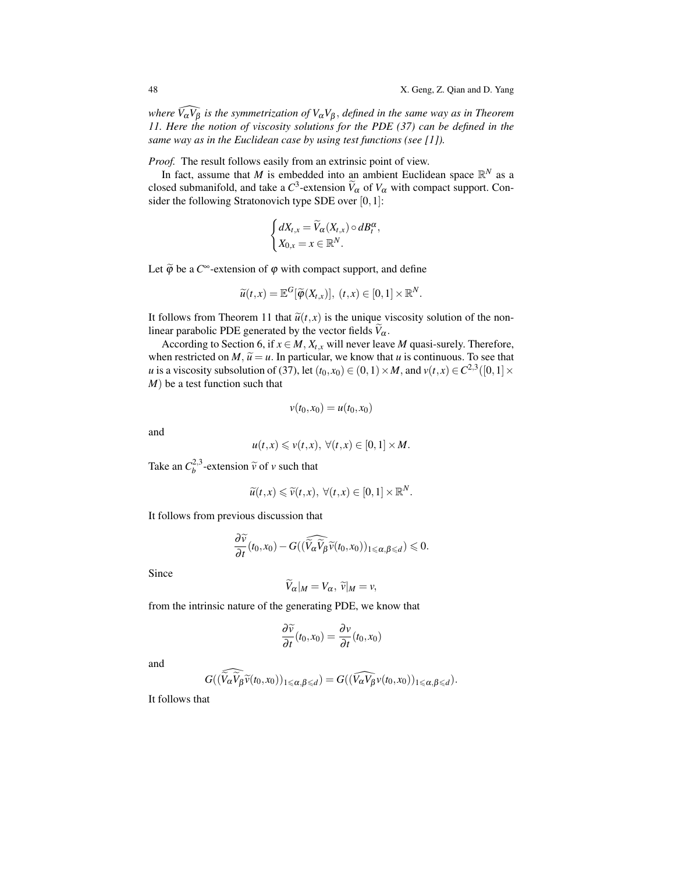*where <sup>V</sup>*[α*V*<sup>β</sup> *is the symmetrization of V*α*V*<sup>β</sup> , *defined in the same way as in Theorem 11. Here the notion of viscosity solutions for the PDE (37) can be defined in the same way as in the Euclidean case by using test functions (see [1]).*

*Proof.* The result follows easily from an extrinsic point of view.

In fact, assume that *M* is embedded into an ambient Euclidean space  $\mathbb{R}^N$  as a closed submanifold, and take a  $C^3$ -extension  $\tilde{V}_\alpha$  of  $V_\alpha$  with compact support. Consider the following Stratonovich type SDE over [0,1]:

$$
\begin{cases} dX_{t,x} = \widetilde{V}_{\alpha}(X_{t,x}) \circ dB_t^{\alpha}, \\ X_{0,x} = x \in \mathbb{R}^N. \end{cases}
$$

Let  $\widetilde{\varphi}$  be a  $C^{\infty}$ -extension of  $\varphi$  with compact support, and define

$$
\widetilde{u}(t,x)=\mathbb{E}^G[\widetilde{\varphi}(X_{t,x})], (t,x)\in [0,1]\times \mathbb{R}^N.
$$

It follows from Theorem 11 that  $\tilde{u}(t, x)$  is the unique viscosity solution of the nonlinear parabolic PDE generated by the vector fields  $V_{\alpha}$ .

According to Section 6, if  $x \in M$ ,  $X_{t,x}$  will never leave *M* quasi-surely. Therefore, when restricted on  $M$ ,  $\tilde{u} = u$ . In particular, we know that *u* is continuous. To see that *u* is a viscosity subsolution of (37), let  $(t_0, x_0) \in (0, 1) \times M$ , and  $v(t, x) \in C^{2,3}([0, 1] \times M)$ *M*) be a test function such that

$$
v(t_0,x_0)=u(t_0,x_0)
$$

and

$$
u(t,x) \leq v(t,x), \ \forall (t,x) \in [0,1] \times M.
$$

Take an  $C_b^{2,3}$ -extension  $\tilde{v}$  of *v* such that

$$
\widetilde{u}(t,x)\leqslant \widetilde{v}(t,x),\ \forall (t,x)\in [0,1]\times \mathbb{R}^N.
$$

It follows from previous discussion that

$$
\frac{\partial \widetilde{v}}{\partial t}(t_0,x_0)-G((\widetilde{\widetilde{V}_{\alpha}\widetilde{V}_{\beta}\widetilde{v}(t_0,x_0)})_{1\leq \alpha,\beta\leq d})\leq 0.
$$

Since

$$
\widetilde{V}_{\alpha}|_M=V_{\alpha},\ \widetilde{v}|_M=v,
$$

from the intrinsic nature of the generating PDE, we know that

$$
\frac{\partial \widetilde{v}}{\partial t}(t_0, x_0) = \frac{\partial v}{\partial t}(t_0, x_0)
$$

and

$$
G((\widehat{\widetilde{V}_{\alpha}\widetilde{V}_{\beta}\widetilde{\nu}}(t_0,x_0))_{1\leq \alpha,\beta\leq d})=G((\widehat{V_{\alpha}\widetilde{V}_{\beta}\nu}(t_0,x_0))_{1\leq \alpha,\beta\leq d}).
$$

It follows that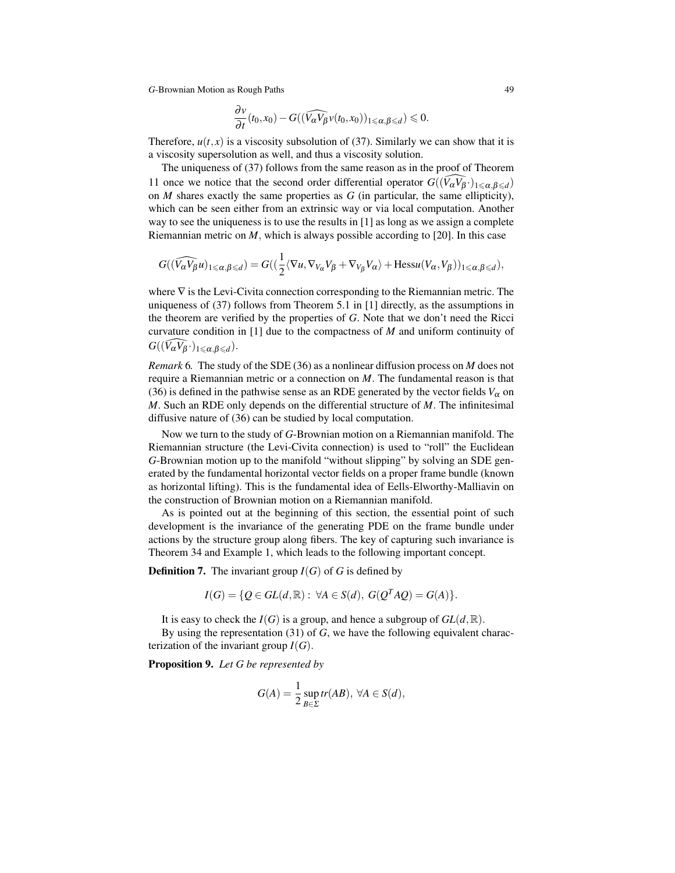$$
\frac{\partial v}{\partial t}(t_0,x_0)-G((\widehat{V_{\alpha}V_{\beta}}v(t_0,x_0))_{1\leq \alpha,\beta\leq d})\leq 0.
$$

Therefore,  $u(t, x)$  is a viscosity subsolution of (37). Similarly we can show that it is a viscosity supersolution as well, and thus a viscosity solution.

The uniqueness of (37) follows from the same reason as in the proof of Theorem 11 once we notice that the second order differential operator  $G((\widehat{V_{\alpha}V_{\beta}}\cdot)_{1\leq \alpha,\beta\leq d})$ on *M* shares exactly the same properties as *G* (in particular, the same ellipticity), which can be seen either from an extrinsic way or via local computation. Another way to see the uniqueness is to use the results in [1] as long as we assign a complete Riemannian metric on  $M$ , which is always possible according to [20]. In this case

$$
G((\widehat{V_{\alpha}V_{\beta}}u)_{1\leq\alpha,\beta\leq d})=G((\frac{1}{2}\langle\nabla u,\nabla_{V_{\alpha}}V_{\beta}+\nabla_{V_{\beta}}V_{\alpha}\rangle+\text{Hess}u(V_{\alpha},V_{\beta}))_{1\leq\alpha,\beta\leq d}),
$$

where  $∇$  is the Levi-Civita connection corresponding to the Riemannian metric. The uniqueness of (37) follows from Theorem 5.1 in [1] directly, as the assumptions in the theorem are verified by the properties of *G*. Note that we don't need the Ricci curvature condition in [1] due to the compactness of *M* and uniform continuity of  $G((\widehat{V_{\alpha}V_{\beta}}\cdot)_{1\leq \alpha,\beta\leq d}).$ 

*Remark* 6*.* The study of the SDE (36) as a nonlinear diffusion process on *M* does not require a Riemannian metric or a connection on *M*. The fundamental reason is that (36) is defined in the pathwise sense as an RDE generated by the vector fields  $V_\alpha$  on *M*. Such an RDE only depends on the differential structure of *M*. The infinitesimal diffusive nature of (36) can be studied by local computation.

Now we turn to the study of *G*-Brownian motion on a Riemannian manifold. The Riemannian structure (the Levi-Civita connection) is used to "roll" the Euclidean *G*-Brownian motion up to the manifold "without slipping" by solving an SDE generated by the fundamental horizontal vector fields on a proper frame bundle (known as horizontal lifting). This is the fundamental idea of Eells-Elworthy-Malliavin on the construction of Brownian motion on a Riemannian manifold.

As is pointed out at the beginning of this section, the essential point of such development is the invariance of the generating PDE on the frame bundle under actions by the structure group along fibers. The key of capturing such invariance is Theorem 34 and Example 1, which leads to the following important concept.

**Definition 7.** The invariant group  $I(G)$  of *G* is defined by

$$
I(G) = \{Q \in GL(d, \mathbb{R}) : \ \forall A \in S(d), \ G(Q^T A Q) = G(A)\}.
$$

It is easy to check the  $I(G)$  is a group, and hence a subgroup of  $GL(d, \mathbb{R})$ .

By using the representation (31) of *G*, we have the following equivalent characterization of the invariant group  $I(G)$ .

Proposition 9. *Let G be represented by*

$$
G(A) = \frac{1}{2} \sup_{B \in \Sigma} tr(AB), \ \forall A \in S(d),
$$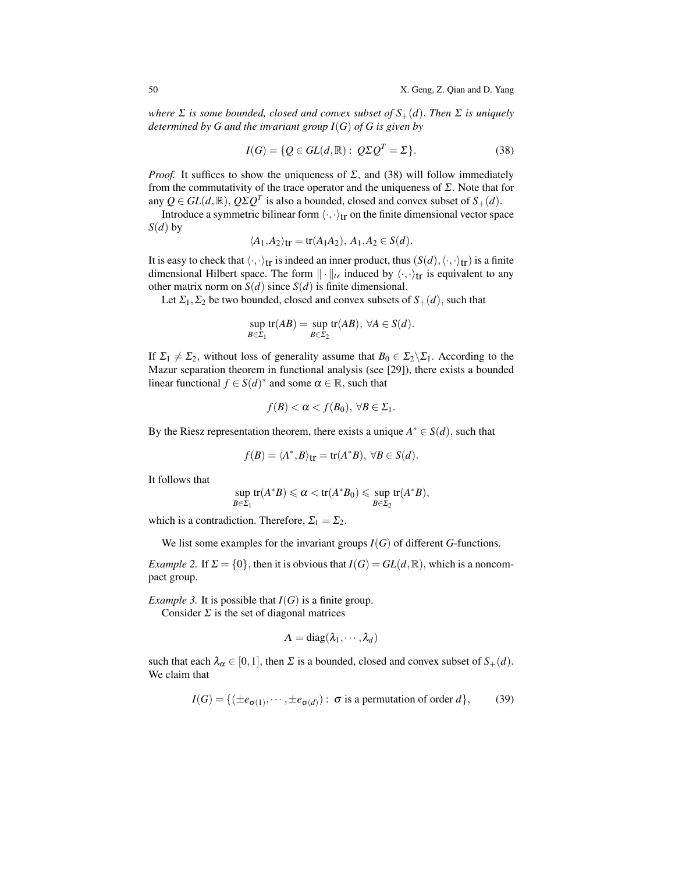*where*  $\Sigma$  *is some bounded, closed and convex subset of*  $S_+(d)$ *. Then*  $\Sigma$  *is uniquely determined by G and the invariant group I*(*G*) *of G is given by*

$$
I(G) = \{ Q \in GL(d, \mathbb{R}) : Q\Sigma Q^T = \Sigma \}.
$$
\n(38)

*Proof.* It suffices to show the uniqueness of  $\Sigma$ , and (38) will follow immediately from the commutativity of the trace operator and the uniqueness of  $\Sigma$ . Note that for any  $Q \in GL(d, \mathbb{R})$ ,  $Q \Sigma Q^T$  is also a bounded, closed and convex subset of  $S_+(d)$ .

Introduce a symmetric bilinear form  $\langle \cdot, \cdot \rangle_{\text{tr}}$  on the finite dimensional vector space *S*(*d*) by

$$
\langle A_1, A_2 \rangle_{\text{tr}} = \text{tr}(A_1 A_2), A_1, A_2 \in S(d).
$$

It is easy to check that  $\langle \cdot, \cdot \rangle_{\text{tr}}$  is indeed an inner product, thus  $(S(d), \langle \cdot, \cdot \rangle_{\text{tr}})$  is a finite dimensional Hilbert space. The form  $\|\cdot\|_{tr}$  induced by  $\langle \cdot, \cdot \rangle_{tr}$  is equivalent to any other matrix norm on  $S(d)$  since  $S(d)$  is finite dimensional.

Let  $\Sigma_1$ ,  $\Sigma_2$  be two bounded, closed and convex subsets of  $S_+(d)$ , such that

$$
\sup_{B \in \Sigma_1} \text{tr}(AB) = \sup_{B \in \Sigma_2} \text{tr}(AB), \ \forall A \in S(d).
$$

If  $\Sigma_1 \neq \Sigma_2$ , without loss of generality assume that  $B_0 \in \Sigma_2 \backslash \Sigma_1$ . According to the Mazur separation theorem in functional analysis (see [29]), there exists a bounded linear functional  $f \in S(d)^*$  and some  $\alpha \in \mathbb{R}$ , such that

$$
f(B) < \alpha < f(B_0), \ \forall B \in \Sigma_1.
$$

By the Riesz representation theorem, there exists a unique  $A^* \in S(d)$ , such that

$$
f(B) = \langle A^*, B \rangle_{\text{tr}} = \text{tr}(A^*B), \ \forall B \in S(d).
$$

It follows that

$$
\sup_{B\in \Sigma_1}\text{tr}(A^*B)\leqslant \alpha<\text{tr}(A^*B_0)\leqslant \sup_{B\in \Sigma_2}\text{tr}(A^*B),
$$

which is a contradiction. Therefore,  $\Sigma_1 = \Sigma_2$ .

We list some examples for the invariant groups  $I(G)$  of different *G*-functions.

*Example 2.* If  $\Sigma = \{0\}$ , then it is obvious that  $I(G) = GL(d, \mathbb{R})$ , which is a noncompact group.

*Example 3.* It is possible that  $I(G)$  is a finite group. Consider  $\Sigma$  is the set of diagonal matrices

$$
\Lambda = diag(\lambda_1, \cdots, \lambda_d)
$$

such that each  $\lambda_{\alpha} \in [0,1]$ , then  $\Sigma$  is a bounded, closed and convex subset of  $S_+(d)$ . We claim that

$$
I(G) = \{ (\pm e_{\sigma(1)}, \cdots, \pm e_{\sigma(d)}) : \sigma \text{ is a permutation of order } d \},\qquad(39)
$$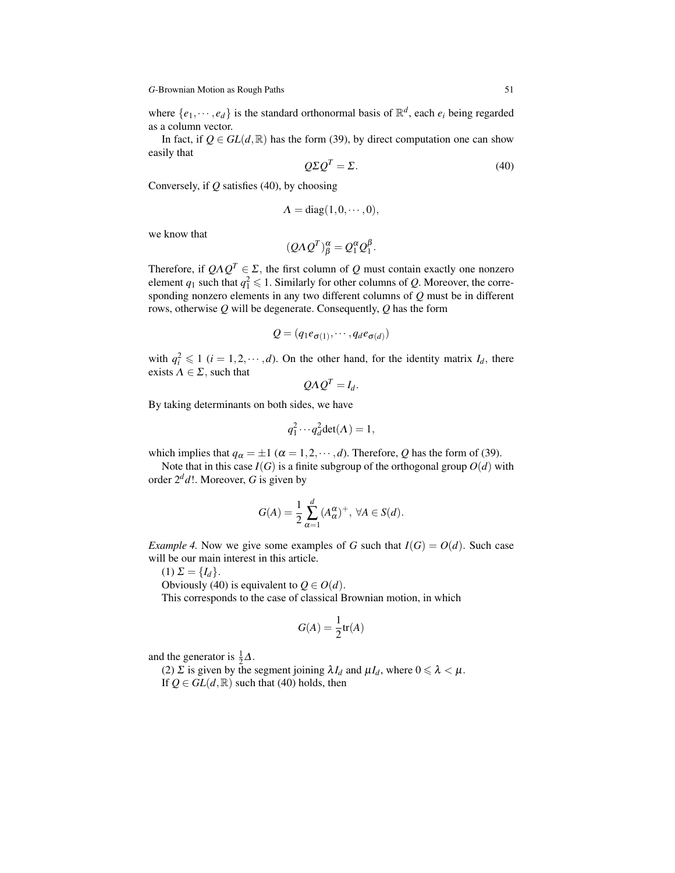where  $\{e_1, \dots, e_d\}$  is the standard orthonormal basis of  $\mathbb{R}^d$ , each  $e_i$  being regarded as a column vector.

In fact, if  $Q \in GL(d, \mathbb{R})$  has the form (39), by direct computation one can show easily that

$$
Q\Sigma Q^T = \Sigma. \tag{40}
$$

Conversely, if *Q* satisfies (40), by choosing

$$
\Lambda = \text{diag}(1, 0, \cdots, 0),
$$

we know that

$$
(Q\Lambda Q^T)_{\beta}^{\alpha} = Q_1^{\alpha} Q_1^{\beta}.
$$

Therefore, if  $Q \Lambda Q^T \in \Sigma$ , the first column of  $Q$  must contain exactly one nonzero element  $q_1$  such that  $q_1^2 \leq 1$ . Similarly for other columns of *Q*. Moreover, the corresponding nonzero elements in any two different columns of *Q* must be in different rows, otherwise *Q* will be degenerate. Consequently, *Q* has the form

$$
Q = (q_1 e_{\sigma(1)}, \cdots, q_d e_{\sigma(d)})
$$

with  $q_i^2 \leq 1$  (*i* = 1,2, ···,*d*). On the other hand, for the identity matrix  $I_d$ , there exists  $\Lambda \in \Sigma$ , such that

$$
Q \Lambda Q^T = I_d.
$$

By taking determinants on both sides, we have

$$
q_1^2 \cdots q_d^2 \det(\Lambda) = 1,
$$

which implies that  $q_{\alpha} = \pm 1$  ( $\alpha = 1, 2, \cdots, d$ ). Therefore, *Q* has the form of (39).

Note that in this case  $I(G)$  is a finite subgroup of the orthogonal group  $O(d)$  with order 2*dd*!. Moreover, *G* is given by

$$
G(A) = \frac{1}{2} \sum_{\alpha=1}^{d} (A_{\alpha}^{\alpha})^{+}, \ \forall A \in S(d).
$$

*Example 4.* Now we give some examples of *G* such that  $I(G) = O(d)$ . Such case will be our main interest in this article.

(1)  $\Sigma = \{I_d\}.$ 

Obviously (40) is equivalent to  $Q \in O(d)$ .

This corresponds to the case of classical Brownian motion, in which

$$
G(A) = \frac{1}{2} \text{tr}(A)
$$

and the generator is  $\frac{1}{2}\Delta$ .

(2)  $\Sigma$  is given by the segment joining  $\lambda I_d$  and  $\mu I_d$ , where  $0 \le \lambda < \mu$ . If  $Q \in GL(d, \mathbb{R})$  such that (40) holds, then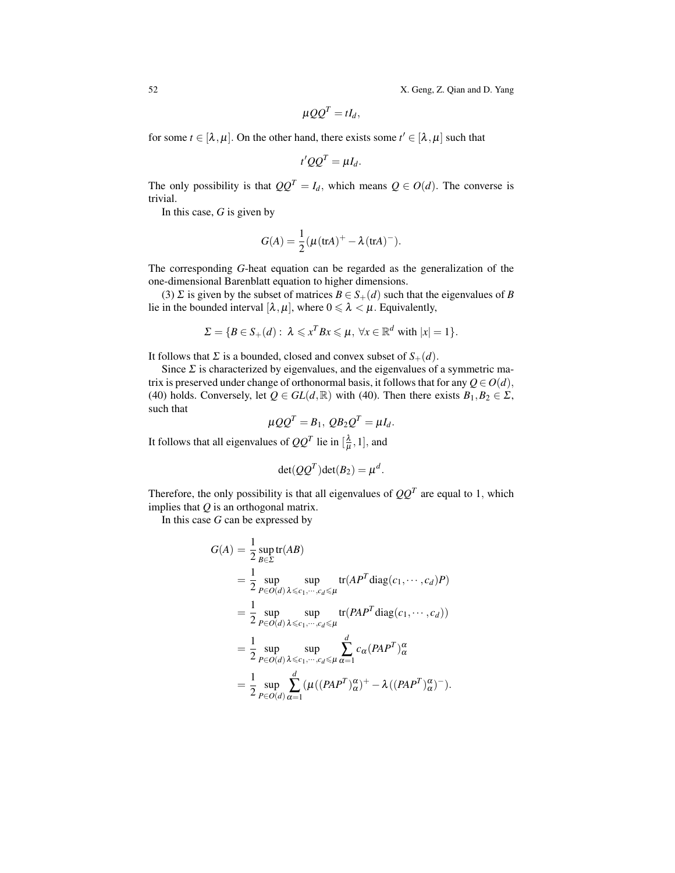52 X. Geng, Z. Qian and D. Yang

$$
\mu Q Q^T = t I_d,
$$

for some  $t \in [\lambda, \mu]$ . On the other hand, there exists some  $t' \in [\lambda, \mu]$  such that

$$
t'QQ^T = \mu I_d.
$$

The only possibility is that  $QQ^T = I_d$ , which means  $Q \in O(d)$ . The converse is trivial.

In this case, *G* is given by

$$
G(A) = \frac{1}{2}(\mu(\text{tr}A)^+ - \lambda(\text{tr}A)^-).
$$

The corresponding *G*-heat equation can be regarded as the generalization of the one-dimensional Barenblatt equation to higher dimensions.

(3)  $\Sigma$  is given by the subset of matrices  $B \in S_+(d)$  such that the eigenvalues of *B* lie in the bounded interval  $[\lambda, \mu]$ , where  $0 \le \lambda < \mu$ . Equivalently,

$$
\Sigma = \{ B \in S_+(d) : \ \lambda \leqslant x^T B x \leqslant \mu, \ \forall x \in \mathbb{R}^d \ \text{with} \ |x| = 1 \}.
$$

It follows that  $\Sigma$  is a bounded, closed and convex subset of  $S_+(d)$ .

Since  $\Sigma$  is characterized by eigenvalues, and the eigenvalues of a symmetric matrix is preserved under change of orthonormal basis, it follows that for any  $Q \in O(d)$ , (40) holds. Conversely, let  $Q \in GL(d, \mathbb{R})$  with (40). Then there exists  $B_1, B_2 \in \Sigma$ , such that

$$
\mu QQ^T = B_1, QB_2Q^T = \mu I_d.
$$

It follows that all eigenvalues of  $QQ^T$  lie in  $[\frac{\lambda}{\mu},1]$ , and

$$
\det(QQ^T)\det(B_2) = \mu^d.
$$

Therefore, the only possibility is that all eigenvalues of  $QQ<sup>T</sup>$  are equal to 1, which implies that *Q* is an orthogonal matrix.

In this case *G* can be expressed by

$$
G(A) = \frac{1}{2} \sup_{B \in \Sigma} \text{tr}(AB)
$$
  
=  $\frac{1}{2} \sup_{P \in O(d)} \sup_{\lambda \leq c_1, \dots, c_d \leq \mu} \text{tr}(AP^T \text{diag}(c_1, \dots, c_d)P)$   
=  $\frac{1}{2} \sup_{P \in O(d)} \sup_{\lambda \leq c_1, \dots, c_d \leq \mu} \text{tr}(PAP^T \text{diag}(c_1, \dots, c_d))$   
=  $\frac{1}{2} \sup_{P \in O(d)} \sup_{\lambda \leq c_1, \dots, c_d \leq \mu} \sum_{\alpha=1}^d c_{\alpha} (PAP^T)^{\alpha}_{\alpha}$   
=  $\frac{1}{2} \sup_{P \in O(d)} \sum_{\alpha=1}^d (\mu((PAP^T)^{\alpha}_{\alpha})^+ - \lambda((PAP^T)^{\alpha}_{\alpha})^-).$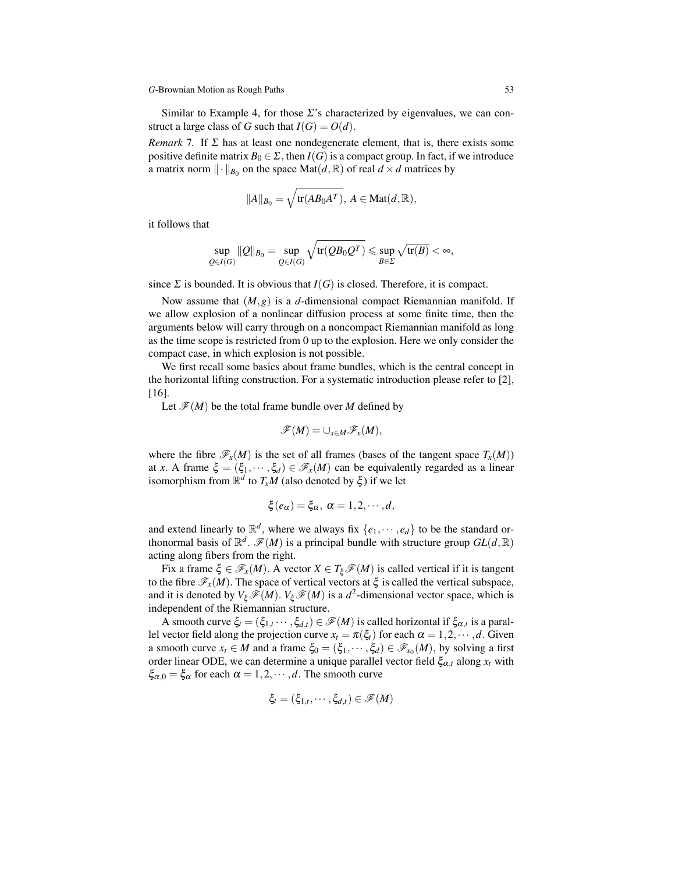Similar to Example 4, for those  $\Sigma$ 's characterized by eigenvalues, we can construct a large class of *G* such that  $I(G) = O(d)$ .

*Remark* 7*.* If Σ has at least one nondegenerate element, that is, there exists some positive definite matrix  $B_0 \in \Sigma$ , then  $I(G)$  is a compact group. In fact, if we introduce a matrix norm  $\|\cdot\|_{B_0}$  on the space  $\text{Mat}(d,\mathbb{R})$  of real  $d \times d$  matrices by

$$
||A||_{B_0} = \sqrt{\text{tr}(AB_0A^T)}, A \in \text{Mat}(d, \mathbb{R}),
$$

it follows that

$$
\sup_{Q\in I(G)}\|Q\|_{B_0}=\sup_{Q\in I(G)}\sqrt{\text{tr}(QB_0Q^T)}\leqslant \sup_{B\in \Sigma}\sqrt{\text{tr}(B)}<\infty,
$$

since  $\Sigma$  is bounded. It is obvious that  $I(G)$  is closed. Therefore, it is compact.

Now assume that (*M*,*g*) is a *d*-dimensional compact Riemannian manifold. If we allow explosion of a nonlinear diffusion process at some finite time, then the arguments below will carry through on a noncompact Riemannian manifold as long as the time scope is restricted from 0 up to the explosion. Here we only consider the compact case, in which explosion is not possible.

We first recall some basics about frame bundles, which is the central concept in the horizontal lifting construction. For a systematic introduction please refer to [2], [16].

Let  $\mathcal{F}(M)$  be the total frame bundle over M defined by

$$
\mathscr{F}(M)=\cup_{x\in M}\mathscr{F}_x(M),
$$

where the fibre  $\mathcal{F}_x(M)$  is the set of all frames (bases of the tangent space  $T_x(M)$ ) at *x*. A frame  $\xi = (\xi_1, \dots, \xi_d) \in \mathscr{F}_x(M)$  can be equivalently regarded as a linear isomorphism from  $\mathbb{R}^d$  to  $T_xM$  (also denoted by  $\xi$ ) if we let

$$
\xi(e_{\alpha})=\xi_{\alpha}, \ \alpha=1,2,\cdots,d,
$$

and extend linearly to  $\mathbb{R}^d$ , where we always fix  $\{e_1, \dots, e_d\}$  to be the standard orthonormal basis of  $\mathbb{R}^d$ .  $\mathscr{F}(M)$  is a principal bundle with structure group  $GL(d, \mathbb{R})$ acting along fibers from the right.

Fix a frame  $\xi \in \mathscr{F}_x(M)$ . A vector  $X \in T_\xi \mathscr{F}(M)$  is called vertical if it is tangent to the fibre  $\mathscr{F}_x(M)$ . The space of vertical vectors at  $\xi$  is called the vertical subspace, and it is denoted by  $V_{\xi} \mathscr{F}(M)$ .  $V_{\xi} \mathscr{F}(M)$  is a  $d^2$ -dimensional vector space, which is independent of the Riemannian structure.

A smooth curve  $\xi_t = (\xi_{1,t} \cdots, \xi_{d,t}) \in \mathscr{F}(M)$  is called horizontal if  $\xi_{\alpha,t}$  is a parallel vector field along the projection curve  $x_t = \pi(\xi_t)$  for each  $\alpha = 1, 2, \dots, d$ . Given a smooth curve  $x_t \in M$  and a frame  $\xi_0 = (\xi_1, \dots, \xi_d) \in \mathscr{F}_{x_0}(M)$ , by solving a first order linear ODE, we can determine a unique parallel vector field  $\xi_{\alpha,t}$  along  $x_t$  with  $\xi_{\alpha,0} = \xi_{\alpha}$  for each  $\alpha = 1, 2, \cdots, d$ . The smooth curve

$$
\xi_t = (\xi_{1,t}, \cdots, \xi_{d,t}) \in \mathscr{F}(M)
$$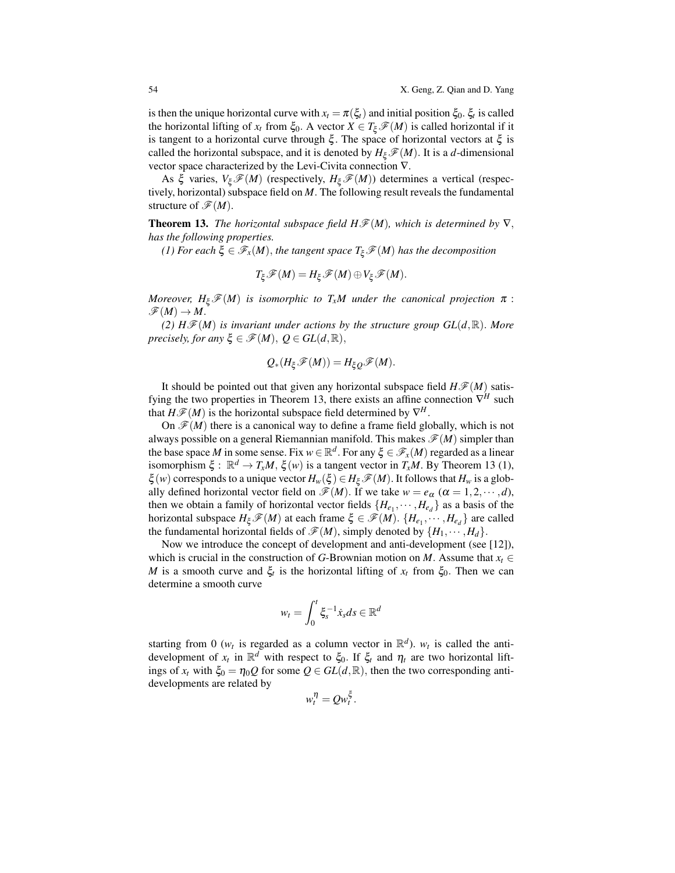is then the unique horizontal curve with  $x_t = \pi(\xi_t)$  and initial position  $\xi_0$ .  $\xi_t$  is called the horizontal lifting of  $x_t$  from  $\xi_0$ . A vector  $X \in T_\xi \mathscr{F}(M)$  is called horizontal if it is tangent to a horizontal curve through  $\xi$ . The space of horizontal vectors at  $\xi$  is called the horizontal subspace, and it is denoted by  $H_{\xi}\mathcal{F}(M)$ . It is a *d*-dimensional vector space characterized by the Levi-Civita connection ∇.

As  $\xi$  varies,  $V_{\xi} \mathcal{F}(M)$  (respectively,  $H_{\xi} \mathcal{F}(M)$ ) determines a vertical (respectively, horizontal) subspace field on *M*. The following result reveals the fundamental structure of  $\mathscr{F}(M)$ .

**Theorem 13.** *The horizontal subspace field H* $\mathcal{F}(M)$ *, which is determined by*  $\nabla$ *, has the following properties.*

*(1) For each*  $\xi \in \mathscr{F}_x(M)$ , *the tangent space*  $T_\xi \mathscr{F}(M)$  *has the decomposition* 

$$
T_{\xi}\mathscr{F}(M)=H_{\xi}\mathscr{F}(M)\oplus V_{\xi}\mathscr{F}(M).
$$

*Moreover, H*<sub>ξ</sub> $\mathcal{F}(M)$  *is isomorphic to T<sub>x</sub>M under the canonical projection*  $\pi$ :  $\mathscr{F}(M) \to M$ .

*(2) H* $\mathcal{F}(M)$  *is invariant under actions by the structure group GL(d,R). More precisely, for any*  $\xi \in \mathscr{F}(M)$ ,  $Q \in GL(d, \mathbb{R})$ ,

$$
Q_*(H_{\xi}\mathscr{F}(M))=H_{\xi Q}\mathscr{F}(M).
$$

It should be pointed out that given any horizontal subspace field  $H\mathscr{F}(M)$  satisfying the two properties in Theorem 13, there exists an affine connection  $\nabla^H$  such that  $H\mathscr{F}(M)$  is the horizontal subspace field determined by  $\nabla^H$ .

On  $\mathscr{F}(M)$  there is a canonical way to define a frame field globally, which is not always possible on a general Riemannian manifold. This makes  $\mathscr{F}(M)$  simpler than the base space *M* in some sense. Fix  $w \in \mathbb{R}^d$ . For any  $\xi \in \mathscr{F}_x(M)$  regarded as a linear isomorphism  $\xi : \mathbb{R}^d \to T_xM$ ,  $\xi(w)$  is a tangent vector in  $T_xM$ . By Theorem 13 (1),  $\xi(w)$  corresponds to a unique vector  $H_w(\xi) \in H_\xi \mathscr{F}(M)$ . It follows that  $H_w$  is a globally defined horizontal vector field on  $\mathscr{F}(M)$ . If we take  $w = e_{\alpha}$  ( $\alpha = 1, 2, \dots, d$ ), then we obtain a family of horizontal vector fields  $\{H_{e_1}, \dots, H_{e_d}\}$  as a basis of the horizontal subspace  $H_{\xi} \mathscr{F}(M)$  at each frame  $\xi \in \mathscr{F}(M)$ .  $\{H_{e_1}, \cdots, H_{e_d}\}$  are called the fundamental horizontal fields of  $\mathcal{F}(M)$ , simply denoted by  $\{H_1, \dots, H_d\}$ .

Now we introduce the concept of development and anti-development (see [12]), which is crucial in the construction of *G*-Brownian motion on *M*. Assume that  $x_t \in$ *M* is a smooth curve and  $\xi_t$  is the horizontal lifting of  $x_t$  from  $\xi_0$ . Then we can determine a smooth curve

$$
w_t = \int_0^t \xi_s^{-1} \dot{x}_s ds \in \mathbb{R}^d
$$

starting from 0 ( $w_t$  is regarded as a column vector in  $\mathbb{R}^d$ ).  $w_t$  is called the antidevelopment of  $x_t$  in  $\mathbb{R}^d$  with respect to  $\xi_0$ . If  $\xi_t$  and  $\eta_t$  are two horizontal liftings of  $x_t$  with  $\xi_0 = \eta_0 Q$  for some  $Q \in GL(d, \mathbb{R})$ , then the two corresponding antidevelopments are related by

$$
w_t^{\eta} = Q w_t^{\xi}.
$$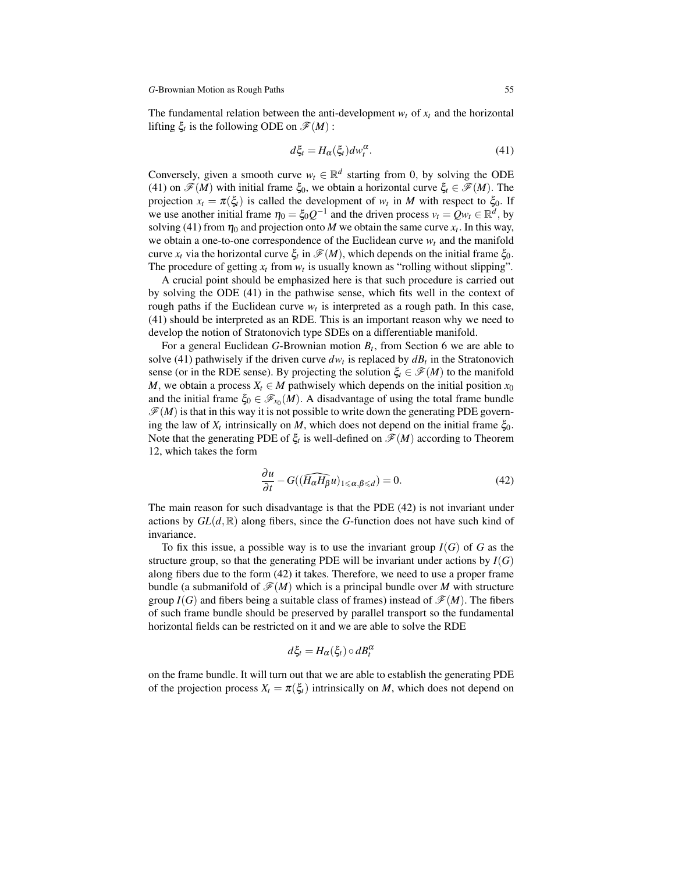The fundamental relation between the anti-development  $w_t$  of  $x_t$  and the horizontal lifting  $\xi_t$  is the following ODE on  $\mathscr{F}(M)$ :

$$
d\xi_t = H_\alpha(\xi_t) dw_t^\alpha. \tag{41}
$$

Conversely, given a smooth curve  $w_t \in \mathbb{R}^d$  starting from 0, by solving the ODE (41) on  $\mathscr{F}(M)$  with initial frame  $\xi_0$ , we obtain a horizontal curve  $\xi_t \in \mathscr{F}(M)$ . The projection  $x_t = \pi(\xi_t)$  is called the development of  $w_t$  in *M* with respect to  $\xi_0$ . If we use another initial frame  $\eta_0 = \xi_0 Q^{-1}$  and the driven process  $v_t = Q w_t \in \mathbb{R}^d$ , by solving (41) from  $\eta_0$  and projection onto *M* we obtain the same curve  $x_t$ . In this way, we obtain a one-to-one correspondence of the Euclidean curve  $w_t$  and the manifold curve  $x_t$  via the horizontal curve  $\xi_t$  in  $\mathscr{F}(M)$ , which depends on the initial frame  $\xi_0$ . The procedure of getting  $x_t$  from  $w_t$  is usually known as "rolling without slipping".

A crucial point should be emphasized here is that such procedure is carried out by solving the ODE (41) in the pathwise sense, which fits well in the context of rough paths if the Euclidean curve  $w_t$  is interpreted as a rough path. In this case, (41) should be interpreted as an RDE. This is an important reason why we need to develop the notion of Stratonovich type SDEs on a differentiable manifold.

For a general Euclidean *G*-Brownian motion *B<sup>t</sup>* , from Section 6 we are able to solve (41) pathwisely if the driven curve  $dw_t$  is replaced by  $dB_t$  in the Stratonovich sense (or in the RDE sense). By projecting the solution  $\xi_t \in \mathscr{F}(M)$  to the manifold *M*, we obtain a process  $X_t \in M$  pathwisely which depends on the initial position  $x_0$ and the initial frame  $\xi_0 \in \mathscr{F}_{x_0}(M)$ . A disadvantage of using the total frame bundle  $\mathscr{F}(M)$  is that in this way it is not possible to write down the generating PDE governing the law of  $X_t$  intrinsically on *M*, which does not depend on the initial frame  $\xi_0$ . Note that the generating PDE of  $\xi_t$  is well-defined on  $\mathscr{F}(M)$  according to Theorem 12, which takes the form

$$
\frac{\partial u}{\partial t} - G((\widehat{H_{\alpha}H_{\beta}}u)_{1 \leq \alpha,\beta \leq d}) = 0. \tag{42}
$$

The main reason for such disadvantage is that the PDE (42) is not invariant under actions by  $GL(d, \mathbb{R})$  along fibers, since the *G*-function does not have such kind of invariance.

To fix this issue, a possible way is to use the invariant group  $I(G)$  of G as the structure group, so that the generating PDE will be invariant under actions by  $I(G)$ along fibers due to the form (42) it takes. Therefore, we need to use a proper frame bundle (a submanifold of  $\mathcal{F}(M)$  which is a principal bundle over M with structure group  $I(G)$  and fibers being a suitable class of frames) instead of  $\mathscr{F}(M)$ . The fibers of such frame bundle should be preserved by parallel transport so the fundamental horizontal fields can be restricted on it and we are able to solve the RDE

$$
d\xi_t = H_\alpha(\xi_t) \circ dB_t^\alpha
$$

on the frame bundle. It will turn out that we are able to establish the generating PDE of the projection process  $X_t = \pi(\xi_t)$  intrinsically on *M*, which does not depend on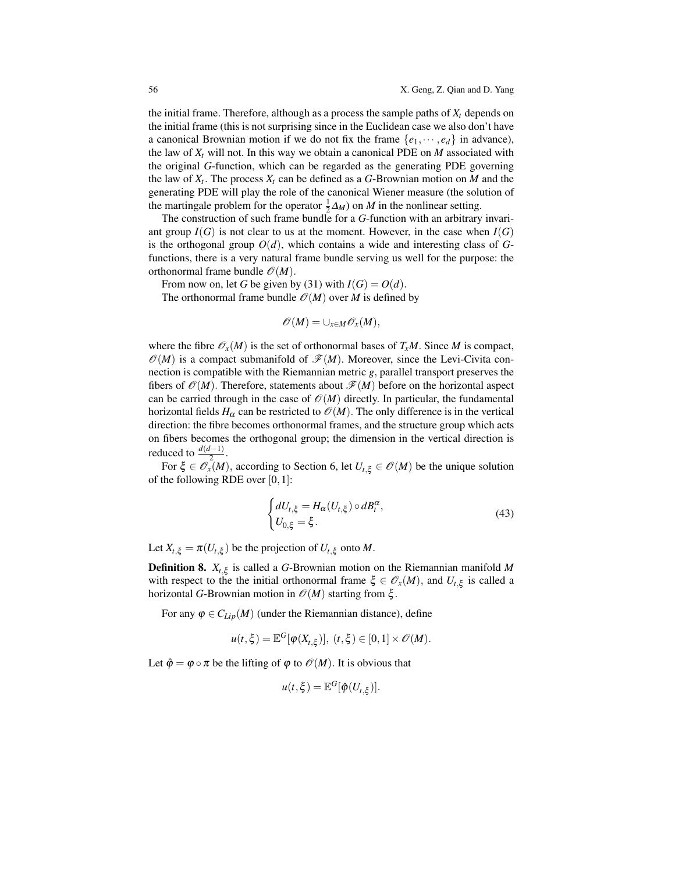the initial frame. Therefore, although as a process the sample paths of  $X_t$  depends on the initial frame (this is not surprising since in the Euclidean case we also don't have a canonical Brownian motion if we do not fix the frame  $\{e_1, \dots, e_d\}$  in advance), the law of  $X_t$  will not. In this way we obtain a canonical PDE on  $M$  associated with the original *G*-function, which can be regarded as the generating PDE governing the law of  $X_t$ . The process  $X_t$  can be defined as a G-Brownian motion on M and the generating PDE will play the role of the canonical Wiener measure (the solution of the martingale problem for the operator  $\frac{1}{2}\Delta_M$ ) on *M* in the nonlinear setting.

The construction of such frame bundle for a *G*-function with an arbitrary invariant group  $I(G)$  is not clear to us at the moment. However, in the case when  $I(G)$ is the orthogonal group  $O(d)$ , which contains a wide and interesting class of  $G$ functions, there is a very natural frame bundle serving us well for the purpose: the orthonormal frame bundle  $\mathcal{O}(M)$ .

From now on, let *G* be given by (31) with  $I(G) = O(d)$ .

The orthonormal frame bundle  $\mathcal{O}(M)$  over *M* is defined by

$$
\mathscr{O}(M)=\cup_{x\in M}\mathscr{O}_x(M),
$$

where the fibre  $\mathcal{O}_x(M)$  is the set of orthonormal bases of  $T_xM$ . Since M is compact,  $\mathcal{O}(M)$  is a compact submanifold of  $\mathcal{F}(M)$ . Moreover, since the Levi-Civita connection is compatible with the Riemannian metric  $g$ , parallel transport preserves the fibers of  $\mathcal{O}(M)$ . Therefore, statements about  $\mathcal{F}(M)$  before on the horizontal aspect can be carried through in the case of  $\mathcal{O}(M)$  directly. In particular, the fundamental horizontal fields  $H_{\alpha}$  can be restricted to  $\mathcal{O}(M)$ . The only difference is in the vertical direction: the fibre becomes orthonormal frames, and the structure group which acts on fibers becomes the orthogonal group; the dimension in the vertical direction is reduced to  $\frac{d(d-1)}{2}$ .

For  $\xi \in \mathscr{O}_X(M)$ , according to Section 6, let  $U_{t,\xi} \in \mathscr{O}(M)$  be the unique solution of the following RDE over [0,1]:

$$
\begin{cases} dU_{t,\xi} = H_{\alpha}(U_{t,\xi}) \circ dB_t^{\alpha}, \\ U_{0,\xi} = \xi. \end{cases}
$$
\n(43)

Let  $X_{t,\xi} = \pi(U_{t,\xi})$  be the projection of  $U_{t,\xi}$  onto  $M$ .

Definition 8. *Xt*,<sup>ξ</sup> is called a *G*-Brownian motion on the Riemannian manifold *M* with respect to the the initial orthonormal frame  $\xi \in \mathcal{O}_x(M)$ , and  $U_{t,\xi}$  is called a horizontal *G*-Brownian motion in  $\mathcal{O}(M)$  starting from  $\xi$ .

For any  $\varphi \in C_{Lin}(M)$  (under the Riemannian distance), define

$$
u(t,\xi)=\mathbb{E}^G[\varphi(X_{t,\xi})], (t,\xi)\in[0,1]\times\mathscr{O}(M).
$$

Let  $\hat{\varphi} = \varphi \circ \pi$  be the lifting of  $\varphi$  to  $\mathcal{O}(M)$ . It is obvious that

$$
u(t,\xi)=\mathbb{E}^G[\hat{\varphi}(U_{t,\xi})].
$$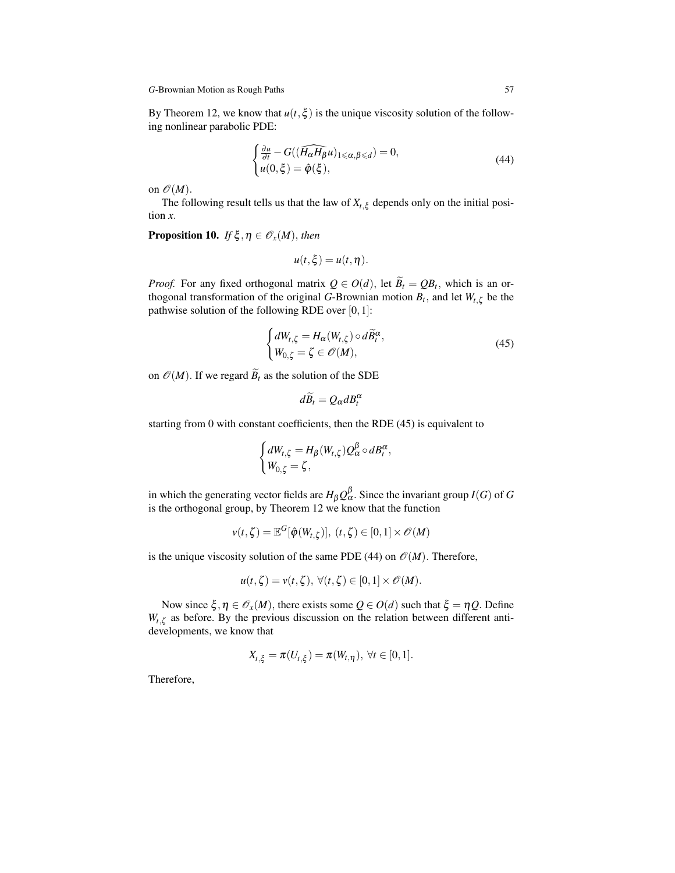By Theorem 12, we know that  $u(t, \xi)$  is the unique viscosity solution of the following nonlinear parabolic PDE:

$$
\begin{cases} \frac{\partial u}{\partial t} - G((\widehat{H_{\alpha}H_{\beta}}u)_{1 \leq \alpha,\beta \leq d}) = 0, \\ u(0,\xi) = \widehat{\varphi}(\xi), \end{cases}
$$
(44)

on  $\mathcal{O}(M)$ .

The following result tells us that the law of  $X_{t,\xi}$  depends only on the initial position *x*.

**Proposition 10.** *If*  $\xi, \eta \in \mathcal{O}_x(M)$ , *then* 

$$
u(t,\xi)=u(t,\eta).
$$

*Proof.* For any fixed orthogonal matrix  $Q \in O(d)$ , let  $B_t = QB_t$ , which is an orthogonal transformation of the original *G*-Brownian motion  $B_t$ , and let  $W_{t,\zeta}$  be the pathwise solution of the following RDE over  $[0,1]$ :

$$
\begin{cases} dW_{t,\zeta} = H_{\alpha}(W_{t,\zeta}) \circ d\widetilde{B}_t^{\alpha}, \\ W_{0,\zeta} = \zeta \in \mathcal{O}(M), \end{cases}
$$
\n(45)

on  $\mathcal{O}(M)$ . If we regard  $\widetilde{B}_t$  as the solution of the SDE

$$
d\widetilde{B}_t=Q_\alpha dB_t^\alpha
$$

starting from 0 with constant coefficients, then the RDE (45) is equivalent to

$$
\begin{cases} dW_{t,\zeta} = H_{\beta}(W_{t,\zeta}) Q_{\alpha}^{\beta} \circ dB_t^{\alpha}, \\ W_{0,\zeta} = \zeta, \end{cases}
$$

in which the generating vector fields are  $H_{\beta}Q_{\alpha}^{\beta}$ . Since the invariant group *I*(*G*) of *G* is the orthogonal group, by Theorem 12 we know that the function

$$
v(t,\zeta) = \mathbb{E}^G[\hat{\varphi}(W_{t,\zeta})], (t,\zeta) \in [0,1] \times \mathscr{O}(M)
$$

is the unique viscosity solution of the same PDE (44) on  $\mathcal{O}(M)$ . Therefore,

$$
u(t,\zeta)=v(t,\zeta),\ \forall (t,\zeta)\in [0,1]\times \mathscr{O}(M).
$$

Now since  $\xi, \eta \in \mathcal{O}_x(M)$ , there exists some  $Q \in O(d)$  such that  $\xi = \eta Q$ . Define  $W_{t,\zeta}$  as before. By the previous discussion on the relation between different antidevelopments, we know that

$$
X_{t,\xi} = \pi(U_{t,\xi}) = \pi(W_{t,\eta}), \ \forall t \in [0,1].
$$

Therefore,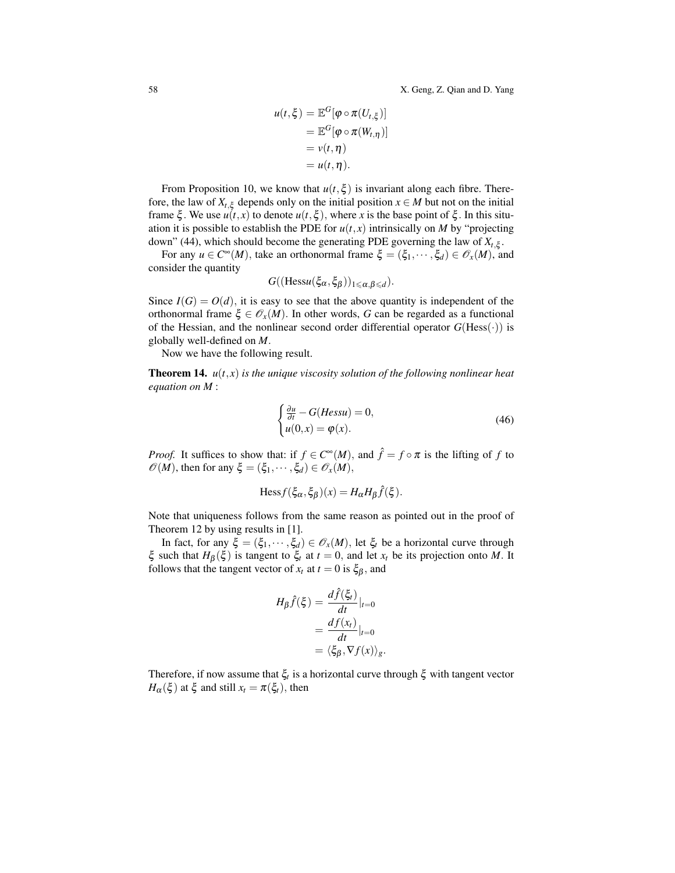58 X. Geng, Z. Qian and D. Yang

$$
u(t,\xi) = \mathbb{E}^{G}[\varphi \circ \pi(U_{t,\xi})]
$$
  
=  $\mathbb{E}^{G}[\varphi \circ \pi(W_{t,\eta})]$   
=  $v(t,\eta)$   
=  $u(t,\eta)$ .

From Proposition 10, we know that  $u(t,\xi)$  is invariant along each fibre. Therefore, the law of  $X_{t,\xi}$  depends only on the initial position  $x \in M$  but not on the initial frame  $\xi$ . We use  $u(t, x)$  to denote  $u(t, \xi)$ , where *x* is the base point of  $\xi$ . In this situation it is possible to establish the PDE for  $u(t, x)$  intrinsically on *M* by "projecting down" (44), which should become the generating PDE governing the law of  $X_{t,\xi}$ .

For any  $u \in C^{\infty}(M)$ , take an orthonormal frame  $\xi = (\xi_1, \dots, \xi_d) \in \mathcal{O}_x(M)$ , and consider the quantity

$$
G((\text{Hess}u(\xi_{\alpha},\xi_{\beta}))_{1\leq \alpha,\beta\leq d}).
$$

Since  $I(G) = O(d)$ , it is easy to see that the above quantity is independent of the orthonormal frame  $\xi \in \mathcal{O}_x(M)$ . In other words, G can be regarded as a functional of the Hessian, and the nonlinear second order differential operator  $G(\text{Hess}(\cdot))$  is globally well-defined on *M*.

Now we have the following result.

**Theorem 14.**  $u(t, x)$  *is the unique viscosity solution of the following nonlinear heat equation on M* :

$$
\begin{cases} \frac{\partial u}{\partial t} - G(Hessu) = 0, \\ u(0, x) = \varphi(x). \end{cases}
$$
 (46)

*Proof.* It suffices to show that: if  $f \in C^{\infty}(M)$ , and  $\hat{f} = f \circ \pi$  is the lifting of *f* to  $\mathscr{O}(M)$ , then for any  $\xi = (\xi_1, \dots, \xi_d) \in \mathscr{O}_x(M)$ ,

$$
\text{Hess} f(\xi_{\alpha}, \xi_{\beta})(x) = H_{\alpha} H_{\beta} \hat{f}(\xi).
$$

Note that uniqueness follows from the same reason as pointed out in the proof of Theorem 12 by using results in [1].

In fact, for any  $\xi = (\xi_1, \dots, \xi_d) \in \mathcal{O}_x(M)$ , let  $\xi_t$  be a horizontal curve through ξ such that *H*<sub>β</sub>(ξ) is tangent to  $\xi$ *t* at *t* = 0, and let *x<sub>t</sub>* be its projection onto *M*. It follows that the tangent vector of  $x_t$  at  $t = 0$  is  $\xi_{\beta}$ , and

$$
H_{\beta}\hat{f}(\xi) = \frac{d\hat{f}(\xi_t)}{dt}|_{t=0}
$$
  
= 
$$
\frac{d f(x_t)}{dt}|_{t=0}
$$
  
= 
$$
\langle \xi_{\beta}, \nabla f(x) \rangle_{g}.
$$

Therefore, if now assume that ξ*<sup>t</sup>* is a horizontal curve through ξ with tangent vector *H*<sub>α</sub>(ξ) at ξ and still  $x_t = \pi(\xi_t)$ , then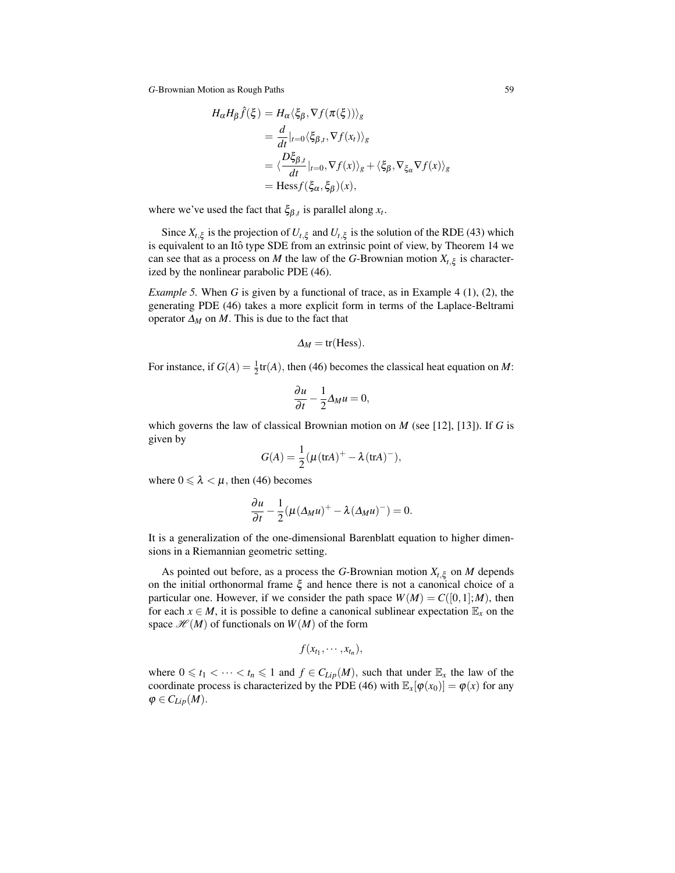$$
H_{\alpha}H_{\beta}\hat{f}(\xi) = H_{\alpha}\langle \xi_{\beta}, \nabla f(\pi(\xi)) \rangle_{g}
$$
  
= 
$$
\frac{d}{dt}|_{t=0}\langle \xi_{\beta,t}, \nabla f(x_{t}) \rangle_{g}
$$
  
= 
$$
\langle \frac{D\xi_{\beta,t}}{dt}|_{t=0}, \nabla f(x) \rangle_{g} + \langle \xi_{\beta}, \nabla_{\xi_{\alpha}} \nabla f(x) \rangle_{g}
$$
  
= Hess $f(\xi_{\alpha}, \xi_{\beta})(x),$ 

where we've used the fact that  $\xi_{\beta,t}$  is parallel along  $x_t$ .

Since  $X_{t,\xi}$  is the projection of  $U_{t,\xi}$  and  $U_{t,\xi}$  is the solution of the RDE (43) which is equivalent to an Itô type SDE from an extrinsic point of view, by Theorem 14 we can see that as a process on *M* the law of the *G*-Brownian motion  $X_{t,\xi}$  is characterized by the nonlinear parabolic PDE (46).

*Example 5.* When *G* is given by a functional of trace, as in Example 4 (1), (2), the generating PDE (46) takes a more explicit form in terms of the Laplace-Beltrami operator  $\Delta_M$  on *M*. This is due to the fact that

$$
\Delta_M = \text{tr}(\text{Hess}).
$$

For instance, if  $G(A) = \frac{1}{2} \text{tr}(A)$ , then (46) becomes the classical heat equation on *M*:

$$
\frac{\partial u}{\partial t} - \frac{1}{2} \Delta_M u = 0,
$$

which governs the law of classical Brownian motion on *M* (see [12], [13]). If *G* is given by

$$
G(A) = \frac{1}{2}(\mu(\text{tr}A)^+ - \lambda(\text{tr}A)^-),
$$

where  $0 \le \lambda < \mu$ , then (46) becomes

$$
\frac{\partial u}{\partial t} - \frac{1}{2}(\mu(\Delta_M u)^+ - \lambda(\Delta_M u)^-)=0.
$$

It is a generalization of the one-dimensional Barenblatt equation to higher dimensions in a Riemannian geometric setting.

As pointed out before, as a process the *G*-Brownian motion  $X_{t,\xi}$  on *M* depends on the initial orthonormal frame  $\xi$  and hence there is not a canonical choice of a particular one. However, if we consider the path space  $W(M) = C([0,1];M)$ , then for each  $x \in M$ , it is possible to define a canonical sublinear expectation  $\mathbb{E}_x$  on the space  $\mathcal{H}(M)$  of functionals on  $W(M)$  of the form

$$
f(x_{t_1},\cdots,x_{t_n}),
$$

where  $0 \leq t_1 < \cdots < t_n \leq 1$  and  $f \in C_{Lip}(M)$ , such that under  $\mathbb{E}_x$  the law of the coordinate process is characterized by the PDE (46) with  $\mathbb{E}_x[\varphi(x_0)] = \varphi(x)$  for any  $\varphi \in C_{Lip}(M)$ .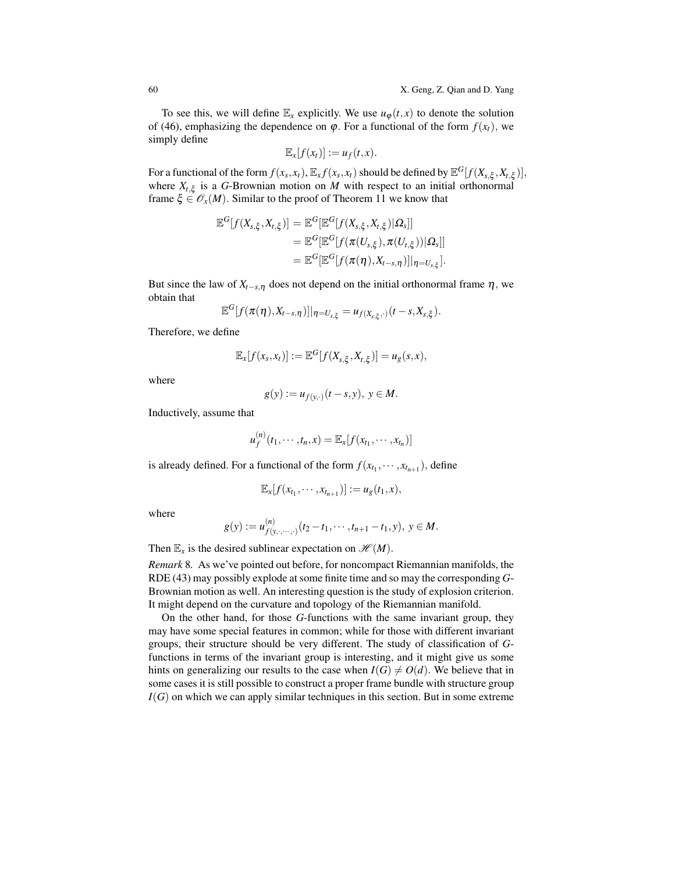To see this, we will define  $\mathbb{E}_x$  explicitly. We use  $u_\varphi(t,x)$  to denote the solution of (46), emphasizing the dependence on  $\varphi$ . For a functional of the form  $f(x_t)$ , we simply define

$$
\mathbb{E}_x[f(x_t)]:=u_f(t,x).
$$

For a functional of the form  $f(x_s, x_t)$ ,  $\mathbb{E}_x f(x_s, x_t)$  should be defined by  $\mathbb{E}^G[f(X_{s,\xi}, X_{t,\xi})]$ , where  $X_{t,\xi}$  is a *G*-Brownian motion on *M* with respect to an initial orthonormal frame  $\xi \in \mathcal{O}_x(M)$ . Similar to the proof of Theorem 11 we know that

$$
\mathbb{E}^{G}[f(X_{s,\xi},X_{t,\xi})] = \mathbb{E}^{G}[\mathbb{E}^{G}[f(X_{s,\xi},X_{t,\xi})|\Omega_{s}]]
$$
  
\n
$$
= \mathbb{E}^{G}[\mathbb{E}^{G}[f(\pi(U_{s,\xi}),\pi(U_{t,\xi}))|\Omega_{s}]]
$$
  
\n
$$
= \mathbb{E}^{G}[\mathbb{E}^{G}[f(\pi(\eta),X_{t-s,\eta})]|\eta=t_{s,\xi}].
$$

But since the law of  $X_{t-s,\eta}$  does not depend on the initial orthonormal frame  $\eta$ , we obtain that

$$
\mathbb{E}^{G}[f(\pi(\eta),X_{t-s,\eta})]|_{\eta=U_{s,\xi}}=u_{f(X_{s,\xi},\cdot)}(t-s,X_{s,\xi}).
$$

Therefore, we define

$$
\mathbb{E}_x[f(x_s,x_t)]:=\mathbb{E}^G[f(X_{s,\xi},X_{t,\xi})]=u_g(s,x),
$$

where

$$
g(y) := u_{f(y, \cdot)}(t - s, y), \ y \in M.
$$

Inductively, assume that

$$
u_f^{(n)}(t_1,\cdots,t_n,x)=\mathbb{E}_x[f(x_{t_1},\cdots,x_{t_n})]
$$

is already defined. For a functional of the form  $f(x_{t_1}, \dots, x_{t_{n+1}})$ , define

$$
\mathbb{E}_x[f(x_{t_1},\cdots,x_{t_{n+1}})] := u_g(t_1,x),
$$

where

$$
g(y) := u_{f(y,\cdot,\dots,\cdot)}^{(n)}(t_2-t_1,\dots,t_{n+1}-t_1,y), y \in M.
$$

Then  $\mathbb{E}_x$  is the desired sublinear expectation on  $\mathcal{H}(M)$ .

*Remark* 8*.* As we've pointed out before, for noncompact Riemannian manifolds, the RDE (43) may possibly explode at some finite time and so may the corresponding *G*-Brownian motion as well. An interesting question is the study of explosion criterion. It might depend on the curvature and topology of the Riemannian manifold.

On the other hand, for those *G*-functions with the same invariant group, they may have some special features in common; while for those with different invariant groups, their structure should be very different. The study of classification of *G*functions in terms of the invariant group is interesting, and it might give us some hints on generalizing our results to the case when  $I(G) \neq O(d)$ . We believe that in some cases it is still possible to construct a proper frame bundle with structure group *I*(*G*) on which we can apply similar techniques in this section. But in some extreme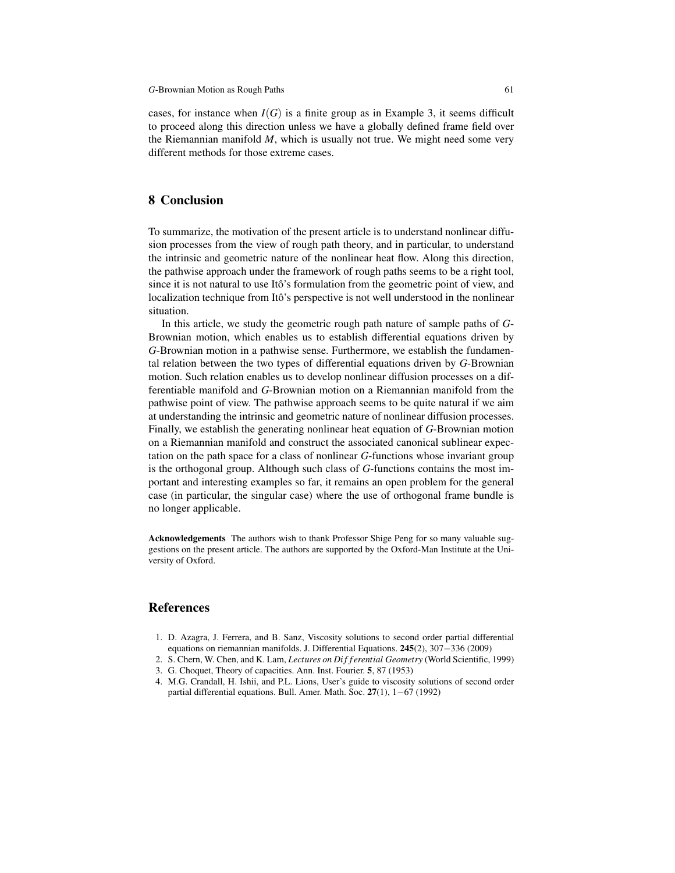cases, for instance when  $I(G)$  is a finite group as in Example 3, it seems difficult to proceed along this direction unless we have a globally defined frame field over the Riemannian manifold *M*, which is usually not true. We might need some very different methods for those extreme cases.

# 8 Conclusion

To summarize, the motivation of the present article is to understand nonlinear diffusion processes from the view of rough path theory, and in particular, to understand the intrinsic and geometric nature of the nonlinear heat flow. Along this direction, the pathwise approach under the framework of rough paths seems to be a right tool, since it is not natural to use Itô's formulation from the geometric point of view, and localization technique from Itô's perspective is not well understood in the nonlinear situation.

In this article, we study the geometric rough path nature of sample paths of *G*-Brownian motion, which enables us to establish differential equations driven by *G*-Brownian motion in a pathwise sense. Furthermore, we establish the fundamental relation between the two types of differential equations driven by *G*-Brownian motion. Such relation enables us to develop nonlinear diffusion processes on a differentiable manifold and *G*-Brownian motion on a Riemannian manifold from the pathwise point of view. The pathwise approach seems to be quite natural if we aim at understanding the intrinsic and geometric nature of nonlinear diffusion processes. Finally, we establish the generating nonlinear heat equation of *G*-Brownian motion on a Riemannian manifold and construct the associated canonical sublinear expectation on the path space for a class of nonlinear *G*-functions whose invariant group is the orthogonal group. Although such class of *G*-functions contains the most important and interesting examples so far, it remains an open problem for the general case (in particular, the singular case) where the use of orthogonal frame bundle is no longer applicable.

Acknowledgements The authors wish to thank Professor Shige Peng for so many valuable suggestions on the present article. The authors are supported by the Oxford-Man Institute at the University of Oxford.

#### **References**

- 1. D. Azagra, J. Ferrera, and B. Sanz, Viscosity solutions to second order partial differential equations on riemannian manifolds. J. Differential Equations. 245(2), 307−336 (2009)
- 2. S. Chern, W. Chen, and K. Lam, *Lectures on Di f f erential Geometry* (World Scientific, 1999)
- 3. G. Choquet, Theory of capacities. Ann. Inst. Fourier. 5, 87 (1953)
- 4. M.G. Crandall, H. Ishii, and P.L. Lions, User's guide to viscosity solutions of second order partial differential equations. Bull. Amer. Math. Soc. 27(1), 1−67 (1992)